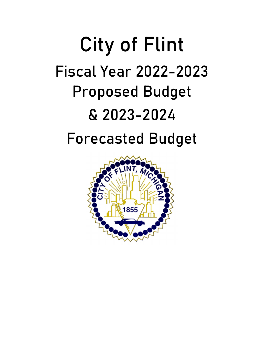# City of Flint Fiscal Year 2022-2023 Proposed Budget & 2023-2024 Forecasted Budget

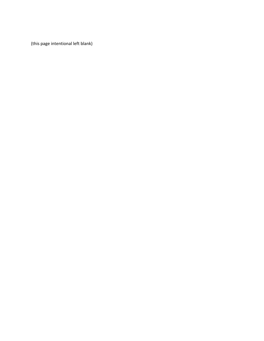(this page intentional left blank)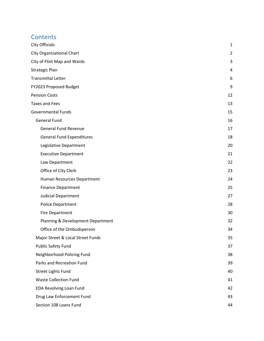## **Contents**

| City Officials                    | 1              |
|-----------------------------------|----------------|
| City Organizational Chart         | $\overline{2}$ |
| City of Flint Map and Wards       | 3              |
| Strategic Plan                    | 4              |
| Transmittal Letter                | 6              |
| FY2023 Proposed Budget            | 9              |
| <b>Pension Costs</b>              | 12             |
| <b>Taxes and Fees</b>             | 13             |
| Governmental Funds                | 15             |
| <b>General Fund</b>               | 16             |
| <b>General Fund Revenue</b>       | 17             |
| <b>General Fund Expenditures</b>  | 18             |
| Legislative Department            | 20             |
| <b>Executive Department</b>       | 21             |
| Law Department                    | 22             |
| Office of City Clerk              | 23             |
| Human Resources Department        | 24             |
| <b>Finance Department</b>         | 25             |
| <b>Judicial Department</b>        | 27             |
| Police Department                 | 28             |
| <b>Fire Department</b>            | 30             |
| Planning & Development Department | 32             |
| Office of the Ombudsperson        | 34             |
| Major Street & Local Street Funds | 35             |
| Public Safety Fund                | 37             |
| Neighborhood Policing Fund        | 38             |
| Parks and Recreation Fund         | 39             |
| <b>Street Lights Fund</b>         | 40             |
| <b>Waste Collection Fund</b>      | 41             |
| <b>EDA Revolving Loan Fund</b>    | 42             |
| Drug Law Enforcement Fund         | 43             |
| Section 108 Loans Fund            | 44             |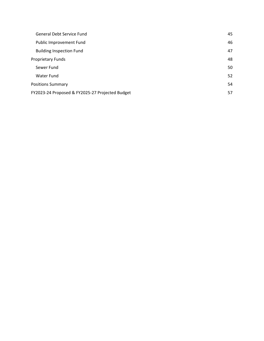| General Debt Service Fund                       | 45 |
|-------------------------------------------------|----|
| Public Improvement Fund                         | 46 |
| <b>Building Inspection Fund</b>                 | 47 |
| <b>Proprietary Funds</b>                        | 48 |
| Sewer Fund                                      | 50 |
| Water Fund                                      | 52 |
| <b>Positions Summary</b>                        | 54 |
| FY2023-24 Proposed & FY2025-27 Projected Budget | 57 |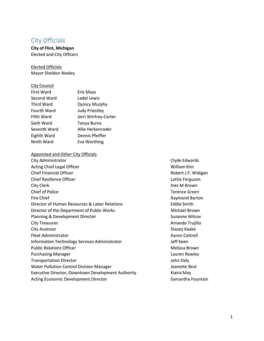### City Officials

**City of Flint, Michigan** Elected and City Officers

Elected Officials Mayor Sheldon Neeley

City Council

| City Courion      |                       |
|-------------------|-----------------------|
| <b>First Ward</b> | Eric Mays             |
| Second Ward       | Ladel Lewis           |
| Third Ward        | <b>Quincy Murphy</b>  |
| Fourth Ward       | <b>Judy Priestley</b> |
| Fifth Ward        | Jerri Winfrey-Carter  |
| Sixth Ward        | Tonya Burns           |
| Seventh Ward      | Allie Herkenroder     |
| Eighth Ward       | Dennis Pfeiffer       |
| Ninth Ward        | Eva Worthing          |
|                   |                       |

#### Appointed and Other City Officials

City Administrator **City Administrator 2012** Clyde Edwards **CITY** Acting Chief Legal Officer **1999 Acting Chief Legal Officer 1999 William Kim** Chief Financial Officer **The Chief Example 2018** and Chief Financial Officer **Business Chief Example 2018** and Chief Politics and Robert J.F. Widigan Chief Resilience Officer Lottie Ferguson City Clerk Inez M Brown Chief of Police Terence Green Fire Chief **Chief** *Exercise Exercise Chief Raymond Barton Raymond Barton* Director of Human Resources & Labor Relations **8 12 September 2016** Eddie Smith Director of the Department of Public Works Michael Brown Planning & Development Director **by a strategie of the Suzanne Wilcox** Suzanne Wilcox City Treasurer Amanda Trujillo City Assessor **City Assessor 2008** The Stace Stace Stace Stace Stace Stace Stace Stace Stace Stace Stace Stace Stace Stace Stace Stace Stace Stace Stace Stace Stace Stace Stace Stace Stace Stace Stace Stace Stace Stace Fleet Administrator Aaron Cottrell Information Technology Services Administrator *Base Communisty Communisty Communisty Communisty Communisty Communisty Communisty Communisty Communisty Communisty Communisty Communisty Communisty Communisty Communisty Comm* Public Relations Officer **by Community** Public Relations Officer Purchasing Manager *Department Controllering Controllering Controllering Controllering Controllering Controllering Controllering Controllering Controllering Controllering Controllering Controllering Controllering Controll* Transportation Director **1988** and 2008 and 2008 and 2008 and 2008 and 2008 and 2008 and 2008 and 2008 and 2008 and 2008 and 2008 and 2008 and 2008 and 2008 and 2008 and 2008 and 2008 and 2008 and 2008 and 2008 and 2008 an Water Pollution Control Division Manager Jeanette Best Executive Director, Downtown Development Authority **State Containst Authority** Kiaira May Acting Economic Development Director **Acting Economic Development Director Samantha Fountain**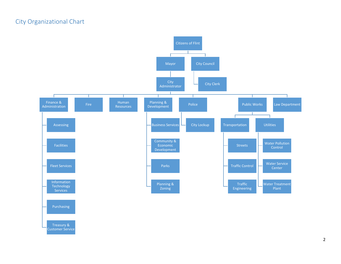## City Organizational Chart



Treasury & Customer Service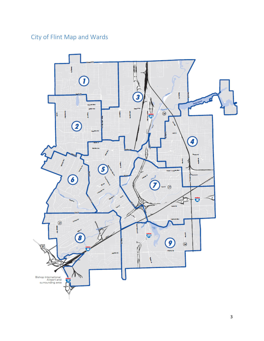## City of Flint Map and Wards

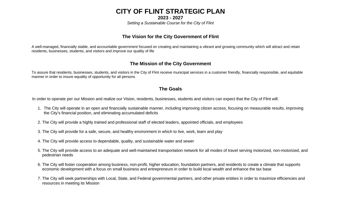# **CITY OF FLINT STRATEGIC PLAN**

**2023 - 2027**

*Setting a Sustainable Course for the City of Flint*

## **The Vision for the City Government of Flint**

A well-managed, financially stable, and accountable government focused on creating and maintaining a vibrant and growing community which will attract and retain residents, businesses, students, and visitors and improve our quality of life

## **The Mission of the City Government**

To assure that residents, businesses, students, and visitors in the City of Flint receive municipal services in a customer friendly, financially responsible, and equitable manner in order to insure equality of opportunity for all persons

## **The Goals**

In order to operate per our Mission and realize our Vision, residents, businesses, students and visitors can expect that the City of Flint will:

- 1. The City will operate in an open and financially sustainable manner, including improving citizen access, focusing on measurable results, improving the City's financial position, and eliminating accumulated deficits
- 2. The City will provide a highly trained and professional staff of elected leaders, appointed officials, and employees
- 3. The City will provide for a safe, secure, and healthy environment in which to live, work, learn and play
- 4. The City will provide access to dependable, quality, and sustainable water and sewer
- 5. The City will provide access to an adequate and well-maintained transportation network for all modes of travel serving motorized, non-motorized, and pedestrian needs
- 6. The City will foster cooperation among business, non-profit, higher education, foundation partners, and residents to create a climate that supports economic development with a focus on small business and entrepreneurs in order to build local wealth and enhance the tax base
- 7. The City will seek partnerships with Local, State, and Federal governmental partners, and other private entities in order to maximize efficiencies and resources in meeting its Mission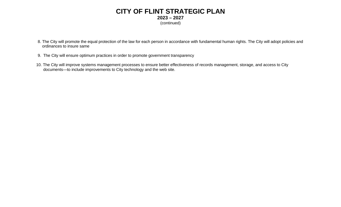## **CITY OF FLINT STRATEGIC PLAN 2023 – 2027** (continued)

- 8. The City will promote the equal protection of the law for each person in accordance with fundamental human rights. The City will adopt policies and ordinances to insure same
- 9. The City will ensure optimum practices in order to promote government transparency
- 10. The City will improve systems management processes to ensure better effectiveness of records management, storage, and access to City documents—to include improvements to City technology and the web site.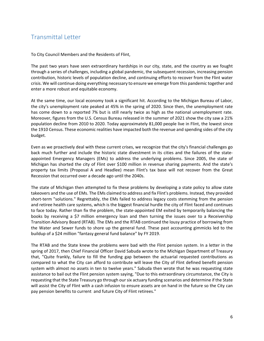## Transmittal Letter

To City Council Members and the Residents of Flint,

The past two years have seen extraordinary hardships in our city, state, and the country as we fought through a series of challenges, including a global pandemic, the subsequent recession, increasing pension contribution, historic levels of population decline, and continuing efforts to recover from the Flint water crisis. We will continue doing everything necessary to ensure we emerge from this pandemic together and enter a more robust and equitable economy.

At the same time, our local economy took a significant hit. According to the Michigan Bureau of Labor, the city's unemployment rate peaked at 45% in the spring of 2020. Since then, the unemployment rate has come down to a reported 7% but is still nearly twice as high as the national unemployment rate. Moreover, figures from the U.S. Census Bureau released in the summer of 2021 show the city saw a 21% population decline from 2010 to 2020. Today approximately 81,000 people live in Flint, the lowest since the 1910 Census. These economic realities have impacted both the revenue and spending sides of the city budget.

Even as we proactively deal with these current crises, we recognize that the city's financial challenges go back much further and include the historic state divestment in its cities and the failures of the state‐ appointed Emergency Managers (EMs) to address the underlying problems. Since 2005, the state of Michigan has shorted the city of Flint over \$100 million in revenue sharing payments. And the state's property tax limits (Proposal A and Headlee) mean Flint's tax base will not recover from the Great Recession that occurred over a decade ago until the 2040s.

The state of Michigan then attempted to fix these problems by developing a state policy to allow state takeovers and the use of EMs. The EMs claimed to address and fix Flint's problems. Instead, they provided short-term "solutions." Regrettably, the EMs failed to address legacy costs stemming from the pension and retiree health care systems, which is the biggest financial hurdle the city of Flint faced and continues to face today. Rather than fix the problem, the state‐appointed EM exited by temporarily balancing the books by receiving a \$7 million emergency loan and then turning the issues over to a Receivership Transition Advisory Board (RTAB). The EMs and the RTAB continued the lousy practice of borrowing from the Water and Sewer funds to shore up the general fund. These past accounting gimmicks led to the buildup of a \$24 million "fantasy general fund balance" by FY 2019.

The RTAB and the State knew the problems were bad with the Flint pension system. In a letter in the spring of 2017, then Chief Financial Officer David Sabuda wrote to the Michigan Department of Treasury that, "Quite frankly, failure to fill the funding gap between the actuarial requested contributions as compared to what the City can afford to contribute will leave the City of Flint defined benefit pension system with almost no assets in ten to twelve years." Sabuda then wrote that he was requesting state assistance to bail out the Flint pension system saying, "Due to this extraordinary circumstance, the City is requesting that the State Treasury go through oursix actuary funding scenarios and determine if the State will assist the City of Flint with a cash infusion to ensure assets are on hand in the future so the City can pay pension benefits to current and future City of Flint retirees."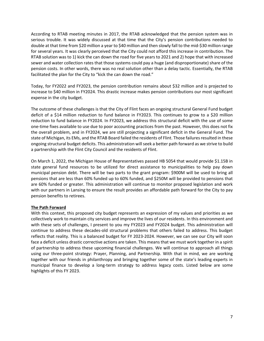According to RTAB meeting minutes in 2017, the RTAB acknowledged that the pension system was in serious trouble. It was widely discussed at that time that the City's pension contributions needed to double at that time from \$20 million a year to \$40 million and then slowly fall to the mid‐\$30 million range for several years. It was clearly perceived that the City could not afford this increase in contribution. The RTAB solution was to 1) kick the can down the road for five years to 2021 and 2) hope that with increased sewer and water collection rates that those systems could pay a huge (and disproportionate) share of the pension costs. In other words, there was no real solution other than a delay tactic. Essentially, the RTAB facilitated the plan for the City to "kick the can down the road."

Today, for FY2022 and FY2023, the pension contribution remains about \$32 million and is projected to increase to \$40 million in FY2024. This drastic increase makes pension contributions our most significant expense in the city budget.

The outcome of these challenges is that the City of Flint faces an ongoing structural General Fund budget deficit of a \$14 million reduction to fund balance in FY2023. This continues to grow to a \$20 million reduction to fund balance in FY2024. In FY2023, we address this structural deficit with the use of some one‐time fixes available to use due to poor accounting practices from the past. However, this does not fix the overall problem, and in FY2024, we are still projecting a significant deficit in the General Fund. The state of Michigan, its EMs, and the RTAB Board failed the residents of Flint. Those failures resulted in these ongoing structural budget deficits. This administration willseek a better path forward as we strive to build a partnership with the Flint City Council and the residents of Flint.

On March 1, 2022, the Michigan House of Representatives passed HB 5054 that would provide \$1.15B in state general fund resources to be utilized for direct assistance to municipalities to help pay down municipal pension debt. There will be two parts to the grant program: \$900M will be used to bring all pensions that are less than 60% funded up to 60% funded, and \$250M will be provided to pensions that are 60% funded or greater. This administration will continue to monitor proposed legislation and work with our partners in Lansing to ensure the result provides an affordable path forward for the City to pay pension benefits to retirees.

#### **The Path Forward**

With this context, this proposed city budget represents an expression of my values and priorities as we collectively work to maintain city services and improve the lives of our residents. In this environment and with these sets of challenges, I present to you my FY2023 and FY2024 budget. This administration will continue to address these decades‐old structural problems that others failed to address. This budget reflects that reality. This is a balanced budget for FY 2023-2024. However, we can see our City will soon face a deficit unless drastic corrective actions are taken. This means that we must work together in a spirit of partnership to address these upcoming financial challenges. We will continue to approach all things using our three-point strategy: Prayer, Planning, and Partnership. With that in mind, we are working together with our friends in philanthropy and bringing together some of the state's leading experts in municipal finance to develop a long‐term strategy to address legacy costs. Listed below are some highlights of this FY 2023.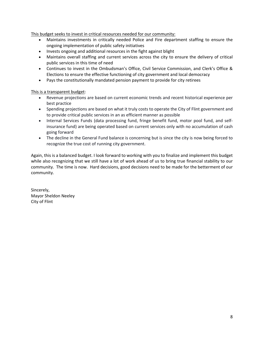This budget seeks to invest in critical resources needed for our community:

- Maintains investments in critically needed Police and Fire department staffing to ensure the ongoing implementation of public safety initiatives
- Invests ongoing and additional resources in the fight against blight
- Maintains overall staffing and current services across the city to ensure the delivery of critical public services in this time of need
- Continues to invest in the Ombudsman's Office, Civil Service Commission, and Clerk's Office & Elections to ensure the effective functioning of city government and local democracy
- Pays the constitutionally mandated pension payment to provide for city retirees

This is a transparent budget:

- Revenue projections are based on current economic trends and recent historical experience per best practice
- Spending projections are based on what it truly costs to operate the City of Flint government and to provide critical public services in an as efficient manner as possible
- Internal Services Funds (data processing fund, fringe benefit fund, motor pool fund, and selfinsurance fund) are being operated based on current services only with no accumulation of cash going forward
- The decline in the General Fund balance is concerning but is since the city is now being forced to recognize the true cost of running city government.

Again, this is a balanced budget. I look forward to working with you to finalize and implement this budget while also recognizing that we still have a lot of work ahead of us to bring true financial stability to our community. The time is now. Hard decisions, good decisions need to be made for the betterment of our community.

Sincerely, Mayor Sheldon Neeley City of Flint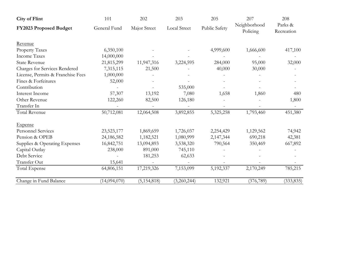| <b>City of Flint</b>              | 101          | 202           | 203          | 205                  | 207                      | 208                   |  |
|-----------------------------------|--------------|---------------|--------------|----------------------|--------------------------|-----------------------|--|
| FY2023 Proposed Budget            | General Fund | Major Street  | Local Street | <b>Public Safety</b> | Neighborhood<br>Policing | Parks &<br>Recreation |  |
| Revenue                           |              |               |              |                      |                          |                       |  |
| Property Taxes                    | 6,350,100    |               |              | 4,999,600            | 1,666,600                | 417,100               |  |
| <b>Income Taxes</b>               | 14,000,000   |               |              |                      |                          |                       |  |
| <b>State Revenue</b>              | 21,815,299   | 11,947,316    | 3,224,595    | 284,000              | 95,000                   | 32,000                |  |
| Charges for Services Rendered     | 7,315,115    | 21,500        |              | 40,000               | 30,000                   |                       |  |
| License, Permits & Franchise Fees | 1,000,000    |               |              |                      |                          |                       |  |
| Fines & Forfeitures               | 52,000       |               |              |                      |                          |                       |  |
| Contribution                      |              |               | 535,000      |                      |                          |                       |  |
| Interest Income                   | 57,307       | 13,192        | 7,080        | 1,658                | 1,860                    | 480                   |  |
| Other Revenue                     | 122,260      | 82,500        | 126,180      |                      |                          | 1,800                 |  |
| Transfer In                       |              |               |              |                      |                          |                       |  |
| <b>Total Revenue</b>              | 50,712,081   | 12,064,508    | 3,892,855    | 5,325,258            | 1,793,460                | 451,380               |  |
| <b>Expense</b>                    |              |               |              |                      |                          |                       |  |
| <b>Personnel Services</b>         | 23,523,177   | 1,869,659     | 1,726,037    | 2,254,429            | 1,129,562                | 74,942                |  |
| Pension & OPEB                    | 24,186,582   | 1,182,521     | 1,080,999    | 2,147,344            | 690,218                  | 42,381                |  |
| Supplies & Operating Expenses     | 16,842,751   | 13,094,893    | 3,538,320    | 790,564              | 350,469                  | 667,892               |  |
| Capital Outlay                    | 238,000      | 891,000       | 745,110      |                      |                          |                       |  |
| Debt Service                      |              | 181,253       | 62,633       |                      |                          |                       |  |
| Transfer Out                      | 15,641       |               |              |                      |                          |                       |  |
| Total Expense                     | 64,806,151   | 17,219,326    | 7,153,099    | 5,192,337            | 2,170,249                | 785,215               |  |
| Change in Fund Balance            | (14,094,070) | (5, 154, 818) | (3,260,244)  | 132,921              | (376, 789)               | (333, 835)            |  |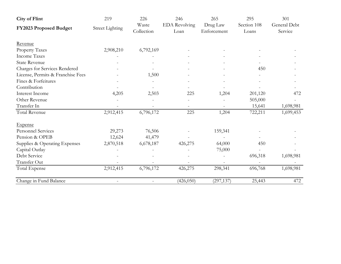| <b>City of Flint</b>              | 219                    | 226                 | 246                          | 265                     | 295                  | 301                     |
|-----------------------------------|------------------------|---------------------|------------------------------|-------------------------|----------------------|-------------------------|
| FY2023 Proposed Budget            | <b>Street Lighting</b> | Waste<br>Collection | <b>EDA</b> Revolving<br>Loan | Drug Law<br>Enforcement | Section 108<br>Loans | General Debt<br>Service |
| Revenue                           |                        |                     |                              |                         |                      |                         |
| Property Taxes                    | 2,908,210              | 6,792,169           |                              |                         |                      |                         |
| <b>Income Taxes</b>               |                        |                     |                              |                         |                      |                         |
| <b>State Revenue</b>              |                        |                     |                              |                         |                      |                         |
| Charges for Services Rendered     |                        |                     |                              |                         | 450                  |                         |
| License, Permits & Franchise Fees |                        | 1,500               |                              |                         |                      |                         |
| Fines & Forfeitures               |                        |                     |                              |                         |                      |                         |
| Contribution                      |                        |                     |                              |                         |                      |                         |
| Interest Income                   | 4,205                  | 2,503               | 225                          | 1,204                   | 201,120              | 472                     |
| Other Revenue                     |                        |                     |                              |                         | 505,000              |                         |
| Transfer In                       |                        |                     |                              |                         | 15,641               | 1,698,981               |
| Total Revenue                     | 2,912,415              | 6,796,172           | 225                          | 1,204                   | 722,211              | 1,699,453               |
| <b>Expense</b>                    |                        |                     |                              |                         |                      |                         |
| <b>Personnel Services</b>         | 29,273                 | 76,506              |                              | 159,341                 |                      |                         |
| Pension & OPEB                    | 12,624                 | 41,479              |                              |                         |                      |                         |
| Supplies & Operating Expenses     | 2,870,518              | 6,678,187           | 426,275                      | 64,000                  | 450                  |                         |
| Capital Outlay                    |                        |                     |                              | 75,000                  |                      |                         |
| Debt Service                      |                        |                     |                              |                         | 696,318              | 1,698,981               |
| Transfer Out                      |                        |                     |                              |                         |                      |                         |
| Total Expense                     | 2,912,415              | 6,796,172           | 426,275                      | 298,341                 | 696,768              | 1,698,981               |
| Change in Fund Balance            |                        |                     | (426, 050)                   | (297, 137)              | 25,443               | 472                     |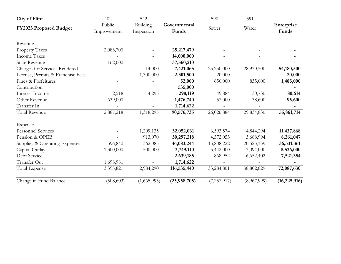| <b>City of Flint</b>              | 402                   | 542                    |                       | 590         | 591         |                     |
|-----------------------------------|-----------------------|------------------------|-----------------------|-------------|-------------|---------------------|
| FY2023 Proposed Budget            | Public<br>Improvement | Building<br>Inspection | Governmental<br>Funds | Sewer       | Water       | Enterprise<br>Funds |
| Revenue                           |                       |                        |                       |             |             |                     |
| Property Taxes                    | 2,083,700             |                        | 25, 217, 479          |             |             |                     |
| <b>Income Taxes</b>               |                       |                        | 14,000,000            |             |             |                     |
| <b>State Revenue</b>              | 162,000               |                        | 37,560,210            |             |             |                     |
| Charges for Services Rendered     |                       | 14,000                 | 7,421,065             | 25,250,000  | 28,930,500  | 54,180,500          |
| License, Permits & Franchise Fees |                       | 1,300,000              | 2,301,500             | 20,000      |             | 20,000              |
| Fines & Forfeitures               |                       |                        | 52,000                | 650,000     | 835,000     | 1,485,000           |
| Contribution                      |                       |                        | 535,000               |             |             |                     |
| Interest Income                   | 2,518                 | 4,295                  | 298,119               | 49,884      | 30,730      | 80,614              |
| Other Revenue                     | 639,000               |                        | 1,476,740             | 57,000      | 38,600      | 95,600              |
| Transfer In                       |                       |                        | 1,714,622             |             |             |                     |
| Total Revenue                     | 2,887,218             | 1,318,295              | 90,576,735            | 26,026,884  | 29,834,830  | 55,861,714          |
| <b>Expense</b>                    |                       |                        |                       |             |             |                     |
| <b>Personnel Services</b>         |                       | 1,209,135              | 32,052,061            | 6,593,574   | 4,844,294   | 11,437,868          |
| Pension & OPEB                    |                       | 913,070                | 30,297,218            | 4,572,053   | 3,688,994   | 8,261,047           |
| Supplies & Operating Expenses     | 396,840               | 362,085                | 46,083,244            | 15,808,222  | 20,523,139  | 36,331,361          |
| Capital Outlay                    | 1,300,000             | 500,000                | 3,749,110             | 5,442,000   | 3,094,000   | 8,536,000           |
| Debt Service                      |                       |                        | 2,639,185             | 868,952     | 6,652,402   | 7,521,354           |
| Transfer Out                      | 1,698,981             |                        | 1,714,622             |             |             |                     |
| Total Expense                     | 3,395,821             | 2,984,290              | 116,535,440           | 33,284,801  | 38,802,829  | 72,087,630          |
| Change in Fund Balance            | (508, 603)            | (1,665,995)            | (25, 958, 705)        | (7,257,917) | (8,967,999) | (16, 225, 916)      |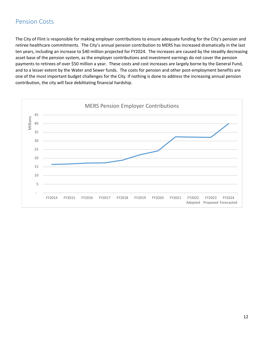## Pension Costs

The City of Flint is responsible for making employer contributions to ensure adequate funding for the City's pension and retiree healthcare commitments. The City's annual pension contribution to MERS has increased dramatically in the last ten years, including an increase to \$40 million projected for FY2024. The increases are caused by the steadily decreasing asset base of the pension system, as the employer contributions and investment earnings do not cover the pension payments to retirees of over \$50 million a year. These costs and cost increases are largely borne by the General Fund, and to a lesser extent by the Water and Sewer funds. The costs for pension and other post-employment benefits are one of the most important budget challenges for the City. If nothing is done to address the increasing annual pension contribution, the city will face debilitating financial hardship.

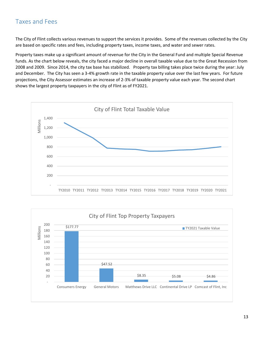## Taxes and Fees

The City of Flint collects various revenues to support the services it provides. Some of the revenues collected by the City are based on specific rates and fees, including property taxes, income taxes, and water and sewer rates.

Property taxes make up a significant amount of revenue for the City in the General Fund and multiple Special Revenue funds. As the chart below reveals, the city faced a major decline in overall taxable value due to the Great Recession from 2008 and 2009. Since 2014, the city tax base has stabilized. Property tax billing takes place twice during the year: July and December. The City has seen a 3-4% growth rate in the taxable property value over the last few years. For future projections, the City Assessor estimates an increase of 2‐3% of taxable property value each year. The second chart shows the largest property taxpayers in the city of Flint as of FY2021.



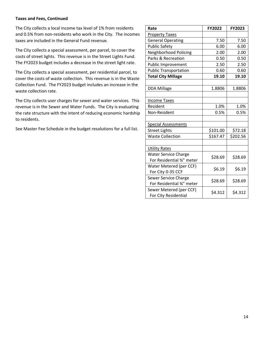#### **Taxes and Fees, Continued**

The City collects a local income tax level of 1% from residents and 0.5% from non-residents who work in the City. The incomes taxes are included in the General Fund revenue.

The City collects a special assessment, per parcel, to cover the costs of street lights. This revenue is in the Street Lights Fund. The FY2023 budget includes a decrease in the street light rate.

The City collects a special assessment, per residential parcel, to cover the costs of waste collection. This revenue is in the Waste Collection Fund. The FY2023 budget includes an increase in the waste collection rate.

The City collects user charges for sewer and water services. This revenue is in the Sewer and Water Funds. The City is evaluating the rate structure with the intent of reducing economic hardship to residents.

See Master Fee Schedule in the budget resolutions for a full list.

| Rate                                            | <b>FY2022</b> | FY2023   |
|-------------------------------------------------|---------------|----------|
| <b>Property Taxes</b>                           |               |          |
| <b>General Operating</b>                        | 7.50          | 7.50     |
| <b>Public Safety</b>                            | 6.00          | 6.00     |
| Neighborhood Policing                           | 2.00          | 2.00     |
| Parks & Recreation                              | 0.50          | 0.50     |
| Public Improvement                              | 2.50          | 2.50     |
| <b>Public Transportation</b>                    | 0.60          | 0.60     |
| <b>Total City Millage</b>                       | 19.10         | 19.10    |
|                                                 |               |          |
| <b>DDA Millage</b>                              | 1.8806        | 1.8806   |
|                                                 |               |          |
| <b>Income Taxes</b>                             |               |          |
| Resident                                        | 1.0%          | 1.0%     |
| Non-Resident                                    | 0.5%          | 0.5%     |
|                                                 |               |          |
| <b>Special Assessments</b>                      |               |          |
| <b>Street Lights</b>                            | \$101.00      | \$72.18  |
| <b>Waste Collection</b>                         | \$167.47      | \$202.56 |
|                                                 |               |          |
| <b>Utility Rates</b>                            |               |          |
| <b>Water Service Charge</b>                     | \$28.69       | \$28.69  |
| For Residential 34" meter                       |               |          |
| Water Metered (per CCF)                         | \$6.19        | \$6.19   |
| For City 0-35 CCF                               |               |          |
| Sewer Service Charge                            | \$28.69       | \$28.69  |
| For Residential 34" meter                       |               |          |
| Sewer Metered (per CCF)<br>For City Residential | \$4.312       | \$4.312  |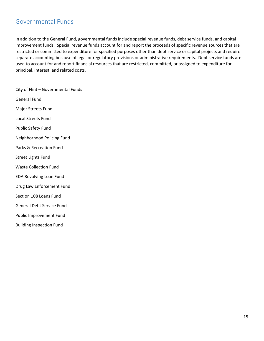## Governmental Funds

In addition to the General Fund, governmental funds include special revenue funds, debt service funds, and capital improvement funds. Special revenue funds account for and report the proceeds of specific revenue sources that are restricted or committed to expenditure for specified purposes other than debt service or capital projects and require separate accounting because of legal or regulatory provisions or administrative requirements. Debt service funds are used to account for and report financial resources that are restricted, committed, or assigned to expenditure for principal, interest, and related costs.

City of Flint – Governmental Funds General Fund Major Streets Fund Local Streets Fund Public Safety Fund Neighborhood Policing Fund Parks & Recreation Fund Street Lights Fund Waste Collection Fund EDA Revolving Loan Fund Drug Law Enforcement Fund Section 108 Loans Fund General Debt Service Fund Public Improvement Fund Building Inspection Fund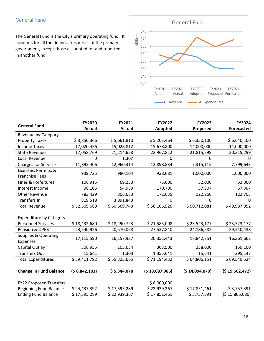The General Fund is the City's primary operating fund. It accounts for all the financial resources of the primary government, except those accounted for and reported in another fund.



| <b>General Fund</b>                           | FY2020        | FY2021        | FY2022         | FY2023         | FY2024            |
|-----------------------------------------------|---------------|---------------|----------------|----------------|-------------------|
|                                               | <b>Actual</b> | <b>Actual</b> | <b>Adopted</b> | Proposed       | <b>Forecasted</b> |
| <b>Revenue by Category</b>                    |               |               |                |                |                   |
| <b>Property Taxes</b>                         | \$3,850,366   | \$5,661,810   | \$5,203,464    | \$6,350,100    | \$6,640,100       |
| <b>Income Taxes</b>                           | 17,020,456    | 15,028,812    | 15,678,800     | 14,000,000     | 14,000,000        |
| <b>State Revenue</b>                          | 17,058,769    | 21,214,658    | 22,967,812     | 21,815,299     | 20,315,299        |
| Local Revenue                                 | 0             | 1,307         | 0              | 0              | 0                 |
| <b>Charges for Services</b>                   | 11,892,406    | 12,960,314    | 12,898,834     | 7,315,115      | 7,799,643         |
| Licenses, Permits, &<br><b>Franchise Fees</b> | 939,725       | 980,104       | 938,681        | 1,000,000      | 1,000,000         |
| Fines & Forfeitures                           | 106,915       | 69,253        | 75,600         | 52,000         | 52,000            |
| Interest Income                               | 98,105        | 54,959        | 170,700        | 57,307         | 57,307            |
| <b>Other Revenue</b>                          | 783,429       | 806,683       | 172,635        | 122,260        | 122,703           |
| Transfers In                                  | 819,518       | 3,891,843     | $\pmb{0}$      | $\mathbf 0$    | 0                 |
| <b>Total Revenue</b>                          | \$52,569,689  | \$60,669,743  | \$58,106,526   | \$50,712,081   | \$49,987,052      |
|                                               |               |               |                |                |                   |
| <b>Expenditure by Category</b>                |               |               |                |                |                   |
| <b>Personnel Services</b>                     | \$18,432,680  | \$18,490,723  | \$21,585,008   | \$23,523,177   | \$23,523,177      |
| Pension & OPEB                                | 23,540,926    | 20,570,068    | 27,537,840     | 24,186,582     | 29,210,438        |
| <b>Supplies &amp; Operating</b><br>Expenses   | 17,115,590    | 16,157,937    | 20,352,443     | 16,842,751     | 16,361,662        |
| Capital Outlay                                | 306,955       | 105,634       | 363,500        | 238,000        | 159,100           |
| <b>Transfers Out</b>                          | 15,641        | 1,303         | 1,355,641      | 15,641         | 295,147           |
| <b>Total Expenditures</b>                     | \$59,411,792  | \$55,325,665  | \$71,194,432   | \$64,806,151   | \$69,549,524      |
|                                               |               |               |                |                |                   |
| <b>Change in Fund Balance</b>                 | (56,842,103)  | \$5,344,078   | (\$13,087,906) | (\$14,094,070) | (\$19,562,472)    |
|                                               |               |               |                |                |                   |
| <b>FY22 Proposed Transfers</b>                |               |               | \$8,000,000    |                |                   |
| <b>Beginning Fund Balance</b>                 | \$24,437,392  | \$17,595,289  | \$22,939,267   | \$17,851,461   | \$3,757,391       |
| <b>Ending Fund Balance</b>                    | \$17,595,289  | \$22,939,367  | \$17,851,461   | \$3,757,391    | (515,805,080)     |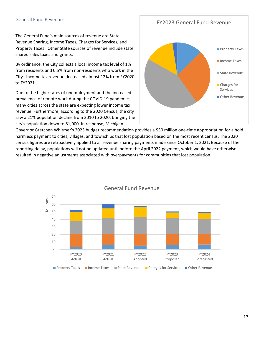#### General Fund Revenue

#### FY2023 General Fund Revenue

The General Fund's main sources of revenue are State Revenue Sharing, Income Taxes, Charges for Services, and Property Taxes. Other State sources of revenue include state shared sales taxes and grants.

By ordinance, the City collects a local income tax level of 1% from residents and 0.5% from non‐residents who work in the City. Income tax revenue decreased almost 12% from FY2020 to FY2021.

Due to the higher rates of unemployment and the increased prevalence of remote work during the COVID‐19 pandemic, many cities across the state are expecting lower income tax revenue. Furthermore, according to the 2020 Census, the city saw a 21% population decline from 2010 to 2020, bringing the city's population down to 81,000. In response, Michigan



Governor Gretchen Whitmer's 2023 budget recommendation provides a \$50 million one‐time appropriation for a hold harmless payment to cities, villages, and townships that lost population based on the most recent census. The 2020 census figures are retroactively applied to all revenue sharing payments made since October 1, 2021. Because of the reporting delay, populations will not be updated until before the April 2022 payment, which would have otherwise resulted in negative adjustments associated with overpayments for communities that lost population.

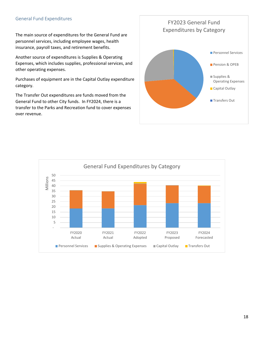#### General Fund Expenditures

The main source of expenditures for the General Fund are personnel services, including employee wages, health insurance, payroll taxes, and retirement benefits.

Another source of expenditures is Supplies & Operating Expenses, which includes supplies, professional services, and other operating expenses.

Purchases of equipment are in the Capital Outlay expenditure category.

The Transfer Out expenditures are funds moved from the General Fund to other City funds. In FY2024, there is a transfer to the Parks and Recreation fund to cover expenses over revenue.



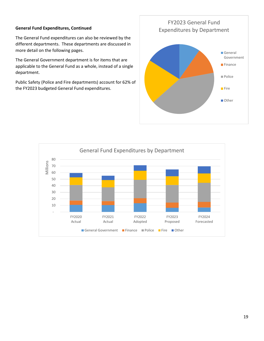#### **General Fund Expenditures, Continued**

The General Fund expenditures can also be reviewed by the different departments. These departments are discussed in more detail on the following pages.

The General Government department is for items that are applicable to the General Fund as a whole, instead of a single department.

Public Safety (Police and Fire departments) account for 62% of the FY2023 budgeted General Fund expenditures.



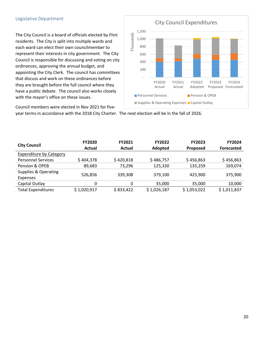#### Legislative Department

The City Council is a board of officials elected by Flint residents. The City is split into multiple wards and each ward can elect their own councilmember to represent their interests in city government. The City Council is responsible for discussing and voting on city ordinances, approving the annual budget, and appointing the City Clerk. The council has committees that discuss and work on these ordinances before they are brought before the full council where they have a public debate. The council also works closely with the mayor's office on these issues.



Council members were elected in Nov 2021 for five‐

year terms in accordance with the 2018 City Charter. The next election will be in the fall of 2026.

| <b>City Council</b>              | <b>FY2020</b><br>Actual | <b>FY2021</b><br>Actual | <b>FY2022</b><br>Adopted | <b>FY2023</b><br><b>Proposed</b> | <b>FY2024</b><br><b>Forecasted</b> |
|----------------------------------|-------------------------|-------------------------|--------------------------|----------------------------------|------------------------------------|
| <b>Expenditure by Category</b>   |                         |                         |                          |                                  |                                    |
| <b>Personnel Services</b>        | \$404,378               | \$420,818               | \$486,757                | \$456,863                        | \$456,863                          |
| Pension & OPEB                   | 89,683                  | 73,296                  | 125,330                  | 135,259                          | 169,074                            |
| Supplies & Operating<br>Expenses | 526,856                 | 339,308                 | 379.100                  | 425.900                          | 375,900                            |
| Capital Outlay                   | 0                       | 0                       | 35,000                   | 35,000                           | 10,000                             |
| <b>Total Expenditures</b>        | \$1,020,917             | \$833,422               | \$1,026,187              | \$1,053,022                      | \$1,011,837                        |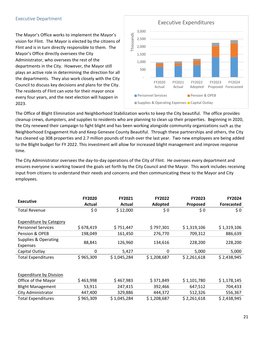#### Executive Department

The Mayor's Office works to implement the Mayor's vision for Flint. The Mayor is elected by the citizens of Flint and is in turn directly responsible to them. The Mayor's Office directly oversees the City Administrator, who oversees the rest of the departments in the City. However, the Mayor still plays an active role in determining the direction for all the departments. They also work closely with the City Council to discuss key decisions and plans for the City. The residents of Flint can vote for their mayor once every four years, and the next election will happen in 2023.



The Office of Blight Elimination and Neighborhood Stabilization works to keep the City beautiful. The office provides cleanup crews, dumpsters, and supplies to residents who are planning to clean up their properties. Beginning in 2020, the City renewed their campaign to fight blight and has been working alongside community organizations such as the Neighborhood Engagement Hub and Keep Genesee County Beautiful. Through these partnerships and others, the City has cleaned up 308 properties and 2.7 million pounds of trash over the last year. Two new employees are being added to the Blight budget for FY 2022. This investment will allow for increased blight management and improve response time.

The City Administrator oversees the day-to-day operations of the City of Flint. He oversees every department and ensures everyone is working toward the goals set forth by the City Council and the Mayor. This work includes receiving input from citizens to understand their needs and concerns and then communicating these to the Mayor and City employees.

| <b>Executive</b>                                            | <b>FY2020</b><br>Actual | FY2021<br>Actual | <b>FY2022</b><br>Adopted | <b>FY2023</b><br><b>Proposed</b> | FY2024<br><b>Forecasted</b> |
|-------------------------------------------------------------|-------------------------|------------------|--------------------------|----------------------------------|-----------------------------|
| <b>Total Revenue</b>                                        | \$0                     | \$12,000         | \$0                      | \$0                              | \$0\$                       |
| <b>Expenditure by Category</b><br><b>Personnel Services</b> | \$678,419               | \$751,447        | \$797,301                | \$1,319,106                      | \$1,319,106                 |
| Pension & OPEB                                              | 198,049                 | 161,450          | 276,770                  | 709,312                          | 886,639                     |
| <b>Supplies &amp; Operating</b><br><b>Expenses</b>          | 88,841                  | 126,960          | 134,616                  | 228,200                          | 228,200                     |
| Capital Outlay                                              | 0                       | 5,427            | 0                        | 5,000                            | 5,000                       |
| <b>Total Expenditures</b>                                   | \$965,309               | \$1,045,284      | \$1,208,687              | \$2,261,618                      | \$2,438,945                 |
|                                                             |                         |                  |                          |                                  |                             |
| <b>Expenditure by Division</b>                              |                         |                  |                          |                                  |                             |
| Office of the Mayor                                         | \$463,998               | \$467,983        | \$371,849                | \$1,101,780                      | \$1,178,145                 |
| <b>Blight Management</b>                                    | 53,911                  | 247,415          | 392,466                  | 647,512                          | 704,433                     |
| City Administrator                                          | 447,400                 | 329,886          | 444,372                  | 512,326                          | 556,367                     |
| <b>Total Expenditures</b>                                   | \$965,309               | \$1,045,284      | \$1,208,687              | \$2,261,618                      | \$2,438,945                 |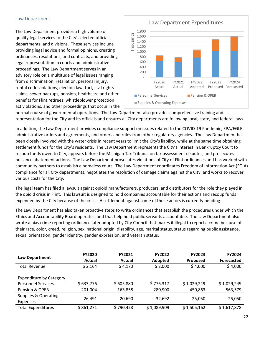#### Law Department

The Law Department provides a high volume of quality legal services to the City's elected officials, departments, and divisions. These services include providing legal advice and formal opinions, creating ordinances, resolutions, and contracts, and providing legal representation in courts and administrative proceedings. The Law Department serves in an advisory role on a multitude of legal issues ranging from discrimination, retaliation, personal injury, rental code violations, election law, tort, civil rights claims, sewer backups, pension, healthcare and other benefits for Flint retirees, whistleblower protection act violations, and other proceedings that occur in the



normal course of governmental operations. The Law Department also provides comprehensive training and representation for the City and its officials and ensures all City departments are following local, state, and federal laws.

In addition, the Law Department provides compliance support on issues related to the COVID‐19 Pandemic, EPA/EGLE administrative orders and agreements, and orders and rules from other regulatory agencies. The Law Department has been closely involved with the water crisis in recent years to limit the City's liability, while at the same time obtaining settlement funds for the City's residents. The Law Department represents the City's interest in Bankruptcy Court to recoup funds owed to City, appears before the Michigan Tax Tribunal on tax assessment disputes, and prosecutes nuisance abatement actions. The Law Department prosecutes violations of City of Flint ordinances and has worked with community partners to establish a homeless court. The Law Department coordinates Freedom of Information Act (FOIA) compliance for all City departments, negotiates the resolution of damage claims against the City, and works to recover various costs for the City.

The legal team has filed a lawsuit against opioid manufacturers, producers, and distributors for the role they played in the opioid crisis in Flint. This lawsuit is designed to hold companies accountable for their actions and recoup funds expended by the City because of the crisis. A settlement against some of those actors is currently pending.

The Law Department has also taken proactive steps to write ordinances that establish the procedures under which the Ethics and Accountability Board operates, and that help hold public servants accountable. The Law Department also wrote a bias crime reporting ordinance later adopted by City Council that makes it illegal to report a crime because of their race, color, creed, religion, sex, national origin, disability, age, marital status, status regarding public assistance, sexual orientation, gender identity, gender expression, and veteran status.

| Law Department                   | <b>FY2020</b><br>Actual | <b>FY2021</b><br>Actual | <b>FY2022</b><br><b>Adopted</b> | <b>FY2023</b><br><b>Proposed</b> | <b>FY2024</b><br><b>Forecasted</b> |
|----------------------------------|-------------------------|-------------------------|---------------------------------|----------------------------------|------------------------------------|
| Total Revenue                    | \$2,164                 | \$4,170                 | \$2,000                         | \$4,000                          | \$4,000                            |
| <b>Expenditure by Category</b>   |                         |                         |                                 |                                  |                                    |
| <b>Personnel Services</b>        | \$633,776               | \$605,880               | \$776,317                       | \$1,029,249                      | \$1,029,249                        |
| Pension & OPEB                   | 201,004                 | 163,858                 | 280,900                         | 450,863                          | 563,579                            |
| Supplies & Operating<br>Expenses | 26,491                  | 20,690                  | 32,692                          | 25,050                           | 25,050                             |
| <b>Total Expenditures</b>        | \$861,271               | \$790,428               | \$1,089,909                     | \$1,505,162                      | \$1,617,878                        |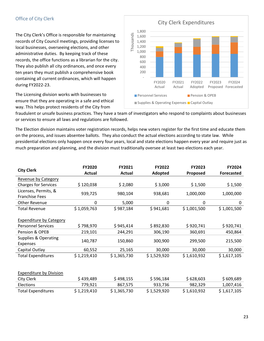#### Office of City Clerk

The City Clerk's Office is responsible for maintaining records of City Council meetings, providing licenses to local businesses, overseeing elections, and other administrative duties. By keeping track of these records, the office functions as a librarian for the city. They also publish all city ordinances, and once every ten years they must publish a comprehensive book containing all current ordinances, which will happen during FY2022‐23.

The Licensing division works with businesses to ensure that they are operating in a safe and ethical way. This helps protect residents of the City from



fraudulent or unsafe business practices. They have a team of investigators who respond to complaints about businesses or services to ensure all laws and regulations are followed.

The Election division maintains voter registration records, helps new voters register for the first time and educate them on the process, and issues absentee ballots. They also conduct the actual elections according to state law. While presidential elections only happen once every four years, local and state elections happen every year and require just as much preparation and planning, and the division must traditionally oversee at least two elections each year.

| <b>City Clerk</b>              | <b>FY2020</b> | FY2021        | <b>FY2022</b> | <b>FY2023</b> | FY2024            |
|--------------------------------|---------------|---------------|---------------|---------------|-------------------|
|                                | Actual        | <b>Actual</b> | Adopted       | Proposed      | <b>Forecasted</b> |
| <b>Revenue by Category</b>     |               |               |               |               |                   |
| <b>Charges for Services</b>    | \$120,038     | \$2,080       | \$3,000       | \$1,500       | \$1,500           |
| Licenses, Permits, &           | 939,725       | 980,104       | 938,681       | 1,000,000     | 1,000,000         |
| <b>Franchise Fees</b>          |               |               |               |               |                   |
| Other Revenue                  | 0             | 5,000         | 0             | 0             | 0                 |
| <b>Total Revenue</b>           | \$1,059,763   | \$987,184     | \$941,681     | \$1,001,500   | \$1,001,500       |
|                                |               |               |               |               |                   |
| <b>Expenditure by Category</b> |               |               |               |               |                   |
| <b>Personnel Services</b>      | \$798,970     | \$945,414     | \$892,830     | \$920,741     | \$920,741         |
| Pension & OPEB                 | 219,101       | 244,291       | 306,190       | 360,691       | 450,864           |
| Supplies & Operating           | 140,787       | 150,860       | 300,900       | 299,500       | 215,500           |
| <b>Expenses</b>                |               |               |               |               |                   |
| Capital Outlay                 | 60,552        | 25,165        | 30,000        | 30,000        | 30,000            |
| <b>Total Expenditures</b>      | \$1,219,410   | \$1,365,730   | \$1,529,920   | \$1,610,932   | \$1,617,105       |
|                                |               |               |               |               |                   |
|                                |               |               |               |               |                   |
| <b>Expenditure by Division</b> |               |               |               |               |                   |
| City Clerk                     | \$439,489     | \$498,155     | \$596,184     | \$628,603     | \$609,689         |
| Elections                      | 779,921       | 867,575       | 933,736       | 982,329       | 1,007,416         |
| <b>Total Expenditures</b>      | \$1,219,410   | \$1,365,730   | \$1,529,920   | \$1,610,932   | \$1,617,105       |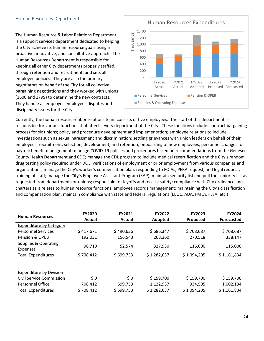#### Human Resources Department

The Human Resource & Labor Relations Department is a support services department dedicated to helping the City achieve its human resource goals using a proactive, innovative, and consultative approach. The Human Resources Department is responsible for keeping all other City departments properly staffed, through retention and recruitment, and sets all employee policies. They are also the primary negotiators on behalf of the City for all collective bargaining negotiations and they worked with unions (1600 and 1799) to determine the new contracts. They handle all employer‐employees disputes and disciplinary issues for the City.



Currently, the human resource/labor relations team consists of five employees. The staff of this department is responsible for various functions that affects every department of the City. These functions include: contract bargaining process for six unions; policy and procedure development and implementation; employee relations to include investigations such as sexual harassment and discrimination; settling grievances with union leaders on behalf of their employees; recruitment, selection, development, and retention; onboarding of new employees; personnel changes for payroll; benefit management; manage COVID‐19 policies and procedures based on recommendations from the Genesee County Health Department and CDC; manage the CDL program to include medical recertification and the City's random drug testing policy required under DOL; verifications of employment or prior employment from various companies and organizations; manage the City's worker's compensation plan; responding to FOIAs, PERA request, and legal request; training of staff; manage the City's Employee Assistant Program (EAP); maintain seniority list and pull the seniority list as requested from departments or unions; responsible for layoffs and recalls; safety; compliance with City ordinance and charters as it relates to human resource functions; employee records management; maintaining the City's classification and compensation plan; maintain compliance with state and federal regulations (EEOC, ADA, FMLA, FLSA, etc.)

| <b>Human Resources</b>          | <b>FY2020</b> | FY2021    | <b>FY2022</b> | <b>FY2023</b> | <b>FY2024</b>     |
|---------------------------------|---------------|-----------|---------------|---------------|-------------------|
|                                 | Actual        | Actual    | Adopted       | Proposed      | <b>Forecasted</b> |
| <b>Expenditure by Category</b>  |               |           |               |               |                   |
| <b>Personnel Services</b>       | \$417,671     | \$490,636 | \$686,347     | \$708,687     | \$708,687         |
| Pension & OPEB                  | 192,031       | 156,543   | 268,360       | 270,518       | 338,147           |
| Supplies & Operating            |               | 52,574    | 327,930       |               | 115,000           |
| <b>Expenses</b>                 | 98,710        |           |               | 115,000       |                   |
| <b>Total Expenditures</b>       | \$708,412     | \$699,753 | \$1,282,637   | \$1,094,205   | \$1,161,834       |
|                                 |               |           |               |               |                   |
|                                 |               |           |               |               |                   |
| <b>Expenditure by Division</b>  |               |           |               |               |                   |
| <b>Civil Service Commission</b> | \$0           | \$0       | \$159,700     | \$159,700     | \$159,700         |
| Personnel Office                | 708,412       | 699,753   | 1,122,937     | 934,505       | 1,002,134         |
| <b>Total Expenditures</b>       | \$708,412     | \$699,753 | \$1,282,637   | \$1,094,205   | \$1,161,834       |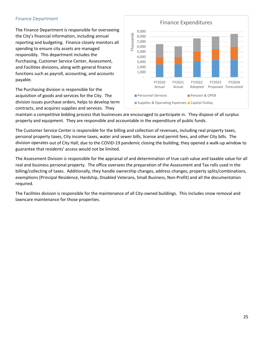#### Finance Department

The Finance Department is responsible for overseeing the City's financial information, including annual reporting and budgeting. Finance closely monitors all spending to ensure city assets are managed responsibly. This department includes the Purchasing, Customer Service Center, Assessment, and Facilities divisions, along with general finance functions such as payroll, accounting, and accounts payable.

The Purchasing division is responsible for the acquisition of goods and services for the City. The division issues purchase orders, helps to develop term contracts, and acquires supplies and services. They



maintain a competitive bidding process that businesses are encouraged to participate in. They dispose of all surplus property and equipment. They are responsible and accountable in the expenditure of public funds.

The Customer Service Center is responsible for the billing and collection of revenues, including real property taxes, personal property taxes, City income taxes, water and sewer bills, license and permit fees, and other City bills. The division operates out of City Hall; due to the COVID‐19 pandemic closing the building, they opened a walk‐up window to guarantee that residents' access would not be limited.

The Assessment Division is responsible for the appraisal of and determination of true cash value and taxable value for all real and business personal property. The office oversees the preparation of the Assessment and Tax rolls used in the billing/collecting of taxes. Additionally, they handle ownership changes, address changes, property splits/combinations, exemptions (Principal Residence, Hardship, Disabled Veterans, Small Business, Non‐Profit) and all the documentation required.

The Facilities division is responsible for the maintenance of all City-owned buildings. This includes snow removal and lawncare maintenance for those properties.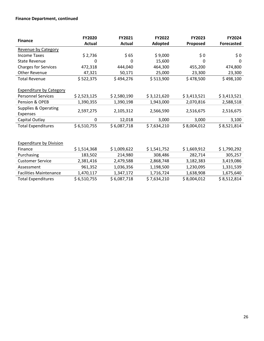#### **Finance Department, continued**

| <b>Finance</b>                  | FY2020        | FY2021      | FY2022      | FY2023      | FY2024            |
|---------------------------------|---------------|-------------|-------------|-------------|-------------------|
|                                 | <b>Actual</b> | Actual      | Adopted     | Proposed    | <b>Forecasted</b> |
| Revenue by Category             |               |             |             |             |                   |
| <b>Income Taxes</b>             | \$2,736       | \$65        | \$9,000     | \$0         | \$0\$             |
| <b>State Revenue</b>            | 0             | 0           | 15,600      | 0           | $\Omega$          |
| <b>Charges for Services</b>     | 472,318       | 444,040     | 464,300     | 455,200     | 474,800           |
| Other Revenue                   | 47,321        | 50,171      | 25,000      | 23,300      | 23,300            |
| <b>Total Revenue</b>            | \$522,375     | \$494,276   | \$513,900   | \$478,500   | \$498,100         |
|                                 |               |             |             |             |                   |
| <b>Expenditure by Category</b>  |               |             |             |             |                   |
| <b>Personnel Services</b>       | \$2,523,125   | \$2,580,190 | \$3,121,620 | \$3,413,521 | \$3,413,521       |
| Pension & OPEB                  | 1,390,355     | 1,390,198   | 1,943,000   | 2,070,816   | 2,588,518         |
| <b>Supplies &amp; Operating</b> | 2,597,275     | 2,105,312   | 2,566,590   | 2,516,675   | 2,516,675         |
| <b>Expenses</b>                 |               |             |             |             |                   |
| Capital Outlay                  | 0             | 12,018      | 3,000       | 3,000       | 3,100             |
| <b>Total Expenditures</b>       | \$6,510,755   | \$6,087,718 | \$7,634,210 | \$8,004,012 | \$8,521,814       |
|                                 |               |             |             |             |                   |
|                                 |               |             |             |             |                   |
| <b>Expenditure by Division</b>  |               |             |             |             |                   |
| Finance                         | \$1,514,368   | \$1,009,622 | \$1,541,752 | \$1,669,912 | \$1,790,292       |
| Purchasing                      | 183,502       | 214,980     | 308,486     | 282,714     | 305,257           |
| <b>Customer Service</b>         | 2,381,416     | 2,479,588   | 2,868,748   | 3,182,383   | 3,419,086         |
| Assessment                      | 961,352       | 1,036,356   | 1,198,500   | 1,230,095   | 1,331,539         |
| <b>Facilities Maintenance</b>   | 1,470,117     | 1,347,172   | 1,716,724   | 1,638,908   | 1,675,640         |
| <b>Total Expenditures</b>       | \$6,510,755   | \$6,087,718 | \$7,634,210 | \$8,004,012 | \$8,512,814       |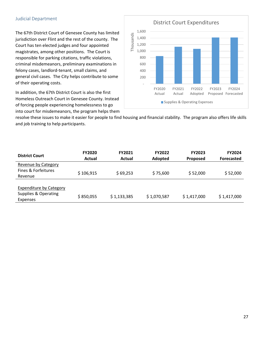#### Judicial Department

The 67th District Court of Genesee County has limited jurisdiction over Flint and the rest of the county. The Court has ten elected judges and four appointed magistrates, among other positions. The Court is responsible for parking citations, traffic violations, criminal misdemeanors, preliminary examinations in felony cases, landlord‐tenant, small claims, and general civil cases. The City helps contribute to some of their operating costs.

In addition, the 67th District Court is also the first Homeless Outreach Court in Genesee County. Instead of forcing people experiencing homelessness to go into court for misdemeanors, the program helps them



resolve these issues to make it easier for people to find housing and financial stability. The program also offers life skills and job training to help participants.

| <b>District Court</b>                                                     | <b>FY2020</b><br>Actual | <b>FY2021</b><br>Actual | <b>FY2022</b><br><b>Adopted</b> | <b>FY2023</b><br><b>Proposed</b> | <b>FY2024</b><br><b>Forecasted</b> |
|---------------------------------------------------------------------------|-------------------------|-------------------------|---------------------------------|----------------------------------|------------------------------------|
| Revenue by Category                                                       |                         |                         |                                 |                                  |                                    |
| Fines & Forfeitures<br>Revenue                                            | \$106,915               | \$69,253                | \$75,600                        | \$52,000                         | \$52,000                           |
| <b>Expenditure by Category</b><br>Supplies & Operating<br><b>Expenses</b> | \$850,055               | \$1,133,385             | \$1,070,587                     | \$1,417,000                      | \$1,417,000                        |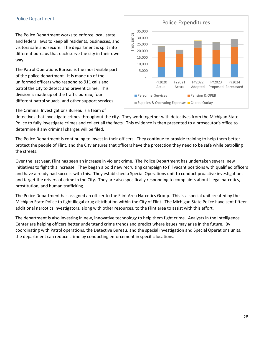#### Police Department

The Police Department works to enforce local, state, and federal laws to keep all residents, businesses, and visitors safe and secure. The department is split into different bureaus that each serve the city in their own way.

The Patrol Operations Bureau is the most visible part of the police department. It is made up of the uniformed officers who respond to 911 calls and patrol the city to detect and prevent crime. This division is made up of the traffic bureau, four different patrol squads, and other support services.



The Criminal Investigations Bureau is a team of

detectives that investigate crimes throughout the city. They work together with detectives from the Michigan State Police to fully investigate crimes and collect all the facts. This evidence is then presented to a prosecutor's office to determine if any criminal charges will be filed.

The Police Department is continuing to invest in their officers. They continue to provide training to help them better protect the people of Flint, and the City ensures that officers have the protection they need to be safe while patrolling the streets.

Over the last year, Flint has seen an increase in violent crime. The Police Department has undertaken several new initiatives to fight this increase. They began a bold new recruiting campaign to fill vacant positions with qualified officers and have already had success with this. They established a Special Operations unit to conduct proactive investigations and target the drivers of crime in the City. They are also specifically responding to complaints about illegal narcotics, prostitution, and human trafficking.

The Police Department has assigned an officer to the Flint Area Narcotics Group. This is a special unit created by the Michigan State Police to fight illegal drug distribution within the City of Flint. The Michigan State Police have sent fifteen additional narcotics investigators, along with other resources, to the Flint area to assist with this effort.

The department is also investing in new, innovative technology to help them fight crime. Analysts in the Intelligence Center are helping officers better understand crime trends and predict where issues may arise in the future. By coordinating with Patrol operations, the Detective Bureau, and the special investigation and Special Operations units, the department can reduce crime by conducting enforcement in specific locations.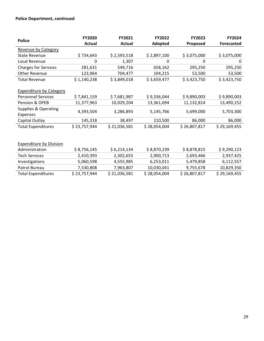#### **Police Department, continued**

| <b>Police</b>                   | <b>FY2020</b> | FY2021        | <b>FY2022</b> | <b>FY2023</b> | <b>FY2024</b>     |
|---------------------------------|---------------|---------------|---------------|---------------|-------------------|
|                                 | <b>Actual</b> | <b>Actual</b> | Adopted       | Proposed      | <b>Forecasted</b> |
| Revenue by Category             |               |               |               |               |                   |
| <b>State Revenue</b>            | \$734,643     | \$2,593,518   | \$2,897,100   | \$3,075,000   | \$3,075,000       |
| Local Revenue                   | 0             | 1,307         | 0             | 0             | 0                 |
| <b>Charges for Services</b>     | 281,631       | 549,716       | 658,162       | 295,250       | 295,250           |
| Other Revenue                   | 123,964       | 704,477       | 104,215       | 53,500        | 53,500            |
| <b>Total Revenue</b>            | \$1,140,238   | \$3,849,018   | \$3,659,477   | \$3,423,750   | \$3,423,750       |
|                                 |               |               |               |               |                   |
| <b>Expenditure by Category</b>  |               |               |               |               |                   |
| <b>Personnel Services</b>       | \$7,841,159   | \$7,681,987   | \$9,336,044   | \$9,890,003   | \$9,890,003       |
| Pension & OPEB                  | 11,377,963    | 10,029,204    | 13,361,694    | 11,132,814    | 13,490,152        |
| <b>Supplies &amp; Operating</b> | 4,393,504     | 3,286,893     | 5,145,766     | 5,699,000     | 5,703,300         |
| <b>Expenses</b>                 |               |               |               |               |                   |
| Capital Outlay                  | 145,318       | 38,497        | 210,500       | 86,000        | 86,000            |
| <b>Total Expenditures</b>       | \$23,757,944  | \$21,036,581  | \$28,054,004  | \$26,807,817  | \$29,169,455      |
|                                 |               |               |               |               |                   |
|                                 |               |               |               |               |                   |
| <b>Expenditure by Division</b>  |               |               |               |               |                   |
| Administration                  | \$8,756,145   | \$6,214,134   | \$8,870,239   | \$8,878,815   | \$9,290,123       |
| <b>Tech Services</b>            | 2,410,393     | 2,302,655     | 2,900,713     | 2,693,466     | 2,937,425         |
| Investigations                  | 5,060,598     | 4,555,985     | 6,253,011     | 5,479,858     | 6,112,557         |
| Patrol Bureau                   | 7,530,808     | 7,963,807     | 10,030,041    | 9,755,678     | 10,829,350        |
| <b>Total Expenditures</b>       | \$23,757,944  | \$21,036,581  | \$28,054,004  | \$26,807,817  | \$29,169,455      |
|                                 |               |               |               |               |                   |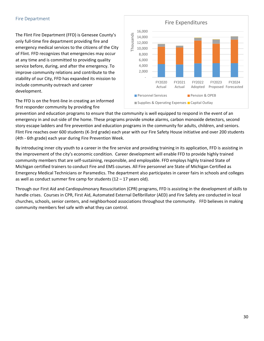#### Fire Department

The Flint Fire Department (FFD) is Genesee County's only full‐time fire department providing fire and emergency medical services to the citizens of the City of Flint. FFD recognizes that emergencies may occur at any time and is committed to providing quality service before, during, and after the emergency. To improve community relations and contribute to the stability of our City, FFD has expanded its mission to include community outreach and career development.

The FFD is on the front‐line in creating an informed first responder community by providing fire



prevention and education programs to ensure that the community is well equipped to respond in the event of an emergency in and out‐side of the home. These programs provide smoke alarms, carbon monoxide detectors, second story escape ladders and fire prevention and education programs in the community for adults, children, and seniors. Flint Fire reaches over 600 students (K‐3rd grade) each year with our Fire Safety House initiative and over 200 students (4th ‐ 6th grade) each year during Fire Prevention Week.

By introducing inner city youth to a career in the fire service and providing training in its application, FFD is assisting in the improvement of the city's economic condition. Career development will enable FFD to provide highly trained community members that are self‐sustaining, responsible, and employable. FFD employs highly trained State of Michigan certified trainers to conduct Fire and EMS courses. All Fire personnel are State of Michigan Certified as Emergency Medical Technicians or Paramedics. The department also participates in career fairs in schools and colleges as well as conduct summer fire camp for students  $(12 - 17$  years old).

Through our First Aid and Cardiopulmonary Resuscitation (CPR) programs, FFD is assisting in the development of skills to handle crises. Courses in CPR, First Aid, Automated External Defibrillator (AED) and Fire Safety are conducted in local churches, schools, senior centers, and neighborhood associations throughout the community. FFD believes in making community members feel safe with what they can control.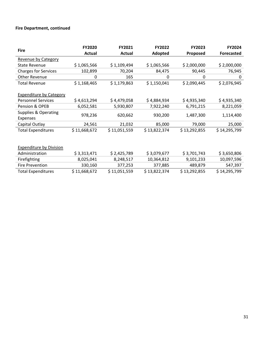#### **Fire Department, continued**

| <b>Fire</b>                    | FY2020       | FY2021       | <b>FY2022</b> | <b>FY2023</b> | FY2024            |
|--------------------------------|--------------|--------------|---------------|---------------|-------------------|
|                                | Actual       | Actual       | Adopted       | Proposed      | <b>Forecasted</b> |
| Revenue by Category            |              |              |               |               |                   |
| <b>State Revenue</b>           | \$1,065,566  | \$1,109,494  | \$1,065,566   | \$2,000,000   | \$2,000,000       |
| <b>Charges for Services</b>    | 102,899      | 70,204       | 84,475        | 90,445        | 76,945            |
| <b>Other Revenue</b>           | 0            | 165          | 0             | 0             | 0                 |
| <b>Total Revenue</b>           | \$1,168,465  | \$1,179,863  | \$1,150,041   | \$2,090,445   | \$2,076,945       |
|                                |              |              |               |               |                   |
| <b>Expenditure by Category</b> |              |              |               |               |                   |
| <b>Personnel Services</b>      | \$4,613,294  | \$4,479,058  | \$4,884,934   | \$4,935,340   | \$4,935,340       |
| Pension & OPEB                 | 6,052,581    | 5,930,807    | 7,922,240     | 6,791,215     | 8,221,059         |
| Supplies & Operating           | 978,236      | 620,662      | 930,200       | 1,487,300     | 1,114,400         |
| Expenses                       |              |              |               |               |                   |
| Capital Outlay                 | 24,561       | 21,032       | 85,000        | 79,000        | 25,000            |
| <b>Total Expenditures</b>      | \$11,668,672 | \$11,051,559 | \$13,822,374  | \$13,292,855  | \$14,295,799      |
|                                |              |              |               |               |                   |
|                                |              |              |               |               |                   |
| <b>Expenditure by Division</b> |              |              |               |               |                   |
| Administration                 | \$3,313,471  | \$2,425,789  | \$3,079,677   | \$3,701,743   | \$3,650,806       |
| Firefighting                   | 8,025,041    | 8,248,517    | 10,364,812    | 9,101,233     | 10,097,596        |
| <b>Fire Prevention</b>         | 330,160      | 377,253      | 377,885       | 489,879       | 547,397           |
| <b>Total Expenditures</b>      | \$11,668,672 | \$11,051,559 | \$13,822,374  | \$13,292,855  | \$14,295,799      |
|                                |              |              |               |               |                   |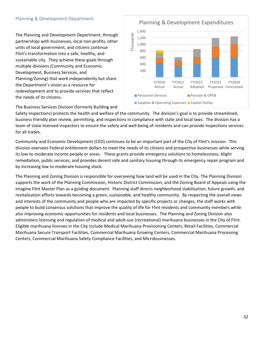#### Planning & Development Department

The Planning and Development Department, through partnerships with businesses, local non‐profits, other units of local government, and citizens continue Flint's transformation into a safe, healthy, and sustainable city. They achieve these goals through multiple divisions (Community and Economic Development, Business Services, and Planning/Zoning) that work independently but share the Department's vision as a resource for redevelopment and to provide services that reflect the needs of its citizens.

Planning & Development Expenditures 1,400 Thousands Thousands 1,200 1,000 800 600 400 200 ‐ FY2020 FY2021 FY2022 FY2023 FY2024 Actual Actual Adopted Proposed Forecasted **Personnel Services** Pension & OPEB Supplies & Operating Expenses Capital Outlay

The Business Services Division (formerly Building and

Safety Inspections) protects the health and welfare of the community. The division's goal is to provide streamlined, business friendly plan review, permitting, and inspections in compliance with state and local laws. The division has a team of state-licensed inspectors to ensure the safety and well-being of residents and can provide inspections services for all trades.

Community and Economic Development (CED) continues to be an important part of the City of Flint's mission. This division oversees Federal entitlement dollars to meet the needs of its citizens and prospective businesses while serving its low to moderate income people or areas. These grants provide emergency solutions to homelessness, blight remediation, public services, and provides decent safe and sanitary housing through its emergency repair program and by increasing low to moderate housing stock.

The Planning and Zoning Division is responsible for overseeing how land will be used in the City. The Planning Division supports the work of the Planning Commission, Historic District Commission, and the Zoning Board of Appeals using the Imagine Flint Master Plan as a guiding document. Planning staff directs neighborhood stabilization, future growth, and revitalization efforts towards becoming a green, sustainable, and healthy community. By respecting the overall views and interests of the community and people who are impacted by specific projects or changes, the staff works with people to build consensus solutions that improve the quality of life for Flint residents and community members while also improving economic opportunities for residents and local businesses. The Planning and Zoning Division also administers licensing and regulation of medical and adult‐use (recreational) marihuana businesses in the City of Flint. Eligible marihuana licenses in the City include Medical Marihuana Provisioning Centers, Retail Facilities, Commercial Marihuana Secure Transport Facilities, Commercial Marihuana Growing Centers, Commercial Marihuana Processing Centers, Commercial Marihuana Safety Compliance Facilities, and Microbusinesses.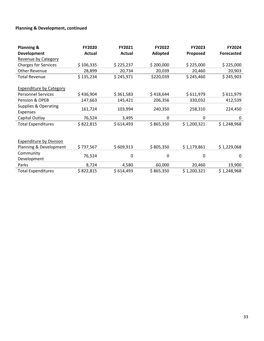#### **Planning & Development, continued**

| <b>Planning &amp;</b>                       | FY2020    | FY2021    | FY2022    | FY2023      | FY2024            |
|---------------------------------------------|-----------|-----------|-----------|-------------|-------------------|
| <b>Development</b>                          | Actual    | Actual    | Adopted   | Proposed    | <b>Forecasted</b> |
| Revenue by Category                         |           |           |           |             |                   |
| <b>Charges for Services</b>                 | \$106,335 | \$225,237 | \$200,000 | \$225,000   | \$225,000         |
| <b>Other Revenue</b>                        | 28,899    | 20,734    | 20,039    | 20,460      | 20,903            |
| <b>Total Revenue</b>                        | \$135,234 | \$245,971 | \$220,039 | \$245,460   | \$245,903         |
| <b>Expenditure by Category</b>              |           |           |           |             |                   |
| <b>Personnel Services</b>                   | \$436,904 | \$361,583 | \$418,644 | \$611,979   | \$611,979         |
| Pension & OPEB                              | 147,663   | 145,421   | 206,356   | 330,032     | 412,539           |
| <b>Supplies &amp; Operating</b><br>Expenses | 161,724   | 103,994   | 240,350   | 258,310     | 224,450           |
| Capital Outlay                              | 76,524    | 3,495     | 0         | 0           | 0                 |
| <b>Total Expenditures</b>                   | \$822,815 | \$614,493 | \$865,350 | \$1,200,321 | \$1,248,968       |
| <b>Expenditure by Division</b>              |           |           |           |             |                   |
| Planning & Development                      | \$737,567 | \$609,913 | \$805,350 | \$1,179,861 | \$1,229,068       |
| Community<br>Development                    | 76,524    | 0         | 0         | 0           | 0                 |
| Parks                                       | 8,724     | 4,580     | 60,000    | 20,460      | 19,900            |
| <b>Total Expenditures</b>                   | \$822,815 | \$614,493 | \$865,350 | \$1,200,321 | \$1,248,968       |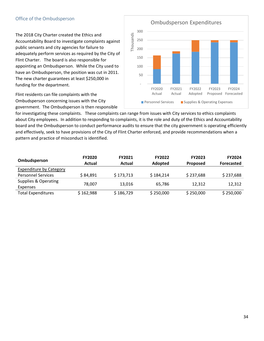#### Office of the Ombudsperson

The 2018 City Charter created the Ethics and Accountability Board to investigate complaints against public servants and city agencies for failure to adequately perform services as required by the City of Flint Charter. The board is also responsible for appointing an Ombudsperson. While the City used to have an Ombudsperson, the position was cut in 2011. The new charter guarantees at least \$250,000 in funding for the department.

Flint residents can file complaints with the Ombudsperson concerning issues with the City government. The Ombudsperson is then responsible



for investigating these complaints. These complaints can range from issues with City services to ethics complaints about City employees. In addition to responding to complaints, it is the role and duty of the Ethics and Accountability board and the Ombudsperson to conduct performance audits to ensure that the city government is operating efficiently and effectively, seek to have provisions of the City of Flint Charter enforced, and provide recommendations when a pattern and practice of misconduct is identified.

| Ombudsperson                     | <b>FY2020</b><br>Actual | <b>FY2021</b><br>Actual | <b>FY2022</b><br>Adopted | <b>FY2023</b><br><b>Proposed</b> | <b>FY2024</b><br>Forecasted |
|----------------------------------|-------------------------|-------------------------|--------------------------|----------------------------------|-----------------------------|
| <b>Expenditure by Category</b>   |                         |                         |                          |                                  |                             |
| <b>Personnel Services</b>        | \$84,891                | \$173,713               | \$184,214                | \$237,688                        | \$237,688                   |
| Supplies & Operating<br>Expenses | 78.007                  | 13.016                  | 65.786                   | 12.312                           | 12,312                      |
| <b>Total Expenditures</b>        | \$162,988               | \$186,729               | \$250,000                | \$250,000                        | \$250,000                   |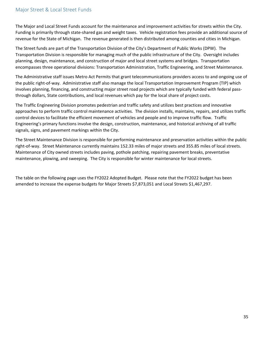#### Major Street & Local Street Funds

The Major and Local Street Funds account for the maintenance and improvement activities for streets within the City. Funding is primarily through state‐shared gas and weight taxes. Vehicle registration fees provide an additional source of revenue for the State of Michigan. The revenue generated is then distributed among counties and cities in Michigan.

The Street funds are part of the Transportation Division of the City's Department of Public Works (DPW). The Transportation Division is responsible for managing much of the public infrastructure of the City. Oversight includes planning, design, maintenance, and construction of major and local street systems and bridges. Transportation encompasses three operational divisions: Transportation Administration, Traffic Engineering, and Street Maintenance.

The Administrative staff issues Metro Act Permits that grant telecommunications providers access to and ongoing use of the public right‐of‐way. Administrative staff also manage the local Transportation Improvement Program (TIP) which involves planning, financing, and constructing major street road projects which are typically funded with federal passthrough dollars, State contributions, and local revenues which pay for the local share of project costs.

The Traffic Engineering Division promotes pedestrian and traffic safety and utilizes best practices and innovative approaches to perform traffic control maintenance activities. The division installs, maintains, repairs, and utilizes traffic control devices to facilitate the efficient movement of vehicles and people and to improve traffic flow. Traffic Engineering's primary functions involve the design, construction, maintenance, and historical archiving of all traffic signals, signs, and pavement markings within the City.

The Street Maintenance Division is responsible for performing maintenance and preservation activities within the public right-of-way. Street Maintenance currently maintains 152.33 miles of major streets and 355.85 miles of local streets. Maintenance of City owned streets includes paving, pothole patching, repairing pavement breaks, preventative maintenance, plowing, and sweeping. The City is responsible for winter maintenance for local streets.

The table on the following page uses the FY2022 Adopted Budget. Please note that the FY2022 budget has been amended to increase the expense budgets for Major Streets \$7,873,051 and Local Streets \$1,467,297.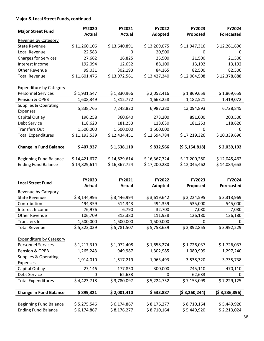#### **Major & Local Street Funds, continued**

|                                             | FY2020        | FY2021        | FY2022       | FY2023         | FY2024            |
|---------------------------------------------|---------------|---------------|--------------|----------------|-------------------|
| <b>Major Street Fund</b>                    | <b>Actual</b> | <b>Actual</b> | Adopted      | Proposed       | <b>Forecasted</b> |
| Revenue by Category                         |               |               |              |                |                   |
| <b>State Revenue</b>                        | \$11,260,106  | \$13,640,891  | \$13,209,075 | \$11,947,316   | \$12,261,696      |
| Local Revenue                               | 22,583        | 0             | 20,500       | 0              | 0                 |
| <b>Charges for Services</b>                 | 27,662        | 16,825        | 25,500       | 21,500         | 21,500            |
| Interest Income                             | 192,094       | 12,652        | 88,100       | 13,192         | 13,192            |
| <b>Other Revenue</b>                        | 99,031        | 302,193       | 84,165       | 82,500         | 82,500            |
| <b>Total Revenue</b>                        | \$11,601,476  | \$13,972,561  | \$13,427,340 | \$12,064,508   | \$12,378,888      |
| <b>Expenditure by Category</b>              |               |               |              |                |                   |
| <b>Personnel Services</b>                   | \$1,931,547   | \$1,830,966   | \$2,052,416  | \$1,869,659    | \$1,869,659       |
| Pension & OPEB                              | 1,608,349     | 1,312,772     | 1,663,258    | 1,182,521      | 1,419,072         |
| <b>Supplies &amp; Operating</b><br>Expenses | 5,838,765     | 7,248,820     | 6,987,280    | 13,094,893     | 6,728,845         |
| Capital Outlay                              | 196,258       | 360,640       | 273,200      | 891,000        | 203,500           |
| Debt Service                                | 118,620       | 181,253       | 118,630      | 181,253        | 118,620           |
| <b>Transfers Out</b>                        | 1,500,000     | 1,500,000     | 1,500,000    | 0              | 0                 |
| <b>Total Expenditures</b>                   | \$11,193,539  | \$12,434,451  | \$12,594,784 | \$17,219,326   | \$10,339,696      |
| <b>Change in Fund Balance</b>               | \$407,937     | \$1,538,110   | \$832,566    | (55, 154, 818) | \$2,039,192       |
|                                             |               |               |              |                |                   |
| <b>Beginning Fund Balance</b>               | \$14,421,677  | \$14,829,614  | \$16,367,724 | \$17,200,280   | \$12,045,462      |
| <b>Ending Fund Balance</b>                  | \$14,829,614  | \$16,367,724  | \$17,200,280 | \$12,045,462   | \$14,084,653      |
|                                             |               |               |              |                |                   |
|                                             | FY2020        | FY2021        | FY2022       | FY2023         | FY2024            |
| <b>Local Street Fund</b>                    | <b>Actual</b> | <b>Actual</b> | Adopted      | Proposed       | <b>Forecasted</b> |
| Revenue by Category                         |               |               |              |                |                   |
| <b>State Revenue</b>                        | \$3,144,995   | \$3,446,994   | \$3,619,642  | \$3,224,595    | \$3,313,969       |
| Contribution                                | 494,359       | 514,343       | 494,359      | 535,000        | 545,000           |
| Interest Income                             | 76,976        | 6,790         | 32,700       | 7,080          | 7,080             |
| <b>Other Revenue</b>                        | 106,709       | 313,380       | 111,938      | 126,180        | 126,180           |
| Transfers In                                | 1,500,000     | 1,500,000     | 1,500,000    | 0              | 0                 |
| <b>Total Revenue</b>                        | \$5,323,039   | \$5,781,507   | \$5,758,639  | \$3,892,855    | \$3,992,229       |
|                                             |               |               |              |                |                   |
| <b>Expenditure by Category</b>              |               |               |              |                |                   |
| <b>Personnel Services</b>                   | \$1,217,319   | \$1,072,408   | \$1,658,274  | \$1,726,037    | \$1,726,037       |
| Pension & OPEB                              | 1,265,243     | 949,987       | 1,302,985    | 1,080,999      | 1,297,240         |
| <b>Supplies &amp; Operating</b>             | 1,914,010     | 1,517,219     | 1,963,493    | 3,538,320      | 3,735,738         |
| Expenses                                    |               |               |              |                |                   |
| Capital Outlay                              | 27,146        | 177,850       | 300,000      | 745,110        | 470,110           |
| Debt Service                                | 0             | 62,633        | 0            | 62,633         | 0                 |
| <b>Total Expenditures</b>                   | \$4,423,718   | \$3,780,097   | \$5,224,752  | \$7,153,099    | \$7,229,125       |
|                                             |               |               |              |                |                   |
|                                             |               | \$2,001,410   | \$533,887    |                |                   |
| <b>Change in Fund Balance</b>               | \$899,321     |               |              | (53,260,244)   | (53,236,896)      |
| <b>Beginning Fund Balance</b>               | \$5,275,546   | \$6,174,867   | \$8,176,277  | \$8,710,164    | \$5,449,920       |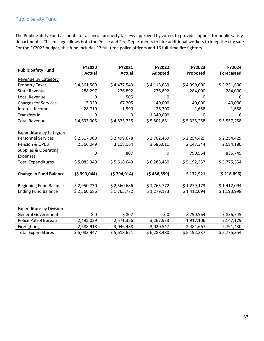## Public Safety Fund

The Public Safety Fund accounts for a special property tax levy approved by voters to provide support for public safety departments. This millage allows both the Police and Fire Departments to hire additional workers to keep the city safe. For the FY2023 budget, this fund includes 12 full-time police officers and 16 full-time fire fighters.

| <b>Public Safety Fund</b>       | <b>FY2020</b> | FY2021        | <b>FY2022</b> | FY2023      | FY2024            |
|---------------------------------|---------------|---------------|---------------|-------------|-------------------|
|                                 | <b>Actual</b> | <b>Actual</b> | Adopted       | Proposed    | <b>Forecasted</b> |
| Revenue by Category             |               |               |               |             |                   |
| <b>Property Taxes</b>           | \$4,361,569   | \$4,477,543   | \$4,118,689   | \$4,999,600 | \$5,231,600       |
| <b>State Revenue</b>            | 288,297       | 276,892       | 276,892       | 284,000     | 284,000           |
| Local Revenue                   | 0             | 505           | 0             | 0           | 0                 |
| <b>Charges for Services</b>     | 15,329        | 67,205        | 40,000        | 40,000      | 40,000            |
| Interest Income                 | 28,710        | 1,590         | 26,300        | 1,658       | 1,658             |
| Transfers In                    | 0             | 0             | 1,340,000     | 0           | 0                 |
| <b>Total Revenue</b>            | \$4,693,905   | \$4,823,735   | \$5,801,881   | \$5,325,258 | \$5,557,258       |
| <b>Expenditure by Category</b>  |               |               |               |             |                   |
| <b>Personnel Services</b>       | \$2,517,900   | \$2,499,678   | \$2,702,469   | \$2,254,429 | \$2,254,429       |
| Pension & OPEB                  | 2,566,049     | 3,118,164     | 3,586,011     | 2,147,344   | 2,684,180         |
| <b>Supplies &amp; Operating</b> | 0             | 807           | $\Omega$      | 790,564     | 836,745           |
| Expenses                        |               |               |               |             |                   |
| <b>Total Expenditures</b>       | \$5,083,949   | \$5,618,649   | \$6,288,480   | \$5,192,337 | \$5,775,354       |
|                                 |               |               |               |             |                   |
| <b>Change in Fund Balance</b>   | (\$390,044)   | (5794, 914)   | (\$486,599)   | \$132,921   | (\$218,096)       |
|                                 |               |               |               |             |                   |
| <b>Beginning Fund Balance</b>   | \$2,950,730   | \$2,560,686   | \$1,765,772   | \$1,279,173 | \$1,412,094       |
| <b>Ending Fund Balance</b>      | \$2,560,686   | \$1,765,772   | \$1,279,173   | \$1,412,094 | \$1,193,998       |
|                                 |               |               |               |             |                   |
|                                 |               |               |               |             |                   |
| <b>Expenditure by Division</b>  |               |               |               |             |                   |
| <b>General Government</b>       | \$0           | \$807         | \$0           | \$790,564   | \$836,745         |
| Police Patrol Bureau            | 2,495,029     | 2,571,356     | 3,267,933     | 1,917,106   | 2,147,179         |
| Firefighting                    | 2,588,918     | 3,046,488     | 3,020,547     | 2,484,667   | 2,791,430         |
| <b>Total Expenditures</b>       | \$5,083,947   | \$5,618,651   | \$6,288,480   | \$5,192,337 | \$5,775,354       |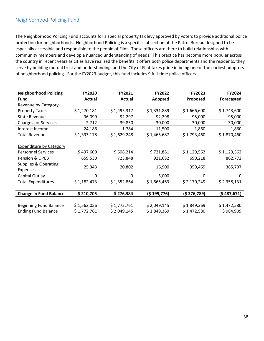## Neighborhood Policing Fund

The Neighborhood Policing Fund accounts for a special property tax levy approved by voters to provide additional police protection for neighborhoods. Neighborhood Policing is a specific subsection of the Patrol Bureau designed to be especially accessible and responsible to the people of Flint. These officers are there to build relationships with community members and develop a nuanced understanding of needs. This practice has become more popular across the country in recent years as cities have realized the benefits it offers both police departments and the residents, they serve by building mutual trust and understanding, and the City of Flint takes pride in being one of the earliest adopters of neighborhood policing. For the FY2023 budget, this fund includes 9 full-time police officers.

| <b>Neighborhood Policing</b>   | FY2020      | FY2021        | FY2022      | FY2023      | FY2024            |
|--------------------------------|-------------|---------------|-------------|-------------|-------------------|
| <b>Fund</b>                    | Actual      | <b>Actual</b> | Adopted     | Proposed    | <b>Forecasted</b> |
| Revenue by Category            |             |               |             |             |                   |
| <b>Property Taxes</b>          | \$1,270,181 | \$1,495,317   | \$1,331,889 | \$1,666,600 | \$1,743,600       |
| <b>State Revenue</b>           | 96,099      | 92,297        | 92,298      | 95,000      | 95,000            |
| <b>Charges for Services</b>    | 2,712       | 39,850        | 30,000      | 30,000      | 30,000            |
| Interest Income                | 24,186      | 1,784         | 11,500      | 1,860       | 1,860             |
| <b>Total Revenue</b>           | \$1,393,178 | \$1,629,248   | \$1,465,687 | \$1,793,460 | \$1,870,460       |
|                                |             |               |             |             |                   |
| <b>Expenditure by Category</b> |             |               |             |             |                   |
| <b>Personnel Services</b>      | \$497,600   | \$608,214     | \$721,881   | \$1,129,562 | \$1,129,562       |
| Pension & OPEB                 | 659,530     | 723,848       | 921,682     | 690,218     | 862,772           |
| Supplies & Operating           |             |               |             |             |                   |
| <b>Expenses</b>                | 25,343      | 20,802        | 16,900      | 350,469     | 365,797           |
| Capital Outlay                 | 0           | 0             | 5,000       | 0           | 0                 |
| <b>Total Expenditures</b>      | \$1,182,473 | \$1,352,864   | \$1,665,463 | \$2,170,249 | \$2,358,131       |
|                                |             |               |             |             |                   |
| <b>Change in Fund Balance</b>  | \$210,705   | \$276,384     | (\$199,776) | (5376,789)  | (5487,671)        |
|                                |             |               |             |             |                   |
| <b>Beginning Fund Balance</b>  | \$1,562,056 | \$1,772,761   | \$2,049,145 | \$1,849,369 | \$1,472,580       |
| <b>Ending Fund Balance</b>     | \$1,772,761 | \$2,049,145   | \$1,849,369 | \$1,472,580 | \$984,909         |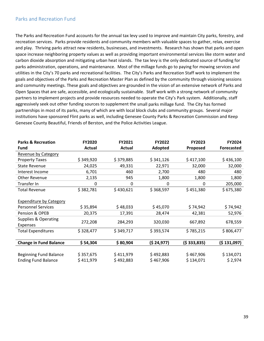## Parks and Recreation Fund

The Parks and Recreation Fund accounts for the annual tax levy used to improve and maintain City parks, forestry, and recreation services. Parks provide residents and community members with valuable spaces to gather, relax, exercise and play. Thriving parks attract new residents, businesses, and investments. Research has shown that parks and open space increase neighboring property values as well as providing important environmental services like storm water and carbon dioxide absorption and mitigating urban heat islands. The tax levy is the only dedicated source of funding for parks administration, operations, and maintenance. Most of the millage funds go to paying for mowing services and utilities in the City's 70 parks and recreational facilities. The City's Parks and Recreation Staff work to implement the goals and objectives of the Parks and Recreation Master Plan as defined by the community through visioning sessions and community meetings. These goals and objectives are grounded in the vision of an extensive network of Parks and Open Spaces that are safe, accessible, and ecologically sustainable. Staff work with a strong network of community partners to implement projects and provide resources needed to operate the City's Park system. Additionally, staff aggressively seek out other funding sources to supplement the small parks millage fund. The City has formed partnerships in most of its parks, many of which are with local block clubs and community groups. Several major institutions have sponsored Flint parks as well, including Genesee County Parks & Recreation Commission and Keep Genesee County Beautiful, Friends of Berston, and the Police Activities League.

| <b>Parks &amp; Recreation</b>  | <b>FY2020</b> | FY2021    | <b>FY2022</b> | <b>FY2023</b> | <b>FY2024</b>     |
|--------------------------------|---------------|-----------|---------------|---------------|-------------------|
| Fund                           | Actual        | Actual    | Adopted       | Proposed      | <b>Forecasted</b> |
| Revenue by Category            |               |           |               |               |                   |
| <b>Property Taxes</b>          | \$349,920     | \$379,885 | \$341,126     | \$417,100     | \$436,100         |
| <b>State Revenue</b>           | 24,025        | 49,331    | 22,971        | 32,000        | 32,000            |
| Interest Income                | 6,701         | 460       | 2,700         | 480           | 480               |
| <b>Other Revenue</b>           | 2,135         | 945       | 1,800         | 1,800         | 1,800             |
| Transfer In                    | 0             | 0         | 0             | 0             | 205,000           |
| <b>Total Revenue</b>           | \$382,781     | \$430,621 | \$368,597     | \$451,380     | \$675,380         |
|                                |               |           |               |               |                   |
| <b>Expenditure by Category</b> |               |           |               |               |                   |
| <b>Personnel Services</b>      | \$35,894      | \$48,033  | \$45,070      | \$74,942      | \$74,942          |
| Pension & OPEB                 | 20,375        | 17,391    | 28,474        | 42,381        | 52,976            |
| Supplies & Operating           |               |           |               |               |                   |
| <b>Expenses</b>                | 272,208       | 284,293   | 320,030       | 667,892       | 678,559           |
| <b>Total Expenditures</b>      | \$328,477     | \$349,717 | \$393,574     | \$785,215     | \$806,477         |
|                                |               |           |               |               |                   |
| <b>Change in Fund Balance</b>  | \$54,304      | \$80,904  | (524, 977)    | (5333,835)    | (5131,097)        |
|                                |               |           |               |               |                   |
| <b>Beginning Fund Balance</b>  | \$357,675     | \$411,979 | \$492,883     | \$467,906     | \$134,071         |
| <b>Ending Fund Balance</b>     | \$411,979     | \$492,883 | \$467,906     | \$134,071     | \$2,974           |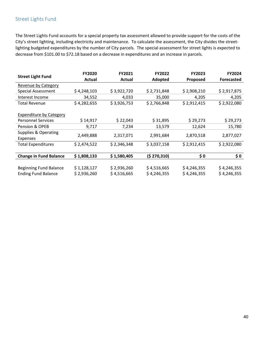## Street Lights Fund

The Street Lights Fund accounts for a special property tax assessment allowed to provide support for the costs of the City's street lighting, including electricity and maintenance. To calculate the assessment, the City divides the street‐ lighting budgeted expenditures by the number of City parcels. The special assessment for street lights is expected to decrease from \$101.00 to \$72.18 based on a decrease in expenditures and an increase in parcels.

| <b>Street Light Fund</b>        | <b>FY2020</b> | FY2021      | <b>FY2022</b> | <b>FY2023</b> | FY2024            |
|---------------------------------|---------------|-------------|---------------|---------------|-------------------|
|                                 | Actual        | Actual      | Adopted       | Proposed      | <b>Forecasted</b> |
| Revenue by Category             |               |             |               |               |                   |
| <b>Special Assessment</b>       | \$4,248,103   | \$3,922,720 | \$2,731,848   | \$2,908,210   | \$2,917,875       |
| Interest Income                 | 34,552        | 4,033       | 35,000        | 4,205         | 4,205             |
| <b>Total Revenue</b>            | \$4,282,655   | \$3,926,753 | \$2,766,848   | \$2,912,415   | \$2,922,080       |
|                                 |               |             |               |               |                   |
| <b>Expenditure by Category</b>  |               |             |               |               |                   |
| <b>Personnel Services</b>       | \$14,917      | \$22,043    | \$31,895      | \$29,273      | \$29,273          |
| Pension & OPEB                  | 9,717         | 7,234       | 13,579        | 12,624        | 15,780            |
| <b>Supplies &amp; Operating</b> |               |             |               |               |                   |
| Expenses                        | 2,449,888     | 2,317,071   | 2,991,684     | 2,870,518     | 2,877,027         |
| <b>Total Expenditures</b>       | \$2,474,522   | \$2,346,348 | \$3,037,158   | \$2,912,415   | \$2,922,080       |
|                                 |               |             |               |               |                   |
| <b>Change in Fund Balance</b>   | \$1,808,133   | \$1,580,405 | (5 270, 310)  | \$0           | \$0               |
|                                 |               |             |               |               |                   |
| <b>Beginning Fund Balance</b>   | \$1,128,127   | \$2,936,260 | \$4,516,665   | \$4,246,355   | \$4,246,355       |
| <b>Ending Fund Balance</b>      | \$2,936,260   | \$4,516,665 | \$4,246,355   | \$4,246,355   | \$4,246,355       |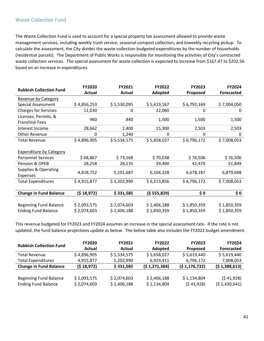## Waste Collection Fund

The Waste Collection Fund is used to account for a special property tax assessment allowed to provide waste management services, including weekly trash service, seasonal compost collection, and biweekly recycling pickup. To calculate the assessment, the City divides the waste‐collection budgeted expenditures by the number of households (residential parcels). The Department of Public Works is responsible for monitoring the activities of City's contracted waste collection services. The special assessment for waste collection is expected to increase from \$167.47 to \$202.56 based on an increase in expenditures.

| <b>Rubbish Collection Fund</b>  | FY2020      | FY2021        | FY2022      | FY2023      | FY2024            |
|---------------------------------|-------------|---------------|-------------|-------------|-------------------|
|                                 | Actual      | <b>Actual</b> | Adopted     | Proposed    | <b>Forecasted</b> |
| Revenue by Category             |             |               |             |             |                   |
| <b>Special Assessment</b>       | \$4,856,253 | \$5,530,095   | \$5,619,167 | \$6,792,169 | \$7,004,050       |
| <b>Charges for Services</b>     | 11,030      | 0             | 22,060      | 0           | 0                 |
| Licenses, Permits, &            |             |               |             |             |                   |
| <b>Franchise Fees</b>           | 960         | 840           | 1,500       | 1,500       | 1,500             |
| Interest Income                 | 28,662      | 2,400         | 15,300      | 2,503       | 2,503             |
| Other Revenue                   | 0           | 1,240         | 0           | 0           | 0                 |
| Total Revenue                   | \$4,896,905 | \$5,534,575   | \$5,658,027 | \$6,796,172 | \$7,008,053       |
|                                 |             |               |             |             |                   |
| <b>Expenditure by Category</b>  |             |               |             |             |                   |
| <b>Personnel Services</b>       | \$68,867    | \$73,168      | \$70,038    | \$76,506    | \$76,506          |
| Pension & OPEB                  | 28,258      | 28,135        | 39,490      | 41,479      | 51,849            |
| <b>Supplies &amp; Operating</b> |             |               |             |             |                   |
| Expenses                        | 4,818,752   | 5,101,687     | 6,104,328   | 6,678,187   | 6,879,698         |
| <b>Total Expenditures</b>       | \$4,915,877 | \$5,202,990   | \$6,213,856 | \$6,796,172 | \$7,008,053       |
|                                 |             |               |             |             |                   |
| <b>Change in Fund Balance</b>   | (518, 972)  | \$331,585     | (555,829)   | \$0         | \$0               |
|                                 |             |               |             |             |                   |
| <b>Beginning Fund Balance</b>   | \$2,093,575 | \$2,074,603   | \$2,406,188 | \$1,850,359 | \$1,850,359       |
| <b>Ending Fund Balance</b>      | \$2,074,603 | \$2,406,188   | \$1,850,359 | \$1,850,359 | \$1,850,359       |

This revenue budgeted for FY2023 and FY2024 assumes an increase in the special assessment rate. If the rate is not updated, the fund balance projections update as below. The below table also includes the FY2022 budget amendment.

| <b>Rubbish Collection Fund</b> | <b>FY2020</b> | <b>FY2021</b> | <b>FY2022</b> | <b>FY2023</b>  | <b>FY2024</b>     |
|--------------------------------|---------------|---------------|---------------|----------------|-------------------|
|                                | Actual        | Actual        | Adopted       | Proposed       | <b>Forecasted</b> |
| <b>Total Revenue</b>           | \$4,896,905   | \$5,534,575   | \$5,658,027   | \$5,619,440    | \$5,619,440       |
| <b>Total Expenditures</b>      | 4,915,877     | 5,202,990     | 6,929,411     | 6,796,172      | 7,008,053         |
| <b>Change in Fund Balance</b>  | (518,972)     | \$331,585     | (51,271,384)  | (51, 176, 732) | (51,388,613)      |
|                                |               |               |               |                |                   |
|                                |               |               |               |                |                   |
| <b>Beginning Fund Balance</b>  | \$2,093,575   | \$2,074,603   | \$2,406,188   | \$1,134,804    | (541,928)         |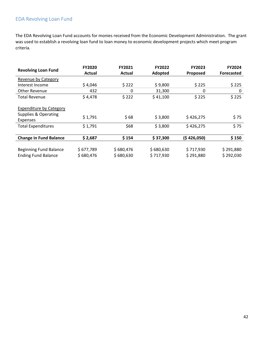## EDA Revolving Loan Fund

The EDA Revolving Loan Fund accounts for monies received from the Economic Development Administration. The grant was used to establish a revolving loan fund to loan money to economic development projects which meet program criteria.

| <b>Revolving Loan Fund</b>                                                    | <b>FY2020</b><br>Actual | FY2021<br>Actual       | <b>FY2022</b><br>Adopted | <b>FY2023</b><br>Proposed | <b>FY2024</b><br><b>Forecasted</b> |
|-------------------------------------------------------------------------------|-------------------------|------------------------|--------------------------|---------------------------|------------------------------------|
| Revenue by Category                                                           |                         |                        |                          |                           |                                    |
| Interest Income                                                               | \$4,046                 | \$222                  | \$9,800                  | \$225                     | \$225                              |
| Other Revenue                                                                 | 432                     | 0                      | 31,300                   | 0                         | 0                                  |
| <b>Total Revenue</b>                                                          | \$4,478                 | \$222                  | \$41,100                 | \$225                     | \$225                              |
| <b>Expenditure by Category</b><br><b>Supplies &amp; Operating</b><br>Expenses | \$1,791                 | \$68                   | \$3,800                  | \$426,275                 | \$75                               |
| <b>Total Expenditures</b>                                                     | \$1,791                 | \$68                   | \$3,800                  | \$426,275                 | \$75                               |
|                                                                               |                         |                        |                          |                           |                                    |
| <b>Change in Fund Balance</b>                                                 | \$2,687                 | \$154                  | \$37,300                 | (\$426,050)               | \$150                              |
| <b>Beginning Fund Balance</b><br><b>Ending Fund Balance</b>                   | \$677,789<br>\$680,476  | \$680,476<br>\$680,630 | \$680,630<br>\$717,930   | \$717,930<br>\$291,880    | \$291,880<br>\$292,030             |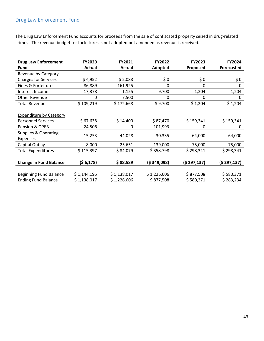## Drug Law Enforcement Fund

The Drug Law Enforcement Fund accounts for proceeds from the sale of confiscated property seized in drug‐related crimes. The revenue budget for forfeitures is not adopted but amended as revenue is received.

| <b>Drug Law Enforcement</b>     | FY2020      | FY2021      | FY2022      | FY2023      | FY2024            |
|---------------------------------|-------------|-------------|-------------|-------------|-------------------|
| Fund                            | Actual      | Actual      | Adopted     | Proposed    | <b>Forecasted</b> |
| Revenue by Category             |             |             |             |             |                   |
| <b>Charges for Services</b>     | \$4,952     | \$2,088     | \$0         | \$0         | \$0               |
| Fines & Forfeitures             | 86,889      | 161,925     | 0           | 0           | 0                 |
| Interest Income                 | 17,378      | 1,155       | 9,700       | 1,204       | 1,204             |
| Other Revenue                   | 0           | 7,500       | 0           | $\Omega$    | 0                 |
| <b>Total Revenue</b>            | \$109,219   | \$172,668   | \$9,700     | \$1,204     | \$1,204           |
|                                 |             |             |             |             |                   |
| <b>Expenditure by Category</b>  |             |             |             |             |                   |
| <b>Personnel Services</b>       | \$67,638    | \$14,400    | \$87,470    | \$159,341   | \$159,341         |
| Pension & OPEB                  | 24,506      | 0           | 101,993     | 0           | 0                 |
| <b>Supplies &amp; Operating</b> |             | 44,028      | 30,335      | 64,000      |                   |
| Expenses                        | 15,253      |             |             |             | 64,000            |
| Capital Outlay                  | 8,000       | 25,651      | 139,000     | 75,000      | 75,000            |
| <b>Total Expenditures</b>       | \$115,397   | \$84,079    | \$358,798   | \$298,341   | \$298,341         |
|                                 |             |             |             |             |                   |
| <b>Change in Fund Balance</b>   | (56, 178)   | \$88,589    | (5349,098)  | (5297, 137) | (\$297,137)       |
|                                 |             |             |             |             |                   |
| <b>Beginning Fund Balance</b>   | \$1,144,195 | \$1,138,017 | \$1,226,606 | \$877,508   | \$580,371         |
| <b>Ending Fund Balance</b>      | \$1,138,017 | \$1,226,606 | \$877,508   | \$580,371   | \$283,234         |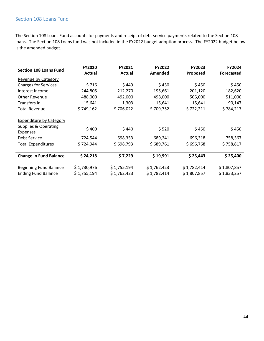## Section 108 Loans Fund

The Section 108 Loans Fund accounts for payments and receipt of debt service payments related to the Section 108 loans. The Section 108 Loans fund was not included in the FY2022 budget adoption process. The FY2022 budget below is the amended budget.

|                                 | <b>FY2020</b> | <b>FY2021</b> | <b>FY2022</b> | <b>FY2023</b> | <b>FY2024</b>     |
|---------------------------------|---------------|---------------|---------------|---------------|-------------------|
| <b>Section 108 Loans Fund</b>   | <b>Actual</b> | <b>Actual</b> | Amended       | Proposed      | <b>Forecasted</b> |
| Revenue by Category             |               |               |               |               |                   |
| <b>Charges for Services</b>     | \$716         | \$449         | \$450         | \$450         | \$450             |
| Interest Income                 | 244,805       | 212,270       | 195,661       | 201,120       | 182,620           |
| <b>Other Revenue</b>            | 488,000       | 492,000       | 498,000       | 505,000       | 511,000           |
| Transfers In                    | 15,641        | 1,303         | 15,641        | 15,641        | 90,147            |
| <b>Total Revenue</b>            | \$749,162     | \$706,022     | \$709,752     | \$722,211     | \$784,217         |
|                                 |               |               |               |               |                   |
| <b>Expenditure by Category</b>  |               |               |               |               |                   |
| <b>Supplies &amp; Operating</b> |               | \$440         | \$520         |               |                   |
| Expenses                        | \$400         |               |               | \$450         | \$450             |
| Debt Service                    | 724,544       | 698,353       | 689,241       | 696,318       | 758,367           |
| <b>Total Expenditures</b>       | \$724,944     | \$698,793     | \$689,761     | \$696,768     | \$758,817         |
|                                 |               |               |               |               |                   |
| <b>Change in Fund Balance</b>   | \$24,218      | \$ 7,229      | \$19,991      | \$25,443      | \$25,400          |
|                                 |               |               |               |               |                   |
| <b>Beginning Fund Balance</b>   | \$1,730,976   | \$1,755,194   | \$1,762,423   | \$1,782,414   | \$1,807,857       |
| <b>Ending Fund Balance</b>      | \$1,755,194   | \$1,762,423   | \$1,782,414   | \$1,807,857   | \$1,833,257       |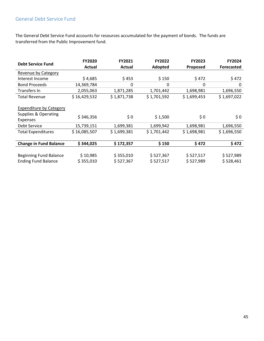## General Debt Service Fund

The General Debt Service Fund accounts for resources accumulated for the payment of bonds. The funds are transferred from the Public Improvement fund.

| <b>Debt Service Fund</b>                                                  | <b>FY2020</b><br>Actual | FY2021<br>Actual       | <b>FY2022</b><br>Adopted | <b>FY2023</b><br>Proposed | <b>FY2024</b><br><b>Forecasted</b> |
|---------------------------------------------------------------------------|-------------------------|------------------------|--------------------------|---------------------------|------------------------------------|
| <b>Revenue by Category</b>                                                |                         |                        |                          |                           |                                    |
| Interest Income                                                           | \$4,685                 | \$453                  | \$150                    | \$472                     | \$472                              |
| <b>Bond Proceeds</b>                                                      | 14,369,784              | 0                      | $\mathbf{0}$             | 0                         | 0                                  |
| Transfers In                                                              | 2,055,063               | 1,871,285              | 1,701,442                | 1,698,981                 | 1,696,550                          |
| <b>Total Revenue</b>                                                      | \$16,429,532            | \$1,871,738            | \$1,701,592              | \$1,699,453               | \$1,697,022                        |
| <b>Expenditure by Category</b><br>Supplies & Operating<br><b>Expenses</b> | \$346,356               | \$0                    | \$1,500                  | \$0                       | \$0\$                              |
| Debt Service                                                              | 15,739,151              | 1,699,381              | 1,699,942                | 1,698,981                 | 1,696,550                          |
| <b>Total Expenditures</b>                                                 | \$16,085,507            | \$1,699,381            | \$1,701,442              | \$1,698,981               | \$1,696,550                        |
| <b>Change in Fund Balance</b>                                             | \$344,025               | \$172,357              | \$150                    | \$472                     | \$472                              |
| <b>Beginning Fund Balance</b><br><b>Ending Fund Balance</b>               | \$10,985<br>\$355,010   | \$355,010<br>\$527,367 | \$527,367<br>\$527,517   | \$527,517<br>\$527,989    | \$527,989<br>\$528,461             |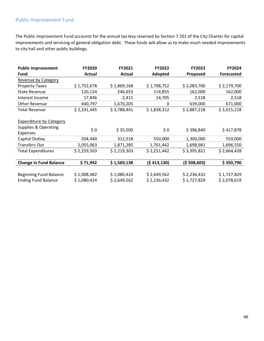## Public Improvement Fund

The Public Improvement Fund accounts for the annual tax levy reserved by Section 7 201 of the City Charter for capital improvements and servicing of general obligation debt. These funds will allow us to make much needed improvements to city hall and other public buildings.

| <b>Public Improvement</b>      | <b>FY2020</b> | FY2021      | <b>FY2022</b> | <b>FY2023</b> | FY2024            |
|--------------------------------|---------------|-------------|---------------|---------------|-------------------|
| Fund                           | Actual        | Actual      | Adopted       | Proposed      | <b>Forecasted</b> |
| Revenue by Category            |               |             |               |               |                   |
| <b>Property Taxes</b>          | \$1,752,678   | \$1,869,168 | \$1,708,752   | \$2,083,700   | \$2,179,700       |
| <b>State Revenue</b>           | 120,124       | 246,653     | 114,855       | 162,000       | 162,000           |
| Interest Income                | 17,846        | 2,415       | 14,705        | 2,518         | 2,518             |
| <b>Other Revenue</b>           | 440,797       | 1,670,205   | 0             | 639,000       | 671,000           |
| <b>Total Revenue</b>           | \$2,331,445   | \$3,788,441 | \$1,838,312   | \$2,887,218   | \$3,015,218       |
|                                |               |             |               |               |                   |
| <b>Expenditure by Category</b> |               |             |               |               |                   |
| Supplies & Operating           | \$0           |             |               | \$396,840     |                   |
| Expenses                       |               | \$35,500    | \$0\$         |               | \$417,878         |
| Capital Outlay                 | 204,440       | 312,518     | 550,000       | 1,300,000     | 550,000           |
| <b>Transfers Out</b>           | 2,055,063     | 1,871,285   | 1,701,442     | 1,698,981     | 1,696,550         |
| <b>Total Expenditures</b>      | \$2,259,503   | \$2,219,303 | \$2,251,442   | \$3,395,821   | \$2,664,428       |
|                                |               |             |               |               |                   |
| <b>Change in Fund Balance</b>  | \$71,942      | \$1,569,138 | (5413, 130)   | (5508,603)    | \$350,790         |
|                                |               |             |               |               |                   |
| <b>Beginning Fund Balance</b>  | \$1,008,482   | \$1,080,424 | \$2,649,562   | \$2,236,432   | \$1,727,829       |
| <b>Ending Fund Balance</b>     | \$1,080,424   | \$2,649,562 | \$2,236,432   | \$1,727,829   | \$2,078,619       |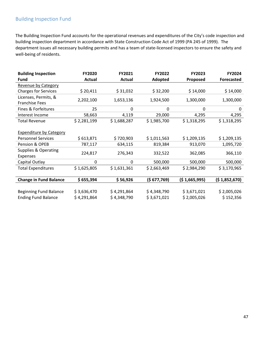## Building Inspection Fund

The Building Inspection Fund accounts for the operational revenues and expenditures of the City's code inspection and building inspection department in accordance with State Construction Code Act of 1999 (PA 245 of 1999). The department issues all necessary building permits and has a team of state‐licensed inspectors to ensure the safety and well‐being of residents.

| <b>Building Inspection</b>     | <b>FY2020</b> | FY2021      | <b>FY2022</b> | <b>FY2023</b> | FY2024            |
|--------------------------------|---------------|-------------|---------------|---------------|-------------------|
| Fund                           | Actual        | Actual      | Adopted       | Proposed      | <b>Forecasted</b> |
| Revenue by Category            |               |             |               |               |                   |
| <b>Charges for Services</b>    | \$20,411      | \$31,032    | \$32,200      | \$14,000      | \$14,000          |
| Licenses, Permits, &           | 2,202,100     | 1,653,136   | 1,924,500     | 1,300,000     | 1,300,000         |
| <b>Franchise Fees</b>          |               |             |               |               |                   |
| Fines & Forfeitures            | 25            | 0           | 0             | 0             | 0                 |
| Interest Income                | 58,663        | 4,119       | 29,000        | 4,295         | 4,295             |
| <b>Total Revenue</b>           | \$2,281,199   | \$1,688,287 | \$1,985,700   | \$1,318,295   | \$1,318,295       |
|                                |               |             |               |               |                   |
| <b>Expenditure by Category</b> |               |             |               |               |                   |
| <b>Personnel Services</b>      | \$613,871     | \$720,903   | \$1,011,563   | \$1,209,135   | \$1,209,135       |
| Pension & OPEB                 | 787,117       | 634,115     | 819,384       | 913,070       | 1,095,720         |
| Supplies & Operating           | 224,817       | 276,343     | 332,522       | 362,085       | 366,110           |
| Expenses                       |               |             |               |               |                   |
| Capital Outlay                 | 0             | 0           | 500,000       | 500,000       | 500,000           |
| <b>Total Expenditures</b>      | \$1,625,805   | \$1,631,361 | \$2,663,469   | \$2,984,290   | \$3,170,965       |
|                                |               |             |               |               |                   |
| <b>Change in Fund Balance</b>  | \$655,394     | \$56,926    | (\$ 677,769)  | (51,665,995)  | (\$1,852,670)     |
|                                |               |             |               |               |                   |
| <b>Beginning Fund Balance</b>  | \$3,636,470   | \$4,291,864 | \$4,348,790   | \$3,671,021   | \$2,005,026       |
| <b>Ending Fund Balance</b>     | \$4,291,864   | \$4,348,790 | \$3,671,021   | \$2,005,026   | \$152,356         |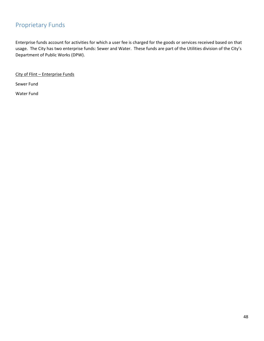## Proprietary Funds

Enterprise funds account for activities for which a user fee is charged for the goods or services received based on that usage. The City has two enterprise funds: Sewer and Water. These funds are part of the Utilities division of the City's Department of Public Works (DPW).

City of Flint – Enterprise Funds

Sewer Fund

Water Fund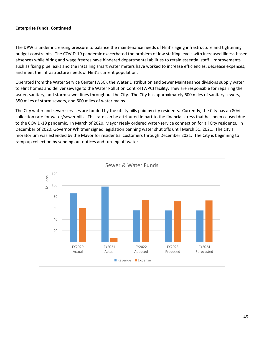#### **Enterprise Funds, Continued**

The DPW is under increasing pressure to balance the maintenance needs of Flint's aging infrastructure and tightening budget constraints. The COVID‐19 pandemic exacerbated the problem of low staffing levels with increased illness‐based absences while hiring and wage freezes have hindered departmental abilities to retain essential staff. Improvements such as fixing pipe leaks and the installing smart water meters have worked to increase efficiencies, decrease expenses, and meet the infrastructure needs of Flint's current population.

Operated from the Water Service Center (WSC), the Water Distribution and Sewer Maintenance divisions supply water to Flint homes and deliver sewage to the Water Pollution Control (WPC) facility. They are responsible for repairing the water, sanitary, and storm sewer lines throughout the City. The City has approximately 600 miles of sanitary sewers, 350 miles of storm sewers, and 600 miles of water mains.

The City water and sewer services are funded by the utility bills paid by city residents. Currently, the City has an 80% collection rate for water/sewer bills. This rate can be attributed in part to the financial stress that has been caused due to the COVID‐19 pandemic. In March of 2020, Mayor Neely ordered water‐service connection for all City residents. In December of 2020, Governor Whitmer signed legislation banning water shut offs until March 31, 2021. The city's moratorium was extended by the Mayor for residential customers through December 2021. The City is beginning to ramp up collection by sending out notices and turning off water.

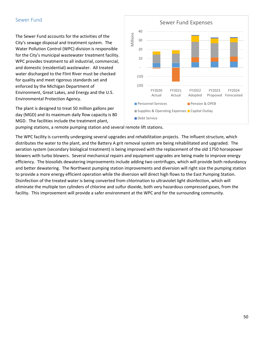#### Sewer Fund

The Sewer Fund accounts for the activities of the City's sewage disposal and treatment system. The Water Pollution Control (WPC) division is responsible for the City's municipal wastewater treatment facility. WPC provides treatment to all industrial, commercial, and domestic (residential) wastewater. All treated water discharged to the Flint River must be checked for quality and meet rigorous standards set and enforced by the Michigan Department of Environment, Great Lakes, and Energy and the U.S. Environmental Protection Agency.

The plant is designed to treat 50 million gallons per day (MGD) and its maximum daily flow capacity is 80 MGD. The facilities include the treatment plant,



pumping stations, a remote pumping station and several remote lift stations.

The WPC facility is currently undergoing several upgrades and rehabilitation projects. The influent structure, which distributes the water to the plant, and the Battery A grit removal system are being rehabilitated and upgraded. The aeration system (secondary biological treatment) is being improved with the replacement of the old 1750 horsepower blowers with turbo blowers. Several mechanical repairs and equipment upgrades are being made to improve energy efficiency. The biosolids dewatering improvements include adding two centrifuges, which will provide both redundancy and better dewatering. The Northwest pumping station improvements and diversion will right size the pumping station to provide a more energy efficient operation while the diversion will direct high flows to the East Pumping Station. Disinfection of the treated water is being converted from chlorination to ultraviolet light disinfection, which will eliminate the multiple ton cylinders of chlorine and sulfur dioxide, both very hazardous compressed gases, from the facility. This improvement will provide a safer environment at the WPC and for the surrounding community.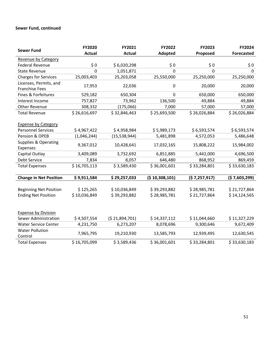#### **Sewer Fund, continued**

| <b>Sewer Fund</b>               | FY2020        | FY2021         | FY2022           | FY2023       | FY2024            |
|---------------------------------|---------------|----------------|------------------|--------------|-------------------|
|                                 | <b>Actual</b> | <b>Actual</b>  | Adopted          | Proposed     | <b>Forecasted</b> |
| Revenue by Category             |               |                |                  |              |                   |
| <b>Federal Revenue</b>          | \$0           | \$6,020,298    | \$0              | \$0          | \$0               |
| <b>State Revenue</b>            | 0             | 1,051,871      | $\Omega$         | $\Omega$     | $\Omega$          |
| <b>Charges for Services</b>     | 25,003,403    | 25,203,058     | 25,550,000       | 25,250,000   | 25,250,000        |
| Licenses, Permits, and          | 17,953        | 22,036         | $\boldsymbol{0}$ | 20,000       | 20,000            |
| <b>Franchise Fees</b>           |               |                |                  |              |                   |
| Fines & Forfeitures             | 529,182       | 650,304        | $\mathbf 0$      | 650,000      | 650,000           |
| Interest Income                 | 757,827       | 73,962         | 136,500          | 49,884       | 49,884            |
| <b>Other Revenue</b>            | 308,332       | (175,066)      | 7,000            | 57,000       | 57,000            |
| <b>Total Revenue</b>            | \$26,616,697  | \$32,846,463   | \$25,693,500     | \$26,026,884 | \$26,026,884      |
|                                 |               |                |                  |              |                   |
| <b>Expense by Category</b>      |               |                |                  |              |                   |
| <b>Personnel Services</b>       | \$4,967,422   | \$4,958,984    | \$5,989,173      | \$6,593,574  | \$6,593,574       |
| Pension & OPEB                  | (1,046,244)   | (15, 538, 944) | 5,481,898        | 4,572,053    | 5,486,648         |
| <b>Supplies &amp; Operating</b> | 9,367,012     | 10,428,641     | 17,032,165       | 15,808,222   | 15,984,002        |
| Expenses                        |               |                |                  |              |                   |
| Capital Outlay                  | 3,409,089     | 3,732,692      | 6,851,885        | 5,442,000    | 4,696,500         |
| Debt Service                    | 7,834         | 8,057          | 646,480          | 868,952      | 869,459           |
| <b>Total Expenses</b>           | \$16,705,113  | \$3,589,430    | \$36,001,601     | \$33,284,801 | \$33,630,183      |
|                                 |               |                |                  |              |                   |
| <b>Change in Net Position</b>   | \$9,911,584   | \$29,257,033   | (510,308,101)    | (57,257,917) | (57,603,299)      |
|                                 |               |                |                  |              |                   |
| <b>Beginning Net Position</b>   | \$125,265     | \$10,036,849   | \$39,293,882     | \$28,985,781 | \$21,727,864      |
| <b>Ending Net Position</b>      | \$10,036,849  | \$39,293,882   | \$28,985,781     | \$21,727,864 | \$14,124,565      |
|                                 |               |                |                  |              |                   |
|                                 |               |                |                  |              |                   |
| <b>Expense by Division</b>      |               |                |                  |              |                   |
| Sewer Administration            | \$4,507,554   | (\$21,894,701) | \$14,337,112     | \$11,044,660 | \$11,327,229      |
| <b>Water Service Center</b>     | 4,231,750     | 6,273,207      | 8,078,696        | 9,300,646    | 9,672,409         |
| <b>Water Pollution</b>          | 7,965,795     | 19,210,930     | 13,585,793       | 12,939,495   | 12,630,545        |
| Control                         |               |                |                  |              |                   |
| <b>Total Expenses</b>           | \$16,705,099  | \$3,589,436    | \$36,001,601     | \$33,284,801 | \$33,630,183      |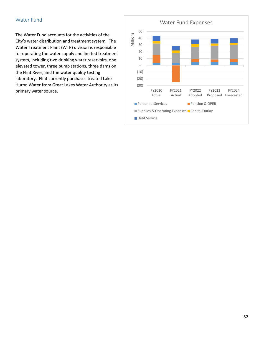#### Water Fund

The Water Fund accounts for the activities of the City's water distribution and treatment system. The Water Treatment Plant (WTP) division is responsible for operating the water supply and limited treatment system, including two drinking water reservoirs, one elevated tower, three pump stations, three dams on the Flint River, and the water quality testing laboratory. Flint currently purchases treated Lake Huron Water from Great Lakes Water Authority as its primary water source.

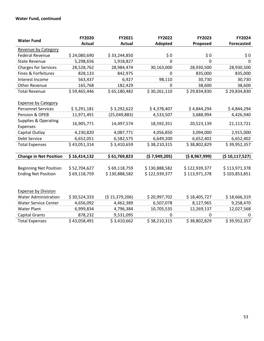#### **Water Fund, continued**

| <b>Water Fund</b>               | FY2020        | FY2021        | FY2022        | FY2023          | FY2024            |  |
|---------------------------------|---------------|---------------|---------------|-----------------|-------------------|--|
|                                 | <b>Actual</b> | <b>Actual</b> | Adopted       | Proposed        | <b>Forecasted</b> |  |
| <b>Revenue by Category</b>      |               |               |               |                 |                   |  |
| <b>Federal Revenue</b>          | \$24,080,690  | \$33,244,850  | \$0<br>\$0    |                 | \$0               |  |
| <b>State Revenue</b>            | 5,298,656     | 1,918,827     | 0             | 0               | 0                 |  |
| <b>Charges for Services</b>     | 28,528,762    | 28,984,474    | 30,163,000    | 28,930,500      | 28,930,500        |  |
| Fines & Forfeitures             | 828,133       | 842,975       | 0             | 835,000         | 835,000           |  |
| Interest Income                 | 563,437       | 6,927         | 98,110        | 30,730          | 30,730            |  |
| Other Revenue                   | 165,768       | 182,429       | 0             | 38,600          | 38,600            |  |
| <b>Total Revenue</b>            | \$59,465,446  | \$65,180,482  | \$30,261,110  | \$29,834,830    | \$29,834,830      |  |
|                                 |               |               |               |                 |                   |  |
| <b>Expense by Category</b>      |               |               |               |                 |                   |  |
| <b>Personnel Services</b>       | \$3,291,181   | \$3,292,622   | \$4,378,407   | \$4,844,294     | \$4,844,294       |  |
| Pension & OPEB                  | 11,971,491    | (25,049,883)  | 4,533,507     | 3,688,994       | 4,426,940         |  |
| <b>Supplies &amp; Operating</b> | 16,905,771    | 14,497,574    | 18,592,351    | 20,523,139      | 21,113,721        |  |
| Expenses                        |               |               |               |                 |                   |  |
| Capital Outlay                  | 4,230,820     | 4,087,771     | 4,056,850     | 3,094,000       | 2,915,000         |  |
| Debt Service                    | 6,652,051     | 6,582,575     | 6,649,200     | 6,652,402       | 6,652,402         |  |
| <b>Total Expenses</b>           | \$43,051,314  | \$3,410,659   | \$38,210,315  | \$38,802,829    | \$39,952,357      |  |
|                                 |               |               |               |                 |                   |  |
| <b>Change in Net Position</b>   | \$16,414,132  | \$61,769,823  | (57,949,205)  | ( \$ 8,967,999) | (\$10,117,527)    |  |
|                                 |               |               |               |                 |                   |  |
| <b>Beginning Net Position</b>   | \$52,704,627  | \$69,118,759  | \$130,888,582 | \$122,939,377   | \$113,971,378     |  |
| <b>Ending Net Position</b>      | \$69,118,759  | \$130,888,582 | \$122,939,377 | \$113,971,378   | \$103,853,851     |  |
|                                 |               |               |               |                 |                   |  |
|                                 |               |               |               |                 |                   |  |
| <b>Expense by Division</b>      |               |               |               |                 |                   |  |
| <b>Water Administration</b>     | \$30,524,333  | (515,379,206) | \$20,997,702  | \$18,405,727    | \$18,666,319      |  |
| <b>Water Service Center</b>     | 4,656,092     | 4,462,389     | 6,507,078     | 8,127,965       | 9,258,470         |  |
| <b>Water Plant</b>              | 6,999,834     | 4,796,384     | 10,705,535    | 12,269,137      | 12,027,568        |  |
| <b>Capital Grants</b>           | 878,232       | 9,531,095     | 0             | 0               | 0                 |  |
| <b>Total Expenses</b>           | \$43,058,491  | \$3,410,662   | \$38,210,315  | \$38,802,829    | \$39,952,357      |  |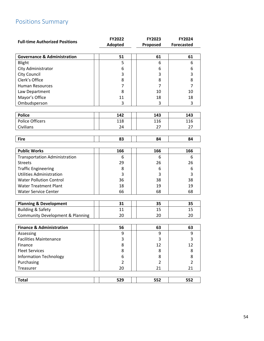# Positions Summary

|                                             | <b>FY2022</b>  | FY2023         | FY2024            |
|---------------------------------------------|----------------|----------------|-------------------|
| <b>Full-time Authorized Positions</b>       | Adopted        | Proposed       | <b>Forecasted</b> |
|                                             |                |                |                   |
| <b>Governance &amp; Administration</b>      | 51             | 61             | 61                |
| Blight                                      | 5              | 6              | 6                 |
| City Administrator                          | 6              | 6              | 6                 |
| City Council                                | 3              | 3              | 3                 |
| Clerk's Office                              | 8              | 8              | 8                 |
| <b>Human Resources</b>                      | 7              | $\overline{7}$ | $\overline{7}$    |
| Law Department                              | 8              | 10             | 10                |
| Mayor's Office                              | 11             | 18             | 18                |
| Ombudsperson                                | 3              | 3              | 3                 |
|                                             |                |                |                   |
| <b>Police</b>                               | 142            | 143            | 143               |
| <b>Police Officers</b>                      | 118            | 116            | 116               |
| Civilians                                   | 24             | 27             | 27                |
|                                             |                |                |                   |
| <b>Fire</b>                                 | 83             | 84             | 84                |
|                                             |                |                |                   |
| <b>Public Works</b>                         | 166            | 166            | 166               |
| <b>Transportation Administration</b>        | 6              | 6              | 6                 |
| <b>Streets</b>                              | 29             | 26             | 26                |
| <b>Traffic Engineering</b>                  | 8              | 6              | 6                 |
| <b>Utilities Administration</b>             | 3              | 3              | 3                 |
| <b>Water Pollution Control</b>              | 36             | 38             | 38                |
| <b>Water Treatment Plant</b>                | 18             | 19             | 19                |
| <b>Water Service Center</b>                 | 66             | 68             | 68                |
|                                             |                |                |                   |
| <b>Planning &amp; Development</b>           | 31             | 35             | 35                |
| <b>Building &amp; Safety</b>                | 11             | 15             | 15                |
| <b>Community Development &amp; Planning</b> | 20             | 20             | 20                |
|                                             |                |                |                   |
| <b>Finance &amp; Administration</b>         | 56             | 63             | 63                |
| Assessing                                   | 9              | 9              | 9                 |
| <b>Facilities Maintenance</b>               | 3              | 3              | 3                 |
| Finance                                     | 8              | 12             | 12                |
| <b>Fleet Services</b>                       | 8              | 8              | 8                 |
| <b>Information Technology</b>               | 6              | 8              | 8                 |
| Purchasing                                  | $\overline{2}$ | $\overline{2}$ | $\overline{2}$    |
| Treasurer                                   | 20             | 21             | 21                |
|                                             |                |                |                   |
| <b>Total</b>                                | 529            | 552            | 552               |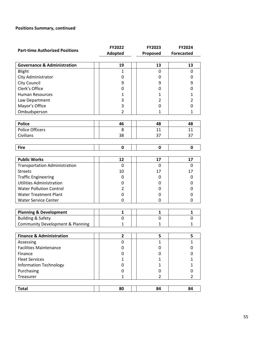#### **Positions Summary, continued**

| <b>Part-time Authorized Positions</b>       | FY2022         | FY2023         | <b>FY2024</b>     |
|---------------------------------------------|----------------|----------------|-------------------|
|                                             | Adopted        | Proposed       | <b>Forecasted</b> |
|                                             |                |                |                   |
| <b>Governance &amp; Administration</b>      | 19             | 13             | 13                |
| Blight                                      | $\mathbf{1}$   | 0              | 0                 |
| City Administrator                          | 0              | 0              | 0                 |
| <b>City Council</b>                         | 9              | 9              | 9                 |
| Clerk's Office                              | 0              | 0              | 0                 |
| <b>Human Resources</b>                      | 1              | 1              | 1                 |
| Law Department                              | 3              | $\overline{2}$ | $\overline{2}$    |
| Mayor's Office                              | 3              | 0              | 0                 |
| Ombudsperson                                | $\overline{2}$ | $\mathbf{1}$   | $\mathbf{1}$      |
|                                             |                |                |                   |
| <b>Police</b>                               | 46             | 48             | 48                |
| <b>Police Officers</b>                      | 8              | 11             | 11                |
| Civilians                                   | 38             | 37             | 37                |
|                                             |                |                |                   |
| <b>Fire</b>                                 | 0              | 0              | 0                 |
|                                             |                |                |                   |
| <b>Public Works</b>                         | 12             | 17             | 17                |
| <b>Transportation Administration</b>        | 0              | 0              | 0                 |
| <b>Streets</b>                              | 10             | 17             | 17                |
| <b>Traffic Engineering</b>                  | 0              | 0              | 0                 |
| <b>Utilities Administration</b>             | 0              | 0              | 0                 |
| <b>Water Pollution Control</b>              | 2              | 0              | 0                 |
| <b>Water Treatment Plant</b>                | 0              | 0              | 0                 |
| <b>Water Service Center</b>                 | $\mathbf{0}$   | 0              | 0                 |
|                                             |                |                |                   |
| <b>Planning &amp; Development</b>           | $\mathbf{1}$   | $\mathbf{1}$   | 1                 |
| <b>Building &amp; Safety</b>                | 0              | $\mathbf 0$    | 0                 |
| <b>Community Development &amp; Planning</b> | 1              | 1              | 1                 |
|                                             |                |                |                   |
| <b>Finance &amp; Administration</b>         | $\overline{2}$ | 5              | 5                 |
| Assessing                                   | 0              | $\mathbf{1}$   | $\mathbf{1}$      |
| <b>Facilities Maintenance</b>               | 0              | 0              | 0                 |
| Finance                                     | 0              | 0              | 0                 |
| <b>Fleet Services</b>                       | $\mathbf{1}$   | 1              | 1                 |
| <b>Information Technology</b>               | 0              | $\mathbf{1}$   | $\mathbf{1}$      |
| Purchasing                                  | 0              | 0              | 0                 |
| Treasurer                                   | $\mathbf{1}$   | $\overline{2}$ | 2                 |
|                                             |                |                |                   |
| <b>Total</b>                                | 80             | 84             | 84                |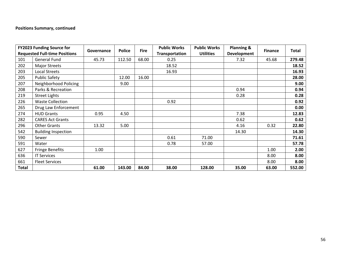#### **Positions Summary, continued**

|              | <b>FY2023 Funding Source for</b>     | Governance | <b>Police</b> | <b>Fire</b> | <b>Public Works</b>   | <b>Public Works</b> | <b>Planning &amp;</b> | <b>Finance</b> | <b>Total</b> |
|--------------|--------------------------------------|------------|---------------|-------------|-----------------------|---------------------|-----------------------|----------------|--------------|
|              | <b>Requested Full-time Positions</b> |            |               |             | <b>Transportation</b> | <b>Utilities</b>    | <b>Development</b>    |                |              |
| 101          | <b>General Fund</b>                  | 45.73      | 112.50        | 68.00       | 0.25                  |                     | 7.32                  | 45.68          | 279.48       |
| 202          | <b>Major Streets</b>                 |            |               |             | 18.52                 |                     |                       |                | 18.52        |
| 203          | <b>Local Streets</b>                 |            |               |             | 16.93                 |                     |                       |                | 16.93        |
| 205          | <b>Public Safety</b>                 |            | 12.00         | 16.00       |                       |                     |                       |                | 28.00        |
| 207          | Neighborhood Policing                |            | 9.00          |             |                       |                     |                       |                | 9.00         |
| 208          | Parks & Recreation                   |            |               |             |                       |                     | 0.94                  |                | 0.94         |
| 219          | <b>Street Lights</b>                 |            |               |             |                       |                     | 0.28                  |                | 0.28         |
| 226          | <b>Waste Collection</b>              |            |               |             | 0.92                  |                     |                       |                | 0.92         |
| 265          | Drug Law Enforcement                 |            |               |             |                       |                     |                       |                | 0.00         |
| 274          | <b>HUD Grants</b>                    | 0.95       | 4.50          |             |                       |                     | 7.38                  |                | 12.83        |
| 282          | <b>CARES Act Grants</b>              |            |               |             |                       |                     | 0.62                  |                | 0.62         |
| 296          | <b>Other Grants</b>                  | 13.32      | 5.00          |             |                       |                     | 4.16                  | 0.32           | 22.80        |
| 542          | <b>Building Inspection</b>           |            |               |             |                       |                     | 14.30                 |                | 14.30        |
| 590          | Sewer                                |            |               |             | 0.61                  | 71.00               |                       |                | 71.61        |
| 591          | Water                                |            |               |             | 0.78                  | 57.00               |                       |                | 57.78        |
| 627          | <b>Fringe Benefits</b>               | 1.00       |               |             |                       |                     |                       | 1.00           | 2.00         |
| 636          | <b>IT Services</b>                   |            |               |             |                       |                     |                       | 8.00           | 8.00         |
| 661          | <b>Fleet Services</b>                |            |               |             |                       |                     |                       | 8.00           | 8.00         |
| <b>Total</b> |                                      | 61.00      | 143.00        | 84.00       | 38.00                 | 128.00              | 35.00                 | 63.00          | 552.00       |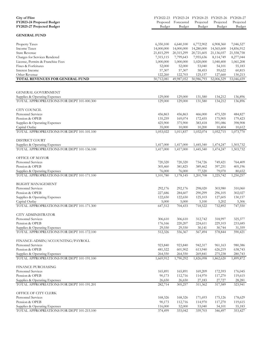| City of Flint<br>FY2023-24 Proposed Budget<br>FY2025-27 Projected Budget   | Proposed<br>Budget  | Forecasted<br>Budget | FY2022-23 FY2023-24 FY2024-25 FY2025-26 FY2026-27<br>Projected<br>Budget | Projected<br>Budget | Projected<br>Budget     |
|----------------------------------------------------------------------------|---------------------|----------------------|--------------------------------------------------------------------------|---------------------|-------------------------|
| <b>GENERAL FUND</b>                                                        |                     |                      |                                                                          |                     |                         |
| Property Taxes                                                             | 6,350,100           | 6,640,100            | 6,772,902                                                                | 6,908,360           | 7,046,527               |
| <b>Income Taxes</b>                                                        | 14,000,000          | 14,000,000           | 14,280,000                                                               | 14,565,600          | 14,856,912              |
| <b>State Revenue</b>                                                       | 21,815,299          | 20,315,299           | 20,721,605                                                               | 21,136,037          | 21,558,758              |
| Charges for Services Rendered                                              | 7,315,115           | 7,799,643            | 7,955,636                                                                | 8,114,749           | 8,277,044               |
| License, Permits & Franchise Fees                                          | 1,000,000           | 1,000,000            | 1,020,000                                                                | 1,040,400           | 1,061,208               |
| Fines & Forfeitures                                                        | 52,000              | 52,000               | 53,040                                                                   | 54,101              | 55,183                  |
| Interest Income                                                            | 57,307              | 57,307               | 58,453                                                                   | 59,622              | 60,815                  |
| Other Revenue                                                              | 122,260             | 122,703              | 125,157                                                                  | 127,660             | 130,213                 |
| TOTAL REVENUES FOR GENERAL FUND                                            | 50,712,081          | 49,987,052           | 50,986,793                                                               | 52,006,529          | $\overline{53,046,659}$ |
| <b>GENERAL GOVERNMENT</b>                                                  |                     |                      |                                                                          |                     |                         |
| Supplies & Operating Expenses                                              | 129,000             | 129,000              | 131,580                                                                  | 134,212             | 136,896                 |
| TOTAL APPROPRIATIONS FOR DEPT 101-000.300                                  | 129,000             | 129,000              | 131,580                                                                  | 134,212             | 136,896                 |
|                                                                            |                     |                      |                                                                          |                     |                         |
| <b>CITY COUNCIL</b>                                                        |                     |                      |                                                                          |                     |                         |
| <b>Personnel Services</b><br>Pension & OPEB                                | 456,863<br>135,259  | 456,863<br>169,074   | 466,000<br>172,455                                                       | 475,320<br>175,905  | 484,827<br>179,423      |
| Supplies & Operating Expenses                                              | 425,900             | 375,900              | 383,418                                                                  | 391,086             | 398,908                 |
| Capital Outlay                                                             | 35,000              | 10,000               | 10,200                                                                   | 10,404              | 10,612                  |
| TOTAL APPROPRIATIONS FOR DEPT 101-101.100                                  | 1,053,022           | 1,011,837            | 1,032,074                                                                | 1,052,715           | 1,073,770               |
| DISTRICT COURT                                                             |                     |                      |                                                                          |                     |                         |
| Supplies & Operating Expenses                                              | 1,417,000           | 1,417,000            | 1,445,340                                                                | 1,474,247           | 1,503,732               |
| TOTAL APPROPRIATIONS FOR DEPT 101-136.100                                  | 1,417,000           | 1,417,000            | 1,445,340                                                                | 1,474,247           | 1,503,732               |
| OFFICE OF MAYOR                                                            |                     |                      |                                                                          |                     |                         |
| Personnel Services                                                         | 720,320             | 720,320              | 734,726                                                                  | 749,421             | 764,409                 |
| Pension & OPEB                                                             | 305,460             | 381,825              | 389,462                                                                  | 397,251             | 405,196                 |
| Supplies & Operating Expenses<br>TOTAL APPROPRIATIONS FOR DEPT 101-171.100 | 76,000<br>1,101,780 | 76,000<br>1,178,145  | 77,520<br>1,201,708                                                      | 79,070<br>1,225,742 | 80,652<br>1,250,257     |
| <b>BLIGHT MANAGEMENT</b>                                                   |                     |                      |                                                                          |                     |                         |
| Personnel Services                                                         | 292,176             | 292,176              | 298,020                                                                  | 303,980             | 310,060                 |
| Pension & OPEB                                                             | 227,686             | 284,607              | 290,299                                                                  | 296,105             | 302,027                 |
| Supplies & Operating Expenses                                              | 122,650             | 122,650              | 125,103                                                                  | 127,605             | 130,157                 |
| Capital Outlay                                                             | 5,000               | 5,000                | 5,100                                                                    | 5,202               | 5,306                   |
| TOTAL APPROPRIATIONS FOR DEPT 101-171.300                                  | 647,512             | 704,433              | 718,522                                                                  | 732,892             | 747,550                 |
| CITY ADMINISTRATOR                                                         |                     |                      |                                                                          |                     |                         |
| <b>Personnel Services</b>                                                  | 306,610             | 306,610              | 312,742                                                                  | 318,997             | 325,377                 |
| Pension & OPEB                                                             | 176,166             | 220,207              | 224,611                                                                  | 229,103             | 233,685                 |
| Supplies & Operating Expenses                                              | 29,550              | 29,550               | 30,141                                                                   | 30,744              | 31,359                  |
| TOTAL APPROPRIATIONS FOR DEPT 101-172.100                                  | 512,326             | 556,367              | 567,494                                                                  | 578,844             | 590,421                 |
| FINANCE-ADMIN/ACCOUNTING/PAYROLL                                           |                     |                      |                                                                          |                     |                         |
| Personnel Services                                                         | 923,840             | 923,840              | 942,317                                                                  | 961,163             | 980,386                 |
| Pension & OPEB                                                             | 481,522             | 601,902              | 613,940                                                                  | 626,219             | 638,743                 |
| Supplies & Operating Expenses                                              | 264,550             | 264,550              | 269,841                                                                  | 275,238             | 280,743                 |
| TOTAL APPROPRIATIONS FOR DEPT 101-191.100                                  | 1,669,912           | 1,790,292            | 1,826,098                                                                | 1,862,620           | 1,899,872               |
| FINANCE PURCHASING                                                         |                     |                      |                                                                          |                     |                         |
| <b>Personnel Services</b><br>Pension & OPEB                                | 165,891<br>90,173   | 165,891<br>112,716   | 169,209<br>114,970                                                       | 172,593<br>117,270  | 176,045<br>119,615      |
| Supplies & Operating Expenses                                              | 26,650              | 26,650               | 27,183                                                                   | 27,727              | 28,281                  |
| TOTAL APPROPRIATIONS FOR DEPT 101-191.201                                  | 282,714             | 305,257              | 311,362                                                                  | 317,589             | 323,941                 |
| OFFICE OF CITY CLERK                                                       |                     |                      |                                                                          |                     |                         |
| Personnel Services                                                         | 168,326             | 168,326              | 171,693                                                                  | 175,126             | 178,629                 |
| Pension & OPEB                                                             | 90,173              | 112,716              | 114,970                                                                  | 117,270             | 119,615                 |
| Supplies & Operating Expenses                                              | 116,000             | 52,000               | 53,040                                                                   | 54,101              | 55,183                  |
| TOTAL APPROPRIATIONS FOR DEPT 101-215.100                                  | 374,499             | 333,042              | 339,703                                                                  | 346,497             | 353,427                 |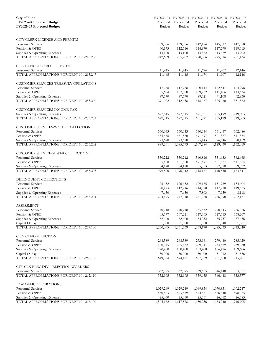| <b>City of Flint</b>                      |           | FY2022-23 FY2023-24 FY2024-25 FY2025-26 |           |           | FY2026-27 |
|-------------------------------------------|-----------|-----------------------------------------|-----------|-----------|-----------|
| FY2023-24 Proposed Budget                 | Proposed  | Forecasted                              | Projected | Projected | Projected |
| FY2025-27 Projected Budget                | Budget    | Budget                                  | Budget    | Budget    | Budget    |
|                                           |           |                                         |           |           |           |
| CITY CLERK-LICENSE AND PERMITS            |           |                                         |           |           |           |
| <b>Personnel Services</b>                 | 139,386   | 139,386                                 | 142,174   | 145,017   | 147,918   |
| Pension & OPEB                            | 90,173    | 112,716                                 | 114,970   | 117,270   | 119,615   |
| Supplies & Operating Expenses             | 13,100    | 13,100                                  | 13,362    | 13,629    | 13,902    |
| TOTAL APPROPRIATIONS FOR DEPT 101-215.200 | 242,659   | 265,202                                 | 270,506   | 275,916   | 281,434   |
| CITY CLERK-BOARD OF REVIEW                |           |                                         |           |           |           |
| Personnel Services                        | 11,445    | 11,445                                  | 11,674    | 11,907    | 12,146    |
| TOTAL APPROPRIATIONS FOR DEPT 101-215.247 | 11,445    | 11,445                                  | 11,674    | 11,907    | 12,146    |
| CUSTOMER SERVICES-TREASURY OPERATIONS     |           |                                         |           |           |           |
| Personnel Services                        | 117,788   | 117,788                                 | 120,144   | 122,547   | 124,998   |
| Pension & OPEB                            | 85,664    | 107,080                                 | 109,222   | 111,406   | 113,634   |
| Supplies & Operating Expenses             | 87,570    | 87,570                                  | 89,321    | 91,108    | 92,930    |
| TOTAL APPROPRIATIONS FOR DEPT 101-253.200 | 291,022   | 312,438                                 | 318,687   | 325,060   | 331,562   |
| <b>CUSTOMER SERVICES-INCOME TAX</b>       |           |                                         |           |           |           |
| Supplies & Operating Expenses             | 677,815   | 677,815                                 | 691,371   | 705,199   | 719,303   |
| TOTAL APPROPRIATIONS FOR DEPT 101-253.201 | 677,815   | 677,815                                 | 691,371   | 705,199   | 719,303   |
| CUSTOMER SERVICES-WATER COLLECTION        |           |                                         |           |           |           |
| Personnel Services                        | 530,043   | 530,043                                 | 540,644   | 551,457   | 562,486   |
| Pension & OPEB                            | 385,488   | 481,860                                 | 491,497   | 501,327   | 511,354   |
| Supplies & Operating Expenses             | 73,670    | 73,670                                  | 75,143    | 76,646    | 78,179    |
| TOTAL APPROPRIATIONS FOR DEPT 101-253.202 | 989,201   | 1,085,573                               | 1,107,284 | 1,129,430 | 1,152,019 |
| CUSTOMER SERVICE-SEWER COLLECTION         |           |                                         |           |           |           |
| <b>Personnel Services</b>                 | 530,212   | 530,212                                 | 540,816   | 551,633   | 562,665   |
| Pension & OPEB                            | 385,488   | 481,860                                 | 491,497   | 501,327   | 511,354   |
| Supplies & Operating Expenses             | 84,170    | 84,170                                  | 85,853    | 87,570    | 89,322    |
| TOTAL APPROPRIATIONS FOR DEPT 101-253.203 | 999,870   | 1,096,242                               | 1,118,167 | 1,140,530 | 1,163,341 |
| DELINQUENT COLLECTIONS                    |           |                                         |           |           |           |
| <b>Personnel Services</b>                 | 126,652   | 126,652                                 | 129,185   | 131,769   | 134,404   |
| Pension & OPEB                            | 90,173    | 112,716                                 | 114,970   | 117,270   | 119,615   |
| Supplies & Operating Expenses             | 7,650     | 7,650                                   | 7,803     | 7,959     | 8,118     |
| TOTAL APPROPRIATIONS FOR DEPT 101-253.204 | 224,475   | 247,018                                 | 251,958   | 256,998   | 262,137   |
| <b>ASSESSMENT</b>                         |           |                                         |           |           |           |
| Personnel Services                        | 740,718   | 740,718                                 | 755,532   | 770,643   | 786,056   |
| Pension & OPEB                            | 405,777   | 507,221                                 | 517,365   | 527,713   | 538,267   |
| Supplies & Operating Expenses             | 82,600    | 82,600                                  | 84,252    | 85,937    | 87,656    |
| Capital Outlay                            | 1,000     | 1,000                                   | 1,020     | 1,040     | 1,061     |
| TOTAL APPROPRIATIONS FOR DEPT 101-257.100 | 1,230,095 | 1,331,539                               | 1,358,170 | 1,385,333 | 1,413,040 |
| CITY CLERK-ELECTION                       |           |                                         |           |           |           |
| Personnel Services                        | 268,589   | 268,589                                 | 273,961   | 279,440   | 285,029   |
| Pension & OPEB                            | 180,345   | 225,432                                 | 229,941   | 234,539   | 239,230   |
| Supplies & Operating Expenses             | 170,400   | 150,400                                 | 153,408   | 156,476   | 159,606   |
| Capital Outlay                            | 30,000    | 30,000                                  | 30,600    | 31,212    | 31,836    |
| TOTAL APPROPRIATIONS FOR DEPT 101-262.100 | 649,334   | 674,421                                 | 687,909   | 701,668   | 715,701   |
| CTY CLK ELEC DIV. - ELECTION WORKERS      |           |                                         |           |           |           |
| Personnel Services                        | 332,995   | 332,995                                 | 339,655   | 346,448   | 353,377   |
| TOTAL APPROPRIATIONS FOR DEPT 101-262.110 | 332,995   | 332,995                                 | 339,655   | 346,448   | 353,377   |
| LAW OFFICE OPERATIONS                     |           |                                         |           |           |           |
| Personnel Services                        | 1,029,249 | 1,029,249                               | 1,049,834 | 1,070,831 | 1,092,247 |
| Pension & OPEB                            | 450,863   | 563,579                                 | 574,851   | 586,348   | 598,075   |
| Supplies & Operating Expenses             | 25,050    | 25,050                                  | 25,551    | 26,062    | 26,583    |
| TOTAL APPROPRIATIONS FOR DEPT 101-266.100 | 1,505,162 | 1,617,878                               | 1,650,236 | 1,683,240 | 1,716,905 |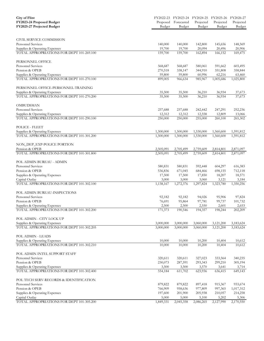| <b>City of Flint</b><br>FY2023-24 Proposed Budget<br>FY2025-27 Projected Budget | Proposed<br>Budget | Forecasted<br>Budget | FY2022-23 FY2023-24 FY2024-25 FY2025-26 FY2026-27<br>Projected<br>Budget | Projected<br>Budget | Projected<br>Budget |
|---------------------------------------------------------------------------------|--------------------|----------------------|--------------------------------------------------------------------------|---------------------|---------------------|
|                                                                                 |                    |                      |                                                                          |                     |                     |
| CIVIL SERVICE COMMISSION                                                        |                    |                      |                                                                          |                     |                     |
| Personnel Services                                                              | 140,000            | 140,000              | 142,800                                                                  | 145,656             | 148,569             |
| Supplies & Operating Expenses                                                   | 19,700             | 19,700               | 20,094                                                                   | 20,496              | 20,906              |
| TOTAL APPROPRIATIONS FOR DEPT 101-269.100                                       | 159,700            | 159,700              | 162,894                                                                  | 166,152             | 169,475             |
| PERSONNEL OFFICE                                                                |                    |                      |                                                                          |                     |                     |
| Personnel Services                                                              | 568,687            | 568,687              | 580,061                                                                  | 591,662             | 603,495             |
| Pension & OPEB                                                                  | 270,518            | 338,147              | 344,910                                                                  | 351,808             | 358,844             |
| Supplies & Operating Expenses<br>TOTAL APPROPRIATIONS FOR DEPT 101-270.100      | 59,800             | 59,800               | 60,996                                                                   | 62,216              | 63,460              |
|                                                                                 | 899,005            | 966,634              | 985,967                                                                  | 1,005,686           | 1,025,800           |
| PERSONNEL OFFICE-PERSONNEL-TRAINING                                             |                    |                      |                                                                          |                     |                     |
| Supplies & Operating Expenses                                                   | 35,500             | 35,500               | 36,210                                                                   | 36,934              | 37,673              |
| TOTAL APPROPRIATIONS FOR DEPT 101-270.200                                       | 35,500             | 35,500               | 36,210                                                                   | 36,934              | 37,673              |
| OMBUDSMAN                                                                       |                    |                      |                                                                          |                     |                     |
| <b>Personnel Services</b>                                                       | 237,688            | 237,688              | 242,442                                                                  | 247,291             | 252,236             |
| Supplies & Operating Expenses                                                   | 12,312             | 12,312               | 12,558                                                                   | 12,809              | 13,066              |
| TOTAL APPROPRIATIONS FOR DEPT 101-290.100                                       | 250,000            | 250,000              | 255,000                                                                  | 260,100             | 265,302             |
| POLICE - FLEET                                                                  |                    |                      |                                                                          |                     |                     |
| Supplies & Operating Expenses                                                   | 1,500,000          | 1,500,000            | 1,530,000                                                                | 1,560,600           | 1,591,812           |
| TOTAL APPROPRIATIONS FOR DEPT 101-301.200                                       | 1,500,000          | 1,500,000            | 1,530,000                                                                | 1,560,600           | 1,591,812           |
| NON_DEP_EXP-POLICE PORTION                                                      |                    |                      |                                                                          |                     |                     |
| Pension & OPEB                                                                  | 2,505,091          | 2,705,499            | 2,759,609                                                                | 2,814,801           | 2,871,097           |
| TOTAL APPROPRIATIONS FOR DEPT 101-301.800                                       | 2,505,091          | 2,705,499            | 2,759,609                                                                | 2,814,801           | 2,871,097           |
| POL ADMIN BUREAU - ADMIN                                                        |                    |                      |                                                                          |                     |                     |
| Personnel Services                                                              | 580,831            | 580,831              | 592,448                                                                  | 604,297             | 616,383             |
| Pension & OPEB                                                                  | 536,836            | 671,045              | 684,466                                                                  | 698,155             | 712,118             |
| Supplies & Operating Expenses                                                   | 17,500             | 17,500               | 17,850                                                                   | 18,207              | 18,571              |
| Capital Outlay<br>TOTAL APPROPRIATIONS FOR DEPT 101-302.100                     | 3,000<br>1,138,167 | 3,000<br>1,272,376   | 3,060<br>1,297,824                                                       | 3,121<br>1,323,780  | 3,184<br>1,350,256  |
|                                                                                 |                    |                      |                                                                          |                     |                     |
| POL ADMIN BUREAU-INSPECTIONS                                                    |                    |                      |                                                                          |                     |                     |
| Personnel Services                                                              | 92,182             | 92,182               | 94,026                                                                   | 95,906              | 97,824              |
| Pension & OPEB                                                                  | 76,691             | 95,864               | 97,781                                                                   | 99,737              | 101,732             |
| Supplies & Operating Expenses                                                   | 2,500              | 2,500                | 2,550                                                                    | 2,601               | 2,653               |
| TOTAL APPROPRIATIONS FOR DEPT 101-302.200                                       | 171,373            | 190,546              | 194,357                                                                  | 198,244             | 202,209             |
| POL ADMIN - CITY LOCK UP                                                        |                    |                      |                                                                          |                     |                     |
| Supplies & Operating Expenses                                                   | 3,000,000          | 3,000,000            | 3,060,000                                                                | 3,121,200           | 3,183,624           |
| TOTAL APPROPRIATIONS FOR DEPT 101-302.205                                       | 3,000,000          | 3,000,000            | 3,060,000                                                                | 3,121,200           | 3,183,624           |
| POL ADMIN - LEADS                                                               |                    |                      |                                                                          |                     |                     |
| Supplies & Operating Expenses                                                   | 10,000             | 10,000               | 10,200                                                                   | 10,404              | 10,612              |
| TOTAL APPROPRIATIONS FOR DEPT 101-302.210                                       | 10,000             | 10,000               | 10,200                                                                   | 10,404              | 10,612              |
| POL ADMIN INTEL SUPPORT STAFF                                                   |                    |                      |                                                                          |                     |                     |
| Personnel Services                                                              | 320,611            | 320,611              | 327,023                                                                  | 333,564             | 340,235             |
| Pension & OPEB                                                                  | 230,073            | 287,591              | 293,343                                                                  | 299,210             | 305,194             |
| Supplies & Operating Expenses                                                   | 3,500              | 3,500                | 3,570                                                                    | 3,641               | 3,714               |
| TOTAL APPROPRIATIONS FOR DEPT 101-302.400                                       | 554,184            | 611,702              | 623,936                                                                  | 636,415             | 649,143             |
| POL TECH SERV-RECORDS & IDENTIFICATION                                          |                    |                      |                                                                          |                     |                     |
| Personnel Services                                                              | 879,822            | 879,822              | 897,418                                                                  | 915,367             | 933,674             |
| Pension & OPEB                                                                  | 766,909            | 958,636              | 977,809                                                                  | 997,365             | 1,017,312           |
| Supplies & Operating Expenses                                                   | 197,600            | 201,900              | 205,938                                                                  | 210,057             | 214,258             |
| Capital Outlay<br>TOTAL APPROPRIATIONS FOR DEPT 101-305.200                     | 5,000<br>1,849,331 | 5,000<br>2,045,358   | 5,100<br>2,086,265                                                       | 5,202<br>2,127,990  | 5,306<br>2,170,550  |
|                                                                                 |                    |                      |                                                                          |                     |                     |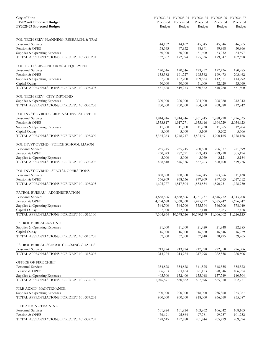| <b>City of Flint</b>                                        |                      |                      | FY2022-23 FY2023-24 FY2024-25 | FY2025-26          | FY2026-27              |
|-------------------------------------------------------------|----------------------|----------------------|-------------------------------|--------------------|------------------------|
| FY2023-24 Proposed Budget                                   | Proposed             | Forecasted           | Projected                     | Projected          | Projected              |
| FY2025-27 Projected Budget                                  | Budget               | Budget               | Budget                        | Budget             | Budget                 |
|                                                             |                      |                      |                               |                    |                        |
| POL TECH SERV-PLANNING, RESEARCH, & TRAI                    |                      |                      |                               |                    |                        |
| Personnel Services                                          | 44,162               | 44,162               | 45,045                        | 45,946             | 46,865                 |
| Pension & OPEB                                              | 38,345               | 47,932               | 48,891                        | 49,868             | 50,866                 |
| Supplies & Operating Expenses                               | 80,000               | 80,000               | 81,600                        | 83,232             | 84,897                 |
| TOTAL APPROPRIATIONS FOR DEPT 101-305.201                   | 162,507              | 172,094              | 175,536                       | 179,047            | 182,628                |
| POL TECH SERV-UNIFORMS & EQUIPMENT                          |                      |                      |                               |                    |                        |
| Personnel Services                                          | 170,546              | 170,546              | 173,957                       | 177,436            | 180,985                |
| Pension & OPEB                                              | 153,382              | 191,727              | 195,562                       | 199,473            | 203,462                |
| Supplies & Operating Expenses                               | 107,700              | 107,700              | 109,854                       | 112,051            | 114,292                |
| Capital Outlay                                              | 50,000               | 50,000               | 51,000                        | 52,020             | 53,060                 |
| TOTAL APPROPRIATIONS FOR DEPT 101-305.203                   | 481,628              | 519,973              | 530,372                       | 540,980            | 551,800                |
| POL TECH SERV - CITY IMPOUND                                |                      |                      |                               |                    |                        |
| Supplies & Operating Expenses                               | 200,000              | 200,000              | 204,000                       | 208,080            | 212,242                |
| TOTAL APPROPRIATIONS FOR DEPT 101-305.206                   | 200,000              | 200,000              | 204,000                       | 208,080            | 212,242                |
| POL INVST OVRHD - CRIMINAL INVEST OVERH                     |                      |                      |                               |                    |                        |
| <b>Personnel Services</b>                                   | 1,814,946            | 1,814,946            | 1,851,245                     | 1,888,270          | 1,926,035              |
| Pension & OPEB                                              | 1,533,817            | 1,917,271            | 1,955,616                     | 1,994,729          | 2,034,623              |
| Supplies & Operating Expenses                               | 11,500               | 11,500               | 11,730                        | 11,965             | 12,204                 |
| Capital Outlay                                              | 5,000                | 5,000                | 5,100                         | 5,202              | 5,306                  |
| TOTAL APPROPRIATIONS FOR DEPT 101-308.200                   | 3,365,263            | 3,748,717            | 3,823,691                     | 3,900,165          | 3,978,168              |
| POL INVST OVRHD - POLICE SCHOOL LIASON                      |                      |                      |                               |                    |                        |
| Personnel Services                                          | 255,745              | 255,745              | 260,860                       | 266,077            | 271,399                |
| Pension & OPEB                                              | 230,073              | 287,591              | 293,343                       | 299,210            | 305,194                |
| Supplies & Operating Expenses                               | 3,000                | 3,000                | 3,060                         | 3,121              | 3,184                  |
| TOTAL APPROPRIATIONS FOR DEPT 101-308.202                   | 488,818              | 546,336              | 557,263                       | 568,408            | 579,776                |
| POL INVST OVRHD - SPECIAL OPERATIONS                        |                      |                      |                               |                    |                        |
| Personnel Services                                          | 858,868              | 858,868              | 876,045                       | 893,566<br>997,365 | 911,438                |
| Pension & OPEB<br>TOTAL APPROPRIATIONS FOR DEPT 101-308.205 | 766,909<br>1,625,777 | 958,636<br>1,817,504 | 977,809<br>1,853,854          | 1,890,931          | 1,017,312<br>1,928,750 |
|                                                             |                      |                      |                               |                    |                        |
| PATROL BUREAU - ADMINISTRATION                              |                      |                      |                               |                    |                        |
| Personnel Services                                          | 4,658,566            | 4,658,566            | 4,751,737                     | 4,846,772          | 4,943,708              |
| Pension & OPEB                                              | 4,294,688            | 5,368,360            | 5,475,727                     | 5,585,242          | 5,696,947              |
| Supplies & Operating Expenses                               | 544,700              | 544,700              | 555,594                       | 566,706            | 578,040                |
| Capital Outlay                                              | 7,000                | 7,000                | 7,140                         | 7,283              | 7,428                  |
| TOTAL APPROPRIATIONS FOR DEPT 101-315.100                   | 9,504,954            | 10,578,626           | 10,790,199                    | 11,006,002         | 11,226,123             |
| PATROL BUREAU-K-9 UNIT                                      |                      |                      |                               |                    |                        |
| Supplies & Operating Expenses<br>Capital Outlay             | 21,000<br>16,000     | 21,000<br>16,000     | 21,420<br>16,320              | 21,848<br>16,646   | 22,285                 |
| TOTAL APPROPRIATIONS FOR DEPT 101-315.205                   | 37,000               | 37,000               | 37,740                        | 38,495             | 16,979<br>39,265       |
| PATROL BUREAU-SCHOOL CROSSING GUARDS                        |                      |                      |                               |                    |                        |
| Personnel Services                                          | 213,724              | 213,724              | 217,998                       | 222,358            | 226,806                |
| TOTAL APPROPRIATIONS FOR DEPT 101-315.206                   | 213,724              | 213,724              | 217,998                       | 222,358            | 226,806                |
| OFFICE OF FIRE CHIEF                                        |                      |                      |                               |                    |                        |
| Personnel Services                                          | 334,828              | 334,828              | 341,525                       | 348,355            | 355,322                |
| Pension & OPEB                                              | 306,763              | 383,454              | 391,123                       | 398,946            | 406,924                |
| Supplies & Operating Expenses                               | 405,300              | 132,400              | 135,048                       | 137,749            | 140,504                |
| TOTAL APPROPRIATIONS FOR DEPT 101-337.100                   | 1,046,891            | 850,682              | 867,696                       | 885,050            | 902,751                |
| FIRE ADMIN-MAINTENANCE                                      |                      |                      |                               |                    |                        |
| Supplies & Operating Expenses                               | 900,000              | 900,000              | 918,000                       | 936,360            | 955,087                |
| TOTAL APPROPRIATIONS FOR DEPT 101-337.201                   | 900,000              | 900,000              | 918,000                       | 936,360            | 955,087                |
| FIRE ADMIN - TRAINING                                       |                      |                      |                               |                    |                        |
| Personnel Services                                          | 101,924              | 101,924              | 103,962                       | 106,042            | 108,163                |
| Pension & OPEB                                              | 76,691               | 95,864               | 97,781                        | 99,737             | 101,732                |
| TOTAL APPROPRIATIONS FOR DEPT 101-337.202                   | 178,615              | 197,788              | 201,744                       | 205,779            | 209,894                |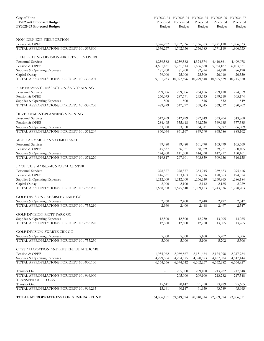| <b>City of Flint</b>                      |            |               | FY2022-23 FY2023-24 FY2024-25 FY2025-26 FY2026-27 |            |            |
|-------------------------------------------|------------|---------------|---------------------------------------------------|------------|------------|
| FY2023-24 Proposed Budget                 | Proposed   | Forecasted    | Projected                                         | Projected  | Projected  |
| FY2025-27 Projected Budget                | Budget     | <b>Budget</b> | Budget                                            | Budget     | Budget     |
|                                           |            |               |                                                   |            |            |
| NON_DEP_EXP-FIRE PORTION                  |            |               |                                                   |            |            |
| Pension & OPEB                            | 1,576,237  | 1,702,336     | 1,736,383                                         | 1,771,110  | 1,806,533  |
| TOTAL APPROPRIATIONS FOR DEPT 101-337.800 | 1,576,237  | 1,702,336     | 1,736,383                                         | 1,771,110  | 1,806,533  |
| FIREFIGHTING DIVISION-FIRE STATION OVERH  |            |               |                                                   |            |            |
| <b>Personnel Services</b>                 | 4,239,582  | 4,239,582     | 4,324,374                                         | 4,410,861  | 4,499,078  |
| Pension & OPEB                            | 4,601,451  | 5,751,814     | 5,866,850                                         | 5,984,187  | 6,103,871  |
| Supplies & Operating Expenses             | 181,200    | 81,200        | 82,824                                            | 84,480     | 86,170     |
| Capital Outlay                            | 79,000     | 25,000        | 25,500                                            | 26,010     | 26,530     |
| TOTAL APPROPRIATIONS FOR DEPT 101-338.201 | 9,101,233  | 10,097,596    | 10,299,548                                        | 10,505,539 | 10,715,650 |
| FIRE PREVENT - INSPECTION AND TRAINING    |            |               |                                                   |            |            |
| Personnel Services                        | 259,006    | 259,006       | 264,186                                           | 269,470    | 274,859    |
| Pension & OPEB                            | 230,073    | 287,591       | 293,343                                           | 299,210    | 305,194    |
| Supplies & Operating Expenses             | 800        | 800           | 816                                               | 832        | 849        |
| TOTAL APPROPRIATIONS FOR DEPT 101-339.200 | 489,879    | 547,397       | 558,345                                           | 569,512    | 580,902    |
| DEVELOPMENT-PLANNING & ZONING             |            |               |                                                   |            |            |
| Personnel Services                        | 512,499    | 512,499       | 522,749                                           | 533,204    | 543,868    |
| Pension & OPEB                            | 284,495    | 355,618       | 362,730                                           | 369,985    | 377,385    |
| Supplies & Operating Expenses             | 63,050     | 63,050        | 64,311                                            | 65,597     | 66,909     |
| TOTAL APPROPRIATIONS FOR DEPT 101-371.209 | 860,044    | 931,167       | 949,790                                           | 968,786    | 988,162    |
| MEDICAL MARIJUANA COMPLIANCE              |            |               |                                                   |            |            |
| <b>Personnel Services</b>                 | 99,480     | 99,480        | 101,470                                           | 103,499    | 105,569    |
| Pension & OPEB                            | 45,537     | 56,921        | 58,059                                            | 59,221     | 60,405     |
| Supplies & Operating Expenses             | 174,800    | 141,500       | 144,330                                           | 147,217    | 150,161    |
| TOTAL APPROPRIATIONS FOR DEPT 101-371.220 | 319,817    | 297,901       | 303,859                                           | 309,936    | 316,135    |
| FACILITIES MAINT-MUNICIPAL CENTER         |            |               |                                                   |            |            |
| <b>Personnel Services</b>                 | 278,377    | 278,377       | 283,945                                           | 289,623    | 295,416    |
| Pension & OPEB                            | 146,531    | 183,163       | 186,826                                           | 190,563    | 194,374    |
| Supplies & Operating Expenses             | 1,212,000  | 1,212,000     | 1,236,240                                         | 1,260,965  | 1,286,184  |
| Capital Outlay                            | 2,000      | 2,100         | 2,142                                             | 2,185      | 2,229      |
| TOTAL APPROPRIATIONS FOR DEPT 101-753.200 | 1,638,908  | 1,675,640     | 1,709,153                                         | 1,743,336  | 1,778,203  |
| <b>GOLF DIVISION - KEARSLEY LAKE GC</b>   |            |               |                                                   |            |            |
| Supplies & Operating Expenses             | 2,960      | 2,400         | 2,448                                             | 2,497      | 2,547      |
| TOTAL APPROPRIATIONS FOR DEPT 101-755.210 | 2,960      | 2,400         | 2,448                                             | 2,497      | 2,547      |
| GOLF DIVISION-MOTT PARK GC                |            |               |                                                   |            |            |
| Supplies & Operating Expenses             | 12,500     | 12,500        | 12,750                                            | 13,005     | 13,265     |
| TOTAL APPROPRIATIONS FOR DEPT 101-755.220 | 12,500     | 12,500        | 12,750                                            | 13,005     | 13,265     |
| GOLF DIVISION-SWARTZ CRK GC               |            |               |                                                   |            |            |
| Supplies & Operating Expenses             | 5,000      | 5,000         | 5,100                                             | 5,202      | 5,306      |
| TOTAL APPROPRIATIONS FOR DEPT 101-755.230 | 5,000      | 5,000         | 5,100                                             | 5,202      | 5,306      |
| COST ALLOCATION AND RETIREE HEALTHCARE    |            |               |                                                   |            |            |
| Pension & OPEB                            | 1,935,062  | 2,089,867     | 2,131,664                                         | 2,174,298  | 2,217,784  |
| Supplies & Operating Expenses             | 4,229,504  | 4,284,875     | 4,370,573                                         | 4,457,984  | 4,547,144  |
| TOTAL APPROPRIATIONS FOR DEPT 101-900.100 | 6,164,566  | 6,374,742     | 6,502,237                                         | 6,632,282  | 6,764,927  |
| Transfer Out                              |            | 205,000       | 209,100                                           | 213,282    | 217,548    |
| TOTAL APPROPRIATIONS FOR DEPT 101-966.000 |            | 205,000       | 209,100                                           | 213,282    | 217,548    |
| TRANSFER OUT TO 295                       |            |               |                                                   |            |            |
| Transfer Out                              | 15,641     | 90,147        | 91,950                                            | 93,789     | 95,665     |
| TOTAL APPROPRIATIONS FOR DEPT 101-966.295 | 15,641     | 90,147        | 91,950                                            | 93,789     | 95,665     |
| TOTAL APPROPRIATIONS FOR GENERAL FUND     | 64,806,151 | 69,549,524    | 70,940,514                                        | 72,359,324 | 73,806,511 |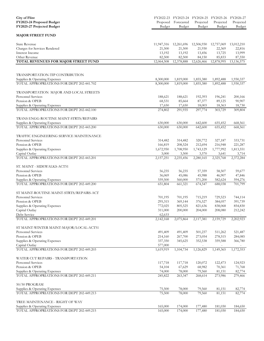| <b>City of Flint</b>                                                       |                        |                        |                                  | FY2022-23 FY2023-24 FY2024-25 FY2025-26 | FY2026-27              |
|----------------------------------------------------------------------------|------------------------|------------------------|----------------------------------|-----------------------------------------|------------------------|
| FY2023-24 Proposed Budget                                                  | Proposed               | Forecasted             | Projected                        | Projected                               | Projected              |
| FY2025-27 Projected Budget                                                 | Budget                 | Budget                 | Budget                           | Budget                                  | <b>Budget</b>          |
| <b>MAJOR STREET FUND</b>                                                   |                        |                        |                                  |                                         |                        |
|                                                                            |                        |                        |                                  |                                         |                        |
| <b>State Revenue</b>                                                       | 11,947,316             | 12,261,696             | 12,506,930                       | 12,757,069                              | 13,012,210             |
| Charges for Services Rendered                                              | 21,500                 | 21,500                 | 21,930                           | 22,369                                  | 22,816                 |
| Interest Income                                                            | 13,192                 | 13,192                 | 13,456                           | 13,725                                  | 13,999                 |
| Other Revenue                                                              | 82,500                 | 82,500                 | 84,150                           | 85,833                                  | 87,550                 |
| <b>TOTAL REVENUES FOR MAJOR STREET FUND</b>                                | 12,064,508             | 12,378,888             | 12,626,466                       | 12,878,995                              | 13, 136, 575           |
|                                                                            |                        |                        |                                  |                                         |                        |
| TRANSPORTATION-TIP CONTRIBUTION                                            |                        |                        |                                  |                                         |                        |
| Supplies & Operating Expenses<br>TOTAL APPROPRIATIONS FOR DEPT 202-441.702 | 8,300,000<br>8,300,000 | 1,819,000<br>1,819,000 | 1,855,380<br>1,855,380           | 1,892,488<br>1,892,488                  | 1,930,337<br>1,930,337 |
|                                                                            |                        |                        |                                  |                                         |                        |
| TRANSPORTATION MAJOR AND LOCAL STREETS                                     |                        |                        |                                  |                                         |                        |
| Personnel Services                                                         | 188,621                | 188,621                | 192,393                          | 196,241                                 | 200,166                |
| Pension & OPEB                                                             | 68,531                 | 85,664                 | 87,377                           | 89,125                                  | 90,907                 |
| Supplies & Operating Expenses<br>TOTAL APPROPRIATIONS FOR DEPT 202-442.100 | 17,650<br>274,802      | 17,650<br>291,935      | 18,003                           | 18,363                                  | 18,730<br>309,804      |
|                                                                            |                        |                        | 297,774                          | 303,729                                 |                        |
| TRANS ENGG-ROUTINE MAINT-STRTS/REPAIRS                                     |                        |                        |                                  |                                         |                        |
| Supplies & Operating Expenses                                              | 630,000                | 630,000                | 642,600                          | 655,452                                 | 668,561                |
| TOTAL APPROPRIATIONS FOR DEPT 202-443.200                                  | 630,000                | 630,000                | 642,600                          | 655,452                                 | 668,561                |
| TRAFFIC ENGINEERING SERVICE MAINTENANCE                                    |                        |                        |                                  |                                         |                        |
| <b>Personnel Services</b>                                                  | 314,482                | 314,482                | 320,772                          | 327,187                                 | 333,731                |
| Pension & OPEB                                                             | 166,819                | 208,524                | 212,694                          | 216,948                                 | 221,287                |
| Supplies & Operating Expenses                                              | 1,672,950              | 1,708,950              | 1,743,129                        | 1,777,992                               | 1,813,551              |
| Capital Outlay                                                             | 3,000                  | 3,500                  | 3,570                            | 3,641                                   | 3,714                  |
| TOTAL APPROPRIATIONS FOR DEPT 202-443.201                                  | 2,157,251              | 2,235,456              | 2,280,165                        | 2,325,768                               | 2,372,284              |
| ST. MAINT - SIDEWALKS-ACT51                                                |                        |                        |                                  |                                         |                        |
| <b>Personnel Services</b>                                                  | 56,235                 | 56,235                 | 57,359                           | 58,507                                  | 59,677                 |
| Pension & OPEB                                                             | 36,069                 | 45,086                 | 45,988                           | 46,907                                  | 47,846                 |
| Supplies & Operating Expenses                                              | 559,500                | 560,000                | 571,200                          | 582,624                                 | 594,276                |
| TOTAL APPROPRIATIONS FOR DEPT 202-449.200                                  | 651,804                | 661,321                | 674,547                          | 688,038                                 | 701,799                |
|                                                                            |                        |                        |                                  |                                         |                        |
| ST MAINT-ROUTINE MAINT-STRTS/REPAIRS-ACT                                   |                        |                        |                                  |                                         |                        |
| Personnel Services                                                         | 701,195                | 701,195                | 715,219                          | 729,523                                 | 744,114                |
| Pension & OPEB                                                             | 295,315                | 369,144                | 376,527                          | 384,057                                 | 391,739                |
| Supplies & Operating Expenses                                              | 772,025                | 805,525                | 821,636                          | 838,068                                 | 854,830                |
| Capital Outlay                                                             | 311,000                | 200,000                | 204,000                          | 208,080                                 | 212,242                |
| Debt Service<br>TOTAL APPROPRIATIONS FOR DEPT 202-449.201                  | 62,633<br>2,142,168    | 2,075,864              | $\bar{\phantom{a}}$<br>2,117,381 | 2,159,729                               | 2,202,923              |
|                                                                            |                        |                        |                                  |                                         |                        |
| ST MAINT-WINTER MAINT-MAJOR/LOCAL-ACT51                                    |                        |                        |                                  |                                         |                        |
| Personnel Services                                                         | 491,409                | 491,409                | 501,237                          | 511,262                                 | 521,487                |
| Pension & OPEB                                                             | 214,160                | 267,700                | 273,054                          | 278,515                                 | 284,085                |
| Supplies & Operating Expenses                                              | 337,350                | 345,625                | 352,538                          | 359,588                                 | 366,780                |
| Capital Outlay<br>TOTAL APPROPRIATIONS FOR DEPT 202-449.203                | 577,000<br>1,619,919   | 1,104,734              | ÷.<br>1,126,829                  | 1,149,365                               | 1,172,353              |
|                                                                            |                        |                        |                                  |                                         |                        |
| WATER CUT REPAIRS - TRANSPORTATION                                         |                        |                        |                                  |                                         |                        |
| Personnel Services                                                         | 117,718                | 117,718                | 120,072                          | 122,473                                 | 124,923                |
| Pension & OPEB                                                             | 54,104                 | 67,629                 | 68,982                           | 70,361                                  | 71,768                 |
| Supplies & Operating Expenses                                              | 74,000                 | 78,000                 | 79,560                           | 81,151                                  | 82,774                 |
| TOTAL APPROPRIATIONS FOR DEPT 202-449.211                                  | 245,822                | 263,347                | 268,614                          | 273,986                                 | 279,466                |
| 50/50 PROGRAM                                                              |                        |                        |                                  |                                         |                        |
| Supplies & Operating Expenses                                              | 75,500                 | 78,000                 | 79,560                           | 81,151                                  | 82,774                 |
| TOTAL APPROPRIATIONS FOR DEPT 202-449.213                                  | 75,500                 | 78,000                 | 79,560                           | 81,151                                  | 82,774                 |
| TREE MAINTENANCE - RIGHT OF WAY                                            |                        |                        |                                  |                                         |                        |
| Supplies & Operating Expenses                                              | 165,000                | 174,000                | 177,480                          | 181,030                                 | 184,650                |
| TOTAL APPROPRIATIONS FOR DEPT 202-449.215                                  | 165,000                | 174,000                | 177,480                          | 181,030                                 | 184,650                |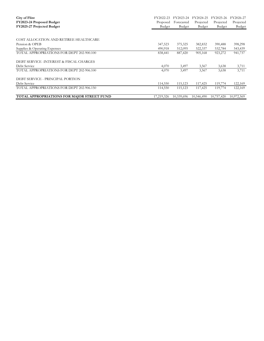| City of Flint                              | FY2022-23     | FY2023-24  | FY2024-25  | FY2025-26  | FY2026-27  |
|--------------------------------------------|---------------|------------|------------|------------|------------|
| FY2023-24 Proposed Budget                  | Proposed      | Forecasted | Projected  | Projected  | Projected  |
| FY2025-27 Projected Budget                 | <b>Budget</b> | Budget     | Budget     | Budget     | Budget     |
|                                            |               |            |            |            |            |
| COST ALLOCATION AND RETIREE HEALTHCARE     |               |            |            |            |            |
| Pension & OPEB                             | 347,523       | 375,325    | 382,832    | 390,488    | 398,298    |
| Supplies & Operating Expenses              | 490,918       | 512,095    | 522,337    | 532,784    | 543,439    |
| TOTAL APPROPRIATIONS FOR DEPT 202-900.100  | 838,441       | 887,420    | 905,168    | 923,272    | 941,737    |
| DEBT SERVICE - INTEREST & FISCAL CHARGES   |               |            |            |            |            |
| Debt Service                               | 4,070         | 3,497      | 3,567      | 3,638      | 3,711      |
| TOTAL APPROPRIATIONS FOR DEPT 202-906.100  | 4,070         | 3,497      | 3,567      | 3,638      | 3,711      |
| DEBT SERVICE - PRINCIPAL PORTION           |               |            |            |            |            |
| Debt Service                               | 114,550       | 115,123    | 117,425    | 119,774    | 122,169    |
| TOTAL APPROPRIATIONS FOR DEPT 202-906.150  | 114,550       | 115,123    | 117,425    | 119,774    | 122,169    |
| TOTAL APPROPRIATIONS FOR MAJOR STREET FUND | 17,219,326    | 10,339,696 | 10,546,490 | 10,757,420 | 10,972,569 |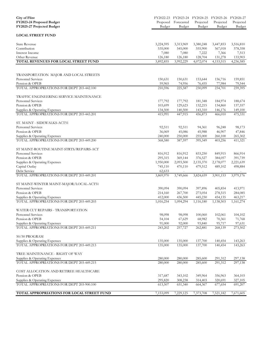| <b>City of Flint</b><br>FY2023-24 Proposed Budget<br>FY2025-27 Projected Budget | Proposed<br>Budget   | Forecasted<br>Budget | Projected<br>Budget | FY2022-23 FY2023-24 FY2024-25 FY2025-26<br>Projected<br>Budget | FY2026-27<br>Projected<br>Budget |
|---------------------------------------------------------------------------------|----------------------|----------------------|---------------------|----------------------------------------------------------------|----------------------------------|
| <b>LOCAL STREET FUND</b>                                                        |                      |                      |                     |                                                                |                                  |
| State Revenue                                                                   | 3,224,595            | 3,313,969            | 3,380,248           | 3,447,853                                                      | 3,516,810                        |
| Contribution                                                                    | 535,000              | 545,000              | 555,900             | 567,018                                                        | 578,358                          |
| Interest Income                                                                 | 7,080                | 7,080                | 7,222               | 7,366                                                          | 7,513                            |
| Other Revenue                                                                   | 126,180              | 126,180              | 128,704             | 131,278                                                        | 133,903                          |
| TOTAL REVENUES FOR LOCAL STREET FUND                                            | 3,892,855            | 3,992,229            | 4,072,074           | 4,153,515                                                      | 4,236,585                        |
|                                                                                 |                      |                      |                     |                                                                |                                  |
| TRANSPORTATION MAJOR AND LOCAL STREETS                                          |                      |                      |                     |                                                                |                                  |
| Personnel Services                                                              | 150,631              | 150,631              | 153,644             | 156,716                                                        | 159,851                          |
| Pension & OPEB<br>TOTAL APPROPRIATIONS FOR DEPT 203-442.100                     | 59,965<br>210,596    | 74,956               | 76,455<br>230,099   | 77,984                                                         | 79,544                           |
|                                                                                 |                      | 225,587              |                     | 234,701                                                        | 239,395                          |
| TRAFFIC ENGINEERING SERVICE MAINTENANCE                                         |                      |                      |                     |                                                                |                                  |
| Personnel Services                                                              | 177,792              | 177,792              | 181,348             | 184,974                                                        | 188,674                          |
| Pension & OPEB                                                                  | 103,699              | 129,623              | 132,215             | 134,860                                                        | 137,557                          |
| Supplies & Operating Expenses<br>TOTAL APPROPRIATIONS FOR DEPT 203-443.201      | 134,500<br>415,991   | 140,500<br>447,915   | 143,310<br>456,873  | 146,176<br>466,010                                             | 149,100<br>475,331               |
|                                                                                 |                      |                      |                     |                                                                |                                  |
| ST. MAINT - SIDEWALKS-ACT51                                                     |                      |                      |                     |                                                                |                                  |
| Personnel Services                                                              | 92,511               | 92,511               | 94,361              | 96,248                                                         | 98,173                           |
| Pension & OPEB                                                                  | 36,069               | 45,086               | 45,988              | 46,907                                                         | 47,846                           |
| Supplies & Operating Expenses                                                   | 240,000              | 250,000              | 255,000             | 260,100                                                        | 265,302                          |
| TOTAL APPROPRIATIONS FOR DEPT 203-449.200                                       | 368,580              | 387,597              | 395,349             | 403,256                                                        | 411,321                          |
| ST MAINT-ROUTINE MAINT-STRTS/REPAIRS-ACT                                        |                      |                      |                     |                                                                |                                  |
| Personnel Services                                                              | 816,912              | 816,912              | 833,250             | 849,915                                                        | 866,914                          |
| Pension & OPEB                                                                  | 295,315              | 369,144              | 376,527             | 384,057                                                        | 391,739                          |
| Supplies & Operating Expenses                                                   | 1,950,000            | 2,093,500            | 2,135,370           | 2,178,077                                                      | 2,221,639                        |
| Capital Outlay                                                                  | 745,110              | 470,110              | 479,512             | 489,102                                                        | 498,884                          |
| Debt Service<br>TOTAL APPROPRIATIONS FOR DEPT 203-449.201                       | 62,633               | $\omega_{\rm{eff}}$  | $\sim$              | $\equiv$                                                       |                                  |
|                                                                                 | 3,869,970            | 3,749,666            | 3,824,659           | 3,901,153                                                      | 3,979,176                        |
| ST MAINT-WINTER MAINT-MAJOR/LOCAL-ACT51                                         |                      |                      |                     |                                                                |                                  |
| <b>Personnel Services</b>                                                       | 390,094              | 390,094              | 397,896             | 405,854                                                        | 413,971                          |
| Pension & OPEB                                                                  | 214,160              | 267,700              | 273,054             | 278,515                                                        | 284,085                          |
| Supplies & Operating Expenses<br>TOTAL APPROPRIATIONS FOR DEPT 203-449.203      | 412,000<br>1,016,254 | 436,500              | 445,230             | 454,135                                                        | 463,217                          |
|                                                                                 |                      | 1,094,294            | 1,116,180           | 1,138,503                                                      | 1,161,274                        |
| WATER CUT REPAIRS - TRANSPORTATION                                              |                      |                      |                     |                                                                |                                  |
| <b>Personnel Services</b>                                                       | 98,098               | 98,098               | 100,060             | 102,061                                                        | 104,102                          |
| Pension & OPEB                                                                  | 54,104               | 67,629               | 68,982              | 70,361                                                         | 71,768                           |
| Supplies & Operating Expenses                                                   | 91,000               | 92,000               | 93,840              | 95,717                                                         | 97,631                           |
| TOTAL APPROPRIATIONS FOR DEPT 203-449.211                                       | 243,202              | 257,727              | 262,881             | 268,139                                                        | 273,502                          |
| 50/50 PROGRAM                                                                   |                      |                      |                     |                                                                |                                  |
| Supplies & Operating Expenses                                                   | 135,000              | 135,000              | 137,700             | 140,454                                                        | 143,263                          |
| TOTAL APPROPRIATIONS FOR DEPT 203-449.213                                       | 135,000              | 135,000              | 137,700             | 140,454                                                        | 143,263                          |
| TREE MAINTENANCE - RIGHT OF WAY                                                 |                      |                      |                     |                                                                |                                  |
| Supplies & Operating Expenses                                                   | 280,000              | 280,000              | 285,600             | 291,312                                                        | 297,138                          |
| TOTAL APPROPRIATIONS FOR DEPT 203-449.215                                       | 280,000              | 280,000              | 285,600             | 291,312                                                        | 297,138                          |
|                                                                                 |                      |                      |                     |                                                                |                                  |
| COST ALLOCATION AND RETIREE HEALTHCARE                                          |                      |                      |                     |                                                                |                                  |
| Pension & OPEB                                                                  | 317,687              | 343,102              | 349,964             | 356,963                                                        | 364,103                          |
| Supplies & Operating Expenses<br>TOTAL APPROPRIATIONS FOR DEPT 203-900.100      | 295,820<br>613,507   | 308,238<br>651,340   | 314,403<br>664,367  | 320,691<br>677,654                                             | 327,105<br>691,207               |
|                                                                                 |                      |                      |                     |                                                                |                                  |
| TOTAL APPROPRIATIONS FOR LOCAL STREET FUND                                      | 7,153,099            | 7,229,125            | 7,373,708           | 7,521,182                                                      | 7,671,605                        |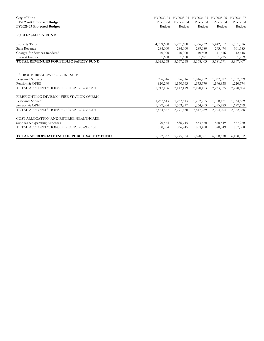| <b>City of Flint</b><br>FY2023-24 Proposed Budget<br>FY2025-27 Projected Budget | FY2022-23<br>Proposed<br>Budget | FY2023-24<br>Forecasted<br>Budget | FY2024-25<br>Projected<br>Budget | FY2025-26<br>Projected<br>Budget | FY2026-27<br>Projected<br><b>Budget</b> |
|---------------------------------------------------------------------------------|---------------------------------|-----------------------------------|----------------------------------|----------------------------------|-----------------------------------------|
| <b>PUBLIC SAFETY FUND</b>                                                       |                                 |                                   |                                  |                                  |                                         |
| Property Taxes                                                                  | 4,999,600                       | 5,231,600                         | 5,336,232                        | 5,442,957                        | 5,551,816                               |
| <b>State Revenue</b>                                                            | 284,000                         | 284,000                           | 289,680                          | 295,474                          | 301,383                                 |
| Charges for Services Rendered                                                   | 40,000                          | 40,000                            | 40,800                           | 41,616                           | 42,448                                  |
| Interest Income                                                                 | 1,658                           | 1,658                             | 1,691                            | 1,725                            | 1,759                                   |
| <b>TOTAL REVENUES FOR PUBLIC SAFETY FUND</b>                                    | 5,325,258                       | 5,557,258                         | 5,668,403                        | 5,781,771                        | 5,897,407                               |
| PATROL BUREAU-PATROL - 1ST SHIFT                                                |                                 |                                   |                                  |                                  |                                         |
| <b>Personnel Services</b>                                                       | 996,816                         | 996,816                           | 1,016,752                        | 1,037,087                        | 1,057,829                               |
| Pension & OPEB                                                                  | 920,290                         | 1,150,363                         | 1,173,370                        | 1,196,838                        | 1,220,774                               |
| TOTAL APPROPRIATIONS FOR DEPT 205-315.201                                       | 1,917,106                       | 2,147,179                         | 2,190,123                        | 2,233,925                        | 2,278,604                               |
| FIREFIGHTING DIVISION-FIRE STATION OVERH                                        |                                 |                                   |                                  |                                  |                                         |
| <b>Personnel Services</b>                                                       | 1,257,613                       | 1,257,613                         | 1,282,765                        | 1,308,421                        | 1,334,589                               |
| Pension & OPEB                                                                  | 1,227,054                       | 1,533,817                         | 1,564,493                        | 1,595,783                        | 1,627,699                               |
| TOTAL APPROPRIATIONS FOR DEPT 205-338.201                                       | 2,484,667                       | 2,791,430                         | 2,847,259                        | 2,904,204                        | 2,962,288                               |
| COST ALLOCATION AND RETIREE HEALTHCARE                                          |                                 |                                   |                                  |                                  |                                         |
| Supplies & Operating Expenses                                                   | 790,564                         | 836,745                           | 853,480                          | 870,549                          | 887,960                                 |
| TOTAL APPROPRIATIONS FOR DEPT 205-900.100                                       | 790,564                         | 836,745                           | 853,480                          | 870,549                          | 887,960                                 |
| <b>TOTAL APPROPRIATIONS FOR PUBLIC SAFETY FUND</b>                              | 5,192,337                       | 5,775,354                         | 5,890,861                        | 6,008,678                        | 6,128,852                               |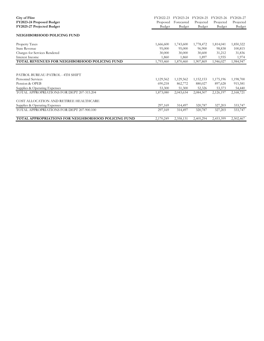| City of Flint                                       | FY2022-23 | FY2023-24  | FY2024-25 | FY2025-26 | FY2026-27 |
|-----------------------------------------------------|-----------|------------|-----------|-----------|-----------|
| FY2023-24 Proposed Budget                           | Proposed  | Forecasted | Projected | Projected | Projected |
| FY2025-27 Projected Budget                          | Budget    | Budget     | Budget    | Budget    | Budget    |
| NEIGHBORHOOD POLICING FUND                          |           |            |           |           |           |
| Property Taxes                                      | 1,666,600 | 1,743,600  | 1,778,472 | 1,814,041 | 1,850,322 |
| <b>State Revenue</b>                                | 95,000    | 95,000     | 96,900    | 98,838    | 100,815   |
| Charges for Services Rendered                       | 30,000    | 30,000     | 30,600    | 31,212    | 31,836    |
| Interest Income                                     | 1,860     | 1,860      | 1,897     | 1,935     | 1,974     |
| TOTAL REVENUES FOR NEIGHBORHOOD POLICING FUND       | 1,793,460 | 1,870,460  | 1,907,869 | 1,946,027 | 1,984,947 |
| PATROL BUREAU-PATROL - 4TH SHIFT                    |           |            |           |           |           |
| <b>Personnel Services</b>                           | 1,129,562 | 1,129,562  | 1,152,153 | 1,175,196 | 1,198,700 |
| Pension & OPEB                                      | 690,218   | 862,772    | 880,027   | 897,628   | 915,581   |
| Supplies & Operating Expenses                       | 53,300    | 51,300     | 52,326    | 53,373    | 54,440    |
| TOTAL APPROPRIATIONS FOR DEPT 207-315.204           | 1,873,080 | 2,043,634  | 2,084,507 | 2,126,197 | 2,168,721 |
| COST ALLOCATION AND RETIREE HEALTHCARE              |           |            |           |           |           |
| Supplies & Operating Expenses                       | 297,169   | 314,497    | 320,787   | 327,203   | 333,747   |
| TOTAL APPROPRIATIONS FOR DEPT 207-900.100           | 297,169   | 314,497    | 320,787   | 327,203   | 333,747   |
| TOTAL APPROPRIATIONS FOR NEIGHBORHOOD POLICING FUND | 2,170,249 | 2,358,131  | 2,405,294 | 2,453,399 | 2,502,467 |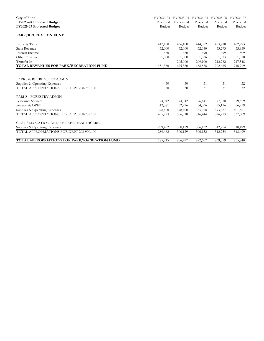| <b>City of Flint</b><br>FY2023-24 Proposed Budget<br>FY2025-27 Projected Budget | FY2022-23<br>Proposed<br>Budget | FY2023-24<br>Forecasted | FY2024-25<br>Projected | FY2025-26<br>Projected | FY2026-27<br>Projected<br>Budget |
|---------------------------------------------------------------------------------|---------------------------------|-------------------------|------------------------|------------------------|----------------------------------|
|                                                                                 |                                 | Budget                  | Budget                 | Budget                 |                                  |
| <b>PARK/RECREATION FUND</b>                                                     |                                 |                         |                        |                        |                                  |
| Property Taxes                                                                  | 417,100                         | 436,100                 | 444,822                | 453,718                | 462,793                          |
| <b>State Revenue</b>                                                            | 32,000                          | 32,000                  | 32,640                 | 33,293                 | 33,959                           |
| Interest Income                                                                 | 480                             | 480                     | 490                    | 499                    | 509                              |
| Other Revenue                                                                   | 1,800                           | 1,800                   | 1,836                  | 1,873                  | 1,910                            |
| Transfer In                                                                     |                                 | 205,000                 | 209,100                | 213,282                | 217,548                          |
| TOTAL REVENUES FOR PARK/RECREATION FUND                                         | 451,380                         | 675,380                 | 688,888                | 702,665                | 716,719                          |
|                                                                                 |                                 |                         |                        |                        |                                  |
| PARKS & RECREATION ADMIN                                                        |                                 |                         |                        |                        |                                  |
| Supplies & Operating Expenses                                                   | 30                              | 30                      | 31                     | 31                     | 32                               |
| TOTAL APPROPRIATIONS FOR DEPT 208-752.100                                       | 30                              | 30                      | 31                     | 31                     | 32                               |
| PARKS - FORESTRY ADMIN                                                          |                                 |                         |                        |                        |                                  |
| <b>Personnel Services</b>                                                       | 74,942                          | 74,942                  | 76,441                 | 77,970                 | 79,529                           |
| Pension & OPEB                                                                  | 42,381                          | 52,976                  | 54,036                 | 55,116                 | 56,219                           |
| Supplies & Operating Expenses                                                   | 378,400                         | 378,400                 | 385,968                | 393,687                | 401,561                          |
| TOTAL APPROPRIATIONS FOR DEPT 208-752.102                                       | 495,723                         | 506,318                 | 516,444                | 526,773                | 537,309                          |
| COST ALLOCATION AND RETIREE HEALTHCARE                                          |                                 |                         |                        |                        |                                  |
| Supplies & Operating Expenses                                                   | 289,462                         | 300,129                 | 306,132                | 312,254                | 318,499                          |
| TOTAL APPROPRIATIONS FOR DEPT 208-900.100                                       | 289,462                         | 300,129                 | 306,132                | 312,254                | 318,499                          |
| TOTAL APPROPRIATIONS FOR PARK/RECREATION FUND                                   | 785,215                         | 806,477                 | 822,607                | 839,059                | 855,840                          |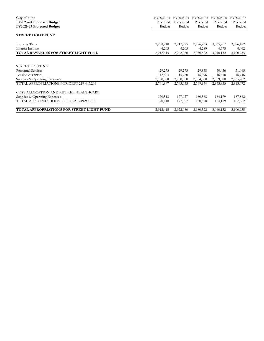| City of Flint                               | FY2022-23 | FY2023-24  | FY2024-25 | FY2025-26 | FY2026-27     |
|---------------------------------------------|-----------|------------|-----------|-----------|---------------|
| FY2023-24 Proposed Budget                   | Proposed  | Forecasted | Projected | Projected | Projected     |
| FY2025-27 Projected Budget                  | Budget    | Budget     | Budget    | Budget    | <b>Budget</b> |
| <b>STREET LIGHT FUND</b>                    |           |            |           |           |               |
| Property Taxes                              | 2,908,210 | 2,917,875  | 2,976,233 | 3,035,757 | 3,096,472     |
| Interest Income                             | 4,205     | 4,205      | 4,289     | 4,375     | 4,462         |
| <b>TOTAL REVENUES FOR STREET LIGHT FUND</b> | 2,912,415 | 2,922,080  | 2,980,522 | 3,040,132 | 3,100,935     |
|                                             |           |            |           |           |               |
| STREET LIGHTING                             |           |            |           |           |               |
| <b>Personnel Services</b>                   | 29,273    | 29,273     | 29,858    | 30,456    | 31,065        |
| Pension & OPEB                              | 12,624    | 15,780     | 16,096    | 16,418    | 16,746        |
| Supplies & Operating Expenses               | 2,700,000 | 2,700,000  | 2,754,000 | 2,809,080 | 2,865,262     |
| TOTAL APPROPRIATIONS FOR DEPT 219-443.206   | 2,741,897 | 2,745,053  | 2,799,954 | 2,855,953 | 2,913,072     |
| COST ALLOCATION AND RETIREE HEALTHCARE      |           |            |           |           |               |
| Supplies & Operating Expenses               | 170,518   | 177,027    | 180,568   | 184,179   | 187,862       |
| TOTAL APPROPRIATIONS FOR DEPT 219-900.100   | 170,518   | 177,027    | 180,568   | 184,179   | 187,862       |
| TOTAL APPROPRIATIONS FOR STREET LIGHT FUND  | 2,912,415 | 2,922,080  | 2,980,522 | 3,040,132 | 3,100,935     |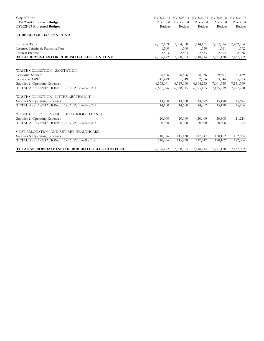| <b>City of Flint</b><br>FY2023-24 Proposed Budget<br>FY2025-27 Projected Budget | FY2022-23<br>Proposed<br>Budget | FY2023-24 FY2024-25<br>Forecasted<br>Budget | Projected<br>Budget | FY2025-26<br>Projected<br>Budget | FY2026-27<br>Projected<br>Budget |
|---------------------------------------------------------------------------------|---------------------------------|---------------------------------------------|---------------------|----------------------------------|----------------------------------|
| <b>RUBBISH COLLECTION FUND</b>                                                  |                                 |                                             |                     |                                  |                                  |
| Property Taxes                                                                  | 6,792,169                       | 7,004,050                                   | 7,144,131           | 7,287,014                        | 7,432,754                        |
| License, Permits & Franchise Fees                                               | 1,500                           | 1,500                                       | 1,530               | 1,561                            | 1,592                            |
| Interest Income                                                                 | 2,503                           | 2,503                                       | 2,553               | 2,604                            | 2,656                            |
| TOTAL REVENUES FOR RUBBISH COLLECTION FUND                                      | 6,796,172                       | 7,008,053                                   | 7,148,214           | 7,291,178                        | 7,437,002                        |
|                                                                                 |                                 |                                             |                     |                                  |                                  |
| WASTE COLLECTION - SANITATION                                                   |                                 |                                             |                     |                                  |                                  |
| <b>Personnel Services</b>                                                       | 76,506                          | 76,506                                      | 78,036              | 79,597                           | 81,189                           |
| Pension & OPEB                                                                  | 41,479                          | 51,849                                      | 52,886              | 53,944                           | 55,023                           |
| Supplies & Operating Expenses                                                   | 6,533,091                       | 6,729,660                                   | 6,864,253           | 7,001,538                        | 7,141,569                        |
| TOTAL APPROPRIATIONS FOR DEPT 226-528.201                                       | 6,651,076                       | 6,858,015                                   | 6,995,175           | 7,135,079                        | 7,277,780                        |
| WASTE COLLECTION - LITTER ABATEMENT                                             |                                 |                                             |                     |                                  |                                  |
| Supplies & Operating Expenses                                                   | 14,100                          | 14,600                                      | 14,892              | 15,190                           | 15,494                           |
| TOTAL APPROPRIATIONS FOR DEPT 226-528.202                                       | 14,100                          | 14,600                                      | 14,892              | 15,190                           | 15,494                           |
| WASTE COLLECTION - NEIGHBORHOOD CLEANUP                                         |                                 |                                             |                     |                                  |                                  |
| Supplies & Operating Expenses                                                   | 20,000                          | 20,000                                      | 20,400              | 20,808                           | 21,224                           |
| TOTAL APPROPRIATIONS FOR DEPT 226-528.205                                       | 20,000                          | 20,000                                      | 20,400              | 20,808                           | 21,224                           |
| COST ALLOCATION AND RETIREE HEALTHCARE                                          |                                 |                                             |                     |                                  |                                  |
| Supplies & Operating Expenses                                                   | 110,996                         | 115,438                                     | 117,747             | 120,102                          | 122,504                          |
| TOTAL APPROPRIATIONS FOR DEPT 226-900.100                                       | 110,996                         | 115,438                                     | 117,747             | 120,102                          | 122,504                          |
| <b>TOTAL APPROPRIATIONS FOR RUBBISH COLLECTION FUND</b>                         | 6,796,172                       | 7,008,053                                   | 7,148,214           | $7,291,1\overline{78}$           | 7,437,002                        |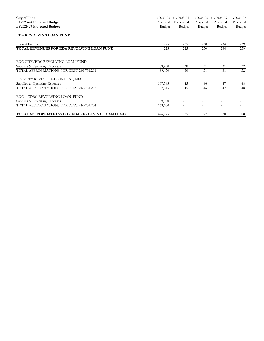| <b>City of Flint</b>                             | FY2022-23 | FY2023-24  | FY2024-25 | FY2025-26 | FY2026-27 |
|--------------------------------------------------|-----------|------------|-----------|-----------|-----------|
| FY2023-24 Proposed Budget                        | Proposed  | Forecasted | Projected | Projected | Projected |
| FY2025-27 Projected Budget                       | Budget    | Budget     | Budget    | Budget    | Budget    |
| <b>EDA REVOLVING LOAN FUND</b>                   |           |            |           |           |           |
| Interest Income                                  | 225       | 225        | 230       | 234       | 239       |
| TOTAL REVENUES FOR EDA REVOLVING LOAN FUND       | 225       | 225        | 230       | 234       | 239       |
| EDC-CITY/EDC REVOLVING LOAN FUND                 |           |            |           |           |           |
|                                                  |           | 30         | 31        | 31        |           |
| Supplies & Operating Expenses                    | 89,430    |            |           |           | 32        |
| TOTAL APPROPRIATIONS FOR DEPT 246-731.201        | 89,430    | 30         | 31        | 31        | 32        |
| EDC-CITY REVLV FUND - INDUST/MFG                 |           |            |           |           |           |
| Supplies & Operating Expenses                    | 167,745   | 45         | 46        | 47        | 48        |
| TOTAL APPROPRIATIONS FOR DEPT 246-731.203        | 167,745   | 45         | 46        | 47        | 48        |
| EDC - CDBG REVOLVING LOAN FUND                   |           |            |           |           |           |
| Supplies & Operating Expenses                    | 169,100   | $\sim$     |           |           |           |
| TOTAL APPROPRIATIONS FOR DEPT 246-731.204        | 169,100   |            |           |           |           |
| TOTAL APPROPRIATIONS FOR EDA REVOLVING LOAN FUND | 426,275   | 75         | 77        | 78        | 80        |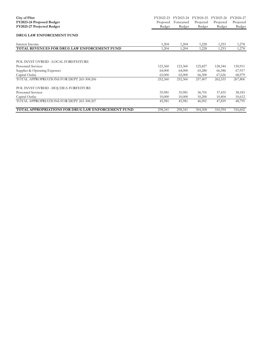| City of Flint                                             | FY2022-23 | FY2023-24  | FY2024-25 | FY2025-26 | FY2026-27 |
|-----------------------------------------------------------|-----------|------------|-----------|-----------|-----------|
| FY2023-24 Proposed Budget                                 | Proposed  | Forecasted | Projected | Projected | Projected |
| FY2025-27 Projected Budget                                | Budget    | Budget     | Budget    | Budget    | Budget    |
| DRUG LAW ENFORCEMENT FUND                                 |           |            |           |           |           |
| Interest Income                                           | 1,204     | 1,204      | 1,228     | 1,253     | 1,278     |
| <b>TOTAL REVENUES FOR DRUG LAW ENFORCEMENT FUND</b>       | 1,204     | 1,204      | 1,228     | 1,253     | 1,278     |
|                                                           |           |            |           |           |           |
| POL INVST OVRHD - LOCAL FOREFEITURE                       |           |            |           |           |           |
| Personnel Services                                        | 123,360   | 123,360    | 125,827   | 128,344   | 130,911   |
| Supplies & Operating Expenses                             | 64,000    | 64,000     | 65,280    | 66,586    | 67,917    |
| Capital Outlay                                            | 65,000    | 65,000     | 66,300    | 67,626    | 68,979    |
| TOTAL APPROPRIATIONS FOR DEPT 265-308.206                 | 252,360   | 252,360    | 257,407   | 262,555   | 267,806   |
| POL INVST OVRHD - DOJ/DEA FORFEITURE                      |           |            |           |           |           |
| <b>Personnel Services</b>                                 | 35,981    | 35,981     | 36,701    | 37,435    | 38,183    |
| Capital Outlay                                            | 10,000    | 10,000     | 10,200    | 10,404    | 10,612    |
| TOTAL APPROPRIATIONS FOR DEPT 265-308.207                 | 45,981    | 45,981     | 46,901    | 47,839    | 48,795    |
| <b>TOTAL APPROPRIATIONS FOR DRUG LAW ENFORCEMENT FUND</b> | 298,341   | 298,341    | 304,308   | 310,394   | 316,602   |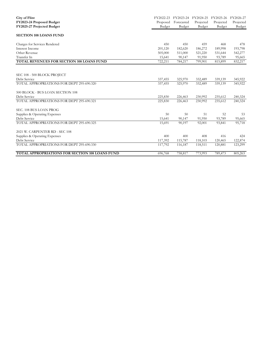| <b>City of Flint</b><br>FY2023-24 Proposed Budget<br>FY2025-27 Projected Budget | FY2022-23<br>Proposed<br>Budget | FY2023-24 FY2024-25<br>Forecasted<br>Budget | Projected<br>Budget | FY2025-26<br>Projected<br>Budget | FY2026-27<br>Projected<br>Budget |
|---------------------------------------------------------------------------------|---------------------------------|---------------------------------------------|---------------------|----------------------------------|----------------------------------|
| <b>SECTION 108 LOANS FUND</b>                                                   |                                 |                                             |                     |                                  |                                  |
| Charges for Services Rendered                                                   | 450                             | 450                                         | 459                 | 468                              | 478                              |
| Interest Income                                                                 | 201,120                         | 182,620                                     | 186,272             | 189,998                          | 193,798                          |
| Other Revenue                                                                   | 505,000                         | 511,000                                     | 521,220             | 531,644                          | 542,277                          |
| Transfer In                                                                     | 15,641                          | 90,147                                      | 91,950              | 93,789                           | 95,665                           |
| TOTAL REVENUES FOR SECTION 108 LOANS FUND                                       | 722,211                         | 784,217                                     | 799,901             | 815,899                          | 832,217                          |
|                                                                                 |                                 |                                             |                     |                                  |                                  |
| SEC 108 - 500 BLOCK PROJECT                                                     |                                 |                                             |                     |                                  |                                  |
| Debt Service                                                                    | 337,455                         | 325,970                                     | 332,489             | 339,139                          | 345,922                          |
| TOTAL APPROPRIATIONS FOR DEPT 295-690.320                                       | 337,455                         | 325,970                                     | 332,489             | 339,139                          | 345,922                          |
| 500 BLOCK - BUS LOAN SECTION 108                                                |                                 |                                             |                     |                                  |                                  |
| Debt Service                                                                    | 225,830                         | 226,463                                     | 230,992             | 235,612                          | 240,324                          |
| TOTAL APPROPRIATIONS FOR DEPT 295-690.321                                       | 225,830                         | 226,463                                     | 230,992             | 235,612                          | 240,324                          |
| SEC. 108 BUS LOAN PROG                                                          |                                 |                                             |                     |                                  |                                  |
| Supplies & Operating Expenses                                                   | 50                              | 50                                          | 51                  | 52                               | 53                               |
| Debt Service                                                                    | 15,641                          | 90,147                                      | 91,950              | 93,789                           | 95,665                           |
| TOTAL APPROPRIATIONS FOR DEPT 295-690.325                                       | 15,691                          | 90.197                                      | 92,001              | 93,841                           | 95,718                           |
| 2021 W. CARPENTER RD - SEC 108                                                  |                                 |                                             |                     |                                  |                                  |
| Supplies & Operating Expenses                                                   | 400                             | 400                                         | 408                 | 416                              | 424                              |
| Debt Service                                                                    | 117,392                         | 115,787                                     | 118,103             | 120,465                          | 122,874                          |
| TOTAL APPROPRIATIONS FOR DEPT 295-690.330                                       | 117,792                         | 116,187                                     | 118,511             | 120,881                          | 123,299                          |
| TOTAL APPROPRIATIONS FOR SECTION 108 LOANS FUND                                 | 696,768                         | 758,817                                     | 773,993             | 789,473                          | 805,263                          |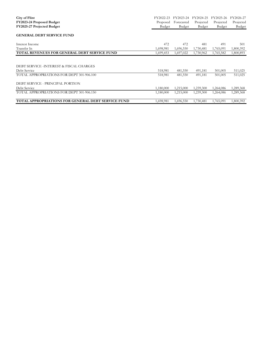| City of Flint                                           | FY2022-23 | FY2023-24  | FY2024-25 | FY2025-26 | FY2026-27 |
|---------------------------------------------------------|-----------|------------|-----------|-----------|-----------|
| FY2023-24 Proposed Budget                               | Proposed  | Forecasted | Projected | Projected | Projected |
| FY2025-27 Projected Budget                              | Budget    | Budget     | Budget    | Budget    | Budget    |
| <b>GENERAL DEBT SERVICE FUND</b>                        |           |            |           |           |           |
| Interest Income                                         | 472       | 472        | 481       | 491       | 501       |
| Transfer In                                             | 1,698,981 | 1,696,550  | 1,730,481 | 1,765,091 | 1,800,392 |
| <b>TOTAL REVENUES FOR GENERAL DEBT SERVICE FUND</b>     | 1,699,453 | 1,697,022  | 1,730,962 | 1,765,582 | 1,800,893 |
| DEBT SERVICE -INTEREST & FISCAL CHARGES<br>Debt Service | 518,981   | 481,550    | 491,181   | 501,005   | 511,025   |
| TOTAL APPROPRIATIONS FOR DEPT 301-906.100               | 518,981   | 481,550    | 491,181   | 501,005   | 511,025   |
| DEBT SERVICE - PRINCIPAL PORTION<br>Debt Service        | 1,180,000 | 1,215,000  | 1,239,300 | 1,264,086 | 1,289,368 |
| TOTAL APPROPRIATIONS FOR DEPT 301-906.150               | 1,180,000 | 1,215,000  | 1,239,300 | 1,264,086 | 1,289,368 |
|                                                         |           |            |           |           |           |
| TOTAL APPROPRIATIONS FOR GENERAL DEBT SERVICE FUND      | 1,698,981 | 1,696,550  | 1,730,481 | 1,765,091 | 1,800,392 |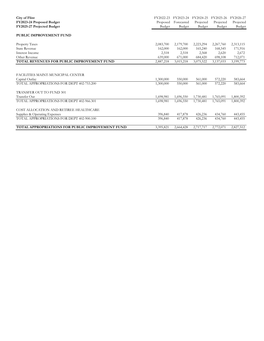| <b>City of Flint</b><br>FY2023-24 Proposed Budget<br>FY2025-27 Projected Budget                  | FY2022-23<br>Proposed<br>Budget | FY2023-24<br>Forecasted<br>Budget | FY2024-25<br>Projected<br>Budget | FY2025-26<br>Projected<br>Budget | FY2026-27<br>Projected<br>Budget |
|--------------------------------------------------------------------------------------------------|---------------------------------|-----------------------------------|----------------------------------|----------------------------------|----------------------------------|
| PUBLIC IMPROVEMENT FUND                                                                          |                                 |                                   |                                  |                                  |                                  |
| Property Taxes                                                                                   | 2,083,700                       | 2,179,700                         | 2,223,294                        | 2,267,760                        | 2,313,115                        |
| <b>State Revenue</b>                                                                             | 162,000                         | 162,000                           | 165,240                          | 168,545                          | 171,916                          |
| Interest Income                                                                                  | 2,518                           | 2,518                             | 2,568                            | 2,620                            | 2,672                            |
| Other Revenue                                                                                    | 639,000                         | 671,000                           | 684,420                          | 698,108                          | 712,071                          |
| TOTAL REVENUES FOR PUBLIC IMPROVEMENT FUND                                                       | 2,887,218                       | 3,015,218                         | 3,075,522                        | 3,137,033                        | 3,199,773                        |
| FACILITIES MAINT-MUNICIPAL CENTER<br>Capital Outlay<br>TOTAL APPROPRIATIONS FOR DEPT 402-753.200 | 1,300,000<br>1,300,000          | 550,000<br>550,000                | 561,000<br>561,000               | 572,220<br>572,220               | 583,664<br>583,664               |
| TRANSFER OUT TO FUND 301<br>Transfer Out                                                         | 1,698,981                       | 1,696,550                         | 1,730,481                        | 1,765,091                        | 1,800,392                        |
| TOTAL APPROPRIATIONS FOR DEPT 402-966.301                                                        | 1,698,981                       | 1,696,550                         | 1,730,481                        | 1,765,091                        | 1,800,392                        |
| COST ALLOCATION AND RETIREE HEALTHCARE<br>Supplies & Operating Expenses                          | 396,840                         | 417,878                           | 426,236                          | 434,760                          | 443,455                          |
| TOTAL APPROPRIATIONS FOR DEPT 402-900.100                                                        | 396,840                         | 417,878                           | 426,236                          | 434,760                          | 443,455                          |
| <b>TOTAL APPROPRIATIONS FOR PUBLIC IMPROVEMENT FUND</b>                                          | 3,395,821                       | 2,664,428                         | 2,717,717                        | 2,772,071                        | 2,827,512                        |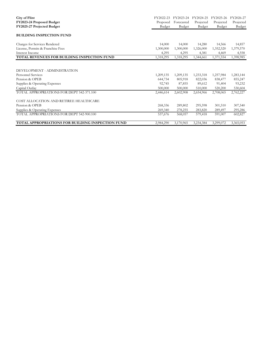| City of Flint                                            | FY2022-23 | FY2023-24  | FY2024-25 | FY2025-26 | FY2026-27     |
|----------------------------------------------------------|-----------|------------|-----------|-----------|---------------|
| FY2023-24 Proposed Budget                                | Proposed  | Forecasted | Projected | Projected | Projected     |
| FY2025-27 Projected Budget                               | Budget    | Budget     | Budget    | Budget    | <b>Budget</b> |
| <b>BUILDING INSPECTION FUND</b>                          |           |            |           |           |               |
| Charges for Services Rendered                            | 14,000    | 14,000     | 14,280    | 14,566    | 14,857        |
| License, Permits & Franchise Fees                        | 1,300,000 | 1,300,000  | 1,326,000 | 1,352,520 | 1,379,570     |
| Interest Income                                          | 4,295     | 4,295      | 4,381     | 4,469     | 4,558         |
| TOTAL REVENUES FOR BUILDING INSPECTION FUND              | 1,318,295 | 1,318,295  | 1,344,661 | 1,371,554 | 1,398,985     |
|                                                          |           |            |           |           |               |
| DEVELOPMENT - ADMINISTRATION                             |           |            |           |           |               |
| Personnel Services                                       | 1,209,135 | 1,209,135  | 1,233,318 | 1,257,984 | 1,283,144     |
| Pension & OPEB                                           | 644,734   | 805,918    | 822,036   | 838,477   | 855,247       |
| Supplies & Operating Expenses                            | 92,745    | 87,855     | 89,612    | 91,404    | 93,232        |
| Capital Outlay                                           | 500,000   | 500,000    | 510,000   | 520,200   | 530,604       |
| TOTAL APPROPRIATIONS FOR DEPT 542-371.100                | 2,446,614 | 2,602,908  | 2,654,966 | 2,708,065 | 2,762,227     |
| COST ALLOCATION AND RETIREE HEALTHCARE                   |           |            |           |           |               |
| Pension & OPEB                                           | 268,336   | 289,802    | 295,598   | 301,510   | 307,540       |
| Supplies & Operating Expenses                            | 269,340   | 278,255    | 283,820   | 289,497   | 295,286       |
| TOTAL APPROPRIATIONS FOR DEPT 542-900.100                | 537,676   | 568,057    | 579,418   | 591,007   | 602,827       |
| <b>TOTAL APPROPRIATIONS FOR BUILDING INSPECTION FUND</b> | 2,984,290 | 3,170,965  | 3,234,384 | 3,299,072 | 3,365,053     |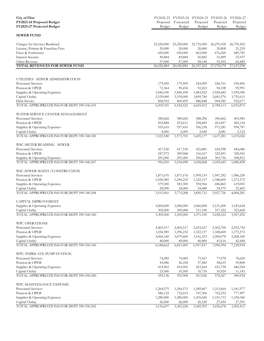| <b>City of Flint</b><br>FY2023-24 Proposed Budget<br>FY2025-27 Projected Budget | Proposed<br>Budget  | FY2022-23 FY2023-24 FY2024-25 FY2025-26 FY2026-27<br>Forecasted<br>Budget | Projected<br>Budget   | Projected<br>Budget | Projected<br>Budget |
|---------------------------------------------------------------------------------|---------------------|---------------------------------------------------------------------------|-----------------------|---------------------|---------------------|
| <b>SEWER FUND</b>                                                               |                     |                                                                           |                       |                     |                     |
| Charges for Services Rendered                                                   | 25,250,000          | 25,250,000                                                                | 25,755,000            | 26,270,100          | 26,795,502          |
| License, Permits & Franchise Fees                                               | 20,000              | 20,000                                                                    | 20,400                | 20,808              | 21,224              |
| Fines & Forfeitures                                                             | 650,000             | 650,000                                                                   | 663,000               | 676,260             | 689,785             |
| Interest Income                                                                 | 49,884              | 49,884                                                                    | 50,882                | 51,899              | 52,937              |
| Other Revenue                                                                   | 57,000              | 57,000                                                                    | 58,140                | 59,303              | 60,489              |
| <b>TOTAL REVENUES FOR SEWER FUND</b>                                            | 26,026,884          | 26,026,884                                                                | 26,547,422            | 27,078,370          | 27,619,938          |
| UTILITIES - SEWER ADMINISTRATION                                                |                     |                                                                           |                       |                     |                     |
| <b>Personnel Services</b>                                                       | 179,509             | 179,509                                                                   | 183,099               | 186,761             | 190,496             |
| Pension & OPEB                                                                  | 72,364              | 90,454                                                                    | 92,263                | 94,108              | 95,991              |
| Supplies & Operating Expenses                                                   | 1,846,100           | 1,846,100                                                                 | 1,883,022             | 1,920,682           | 1,959,096           |
| Capital Outlay                                                                  | 3,539,000           | 3,539,000                                                                 | 3,609,780             | 3,681,976           | 3,755,615           |
| Debt Service                                                                    | 868,952             | 869,459                                                                   | 886,848               | 904,585             | 922,677             |
| TOTAL APPROPRIATIONS FOR DEPT 590-536.101                                       | 6,505,925           | 6,524,522                                                                 | 6,655,012             | 6,788,113           | 6,923,875           |
| WATER SERVICE CENTER MANAGEMENT                                                 |                     |                                                                           |                       |                     |                     |
| <b>Personnel Services</b>                                                       | 380,682             | 380,682                                                                   | 388,296               | 396,062             | 403,983             |
| Pension & OPEB                                                                  | 202,888             | 253,611                                                                   | 258,683               | 263,857             | 269,134             |
| Supplies & Operating Expenses<br>Capital Outlay                                 | 935,610<br>4,000    | 937,410<br>2,000                                                          | 956,158<br>2,040      | 975,281<br>2,081    | 994,787<br>2,122    |
| TOTAL APPROPRIATIONS FOR DEPT 590-540.100                                       | 1,523,180           | 1,573,703                                                                 | 1,605,177             | 1,637,281           | 1,670,026           |
| WSC-METER READING - SEWER                                                       |                     |                                                                           |                       |                     |                     |
| Personnel Services                                                              | 417,530             | 417,530                                                                   | 425,881               | 434,398             | 443,086             |
| Pension & OPEB                                                                  | 247,975             | 309,968                                                                   | 316,167               | 322,491             | 328,941             |
| Supplies & Operating Expenses                                                   | 291,000             | 291,000                                                                   | 296,820               | 302,756             | 308,812             |
| TOTAL APPROPRIATIONS FOR DEPT 590-540.207                                       | 956,505             | 1,018,498                                                                 | 1,038,868             | 1,059,645           | 1,080,838           |
| WSC-SEWER MAINT./CONSTRUCTION                                                   |                     |                                                                           |                       |                     |                     |
| <b>Personnel Services</b>                                                       | 1,871,676           | 1,871,676                                                                 | 1,909,110             | 1,947,292           | 1,986,238           |
| Pension & OPEB                                                                  | 1,036,985           | 1,296,232                                                                 | 1,322,157             | 1,348,600           | 1,375,572           |
| Supplies & Operating Expenses                                                   | 579,300             | 583,300                                                                   | 594,966               | 606,865             | 619,003             |
| Capital Outlay                                                                  | 28,000              | 24,000                                                                    | 24,480                | 24,970              | 25,469              |
| TOTAL APPROPRIATIONS FOR DEPT 590-540.208                                       | 3,515,961           | 3,775,208                                                                 | 3,850,712             | 3,927,726           | 4,006,281           |
| CAPITAL IMPROVEMENT                                                             |                     |                                                                           |                       |                     |                     |
| Supplies & Operating Expenses                                                   | 3,000,000           | 3,000,000                                                                 | 3,060,000             | 3,121,200           | 3,183,624           |
| Capital Outlay                                                                  | 305,000             | 305,000                                                                   | 311,100               | 317,322             | 323,668             |
| TOTAL APPROPRIATIONS FOR DEPT 590-540.300                                       | 3,305,000           | 3,305,000                                                                 | 3,371,100             | 3,438,522           | 3,507,292           |
| <b>WPC OPERATIONS</b>                                                           |                     |                                                                           |                       |                     |                     |
| <b>Personnel Services</b>                                                       | 2,405,517           | 2,405,517                                                                 | 2,453,627             | 2,502,700           | 2,552,754           |
| Pension & OPEB                                                                  | 1,036,985           | 1,296,232<br>3,079,660                                                    | 1,322,157             | 1,348,600           | 1,375,572           |
| Supplies & Operating Expenses<br>Capital Outlay                                 | 3,066,160<br>40,000 | 40,000                                                                    | 3, 141, 253<br>40,800 | 3,204,078<br>41,616 | 3,268,160<br>42,448 |
| TOTAL APPROPRIATIONS FOR DEPT 590-550.100                                       | 6,548,662           | 6,821,409                                                                 | 6,957,837             | 7,096,994           | 7,238,934           |
| WPC-THIRD AVE PUMP STATION                                                      |                     |                                                                           |                       |                     |                     |
| Personnel Services                                                              | 74,085              | 74,085                                                                    | 75,567                | 77,078              | 78,620              |
| Pension & OPEB                                                                  | 45,086              | 56,358                                                                    | 57,485                | 58,635              | 59,808              |
| Supplies & Operating Expenses                                                   | 414,965             | 414,965                                                                   | 423,264               | 431,730             | 440,364             |
| Capital Outlay                                                                  | 25,000              | 10,500                                                                    | 10,710                | 10,924              | 11,143              |
| TOTAL APPROPRIATIONS FOR DEPT 590-550.200                                       | 559,136             | 555,908                                                                   | 567,026               | 578,367             | 589,934             |
| WPC-MAINTENANCE EXPENSE                                                         |                     |                                                                           |                       |                     |                     |
| <b>Personnel Services</b>                                                       | 1,264,575           | 1,264,575                                                                 | 1,289,867             | 1,315,664           | 1,341,977           |
| Pension & OPEB                                                                  | 586,122             | 732,653                                                                   | 747,306               | 762,252             | 777,497             |
| Supplies & Operating Expenses                                                   | 1,280,000           | 1,280,000                                                                 | 1,305,600             | 1,331,712           | 1,358,346           |
| Capital Outlay                                                                  | 26,000              | 26,000                                                                    | 26,520                | 27,050              | 27,591              |
| TOTAL APPROPRIATIONS FOR DEPT 590-550.202                                       | 3,156,697           | 3,303,228                                                                 | 3,369,293             | 3,436,678           | 3,505,412           |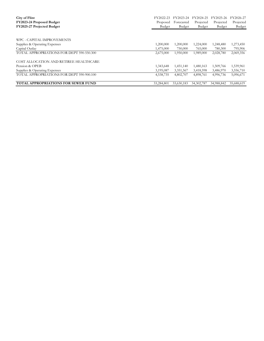| City of Flint<br>FY2023-24 Proposed Budget<br>FY2025-27 Projected Budget | FY2022-23<br>Proposed<br>Budget | FY2023-24<br>Forecasted<br>Budget | FY2024-25<br>Projected<br>Budget | FY2025-26<br>Projected<br>Budget | FY2026-27<br>Projected<br>Budget |
|--------------------------------------------------------------------------|---------------------------------|-----------------------------------|----------------------------------|----------------------------------|----------------------------------|
| WPC - CAPITAL IMPROVEMENTS                                               |                                 |                                   |                                  |                                  |                                  |
| Supplies & Operating Expenses                                            | 1,200,000                       | 1,200,000                         | 1,224,000                        | 1,248,480                        | 1,273,450                        |
| Capital Outlay                                                           | 1,475,000                       | 750,000                           | 765,000                          | 780,300                          | 795,906                          |
| TOTAL APPROPRIATIONS FOR DEPT 590-550.300                                | 2,675,000                       | 1,950,000                         | 1,989,000                        | 2,028,780                        | 2,069,356                        |
| COST ALLOCATION AND RETIREE HEALTHCARE                                   |                                 |                                   |                                  |                                  |                                  |
| Pension & OPEB                                                           | 1,343,648                       | 1,451,140                         | 1,480,163                        | 1,509,766                        | 1,539,961                        |
| Supplies & Operating Expenses                                            | 3,195,087                       | 3,351,567                         | 3,418,598                        | 3,486,970                        | 3,556,710                        |
| TOTAL APPROPRIATIONS FOR DEPT 590-900.100                                | 4,538,735                       | 4,802,707                         | 4,898,761                        | 4,996,736                        | 5,096,671                        |
| <b>TOTAL APPROPRIATIONS FOR SEWER FUND</b>                               | 33,284,801                      | 33,630,183                        | 34, 302, 787                     | 34,988,842                       | 35,688,619                       |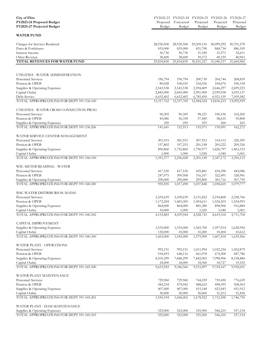| <b>City of Flint</b>                                        |                         |                         | FY2022-23 FY2023-24 FY2024-25 FY2025-26 FY2026-27 |                         |                         |
|-------------------------------------------------------------|-------------------------|-------------------------|---------------------------------------------------|-------------------------|-------------------------|
| FY2023-24 Proposed Budget                                   | Proposed                | Forecasted              | Projected                                         | Projected               | Projected               |
| FY2025-27 Projected Budget                                  | Budget                  | Budget                  | Budget                                            | Budget                  | Budget                  |
|                                                             |                         |                         |                                                   |                         |                         |
| <b>WATER FUND</b>                                           |                         |                         |                                                   |                         |                         |
| Charges for Services Rendered                               | 28,930,500              | 28,930,500              | 29,509,110                                        | 30,099,292              | 30,701,278              |
| Fines & Forfeitures                                         | 835,000                 | 835,000                 | 851,700                                           | 868,734                 | 886,109                 |
| Interest Income                                             | 30,730                  | 30,730                  | 31,345                                            | 31,971                  | 32,611                  |
| Other Revenue                                               | 38,600                  | 38,600                  | 39,372                                            | 40,159                  | 40,963                  |
| TOTAL REVENUES FOR WATER FUND                               | 29,834,830              | 29,834,830              | 30,431,527                                        | 31,040,157              | 31,660,960              |
|                                                             |                         |                         |                                                   |                         |                         |
| UTILITIES - WATER ADMINISTRATION                            |                         |                         |                                                   |                         |                         |
| <b>Personnel Services</b>                                   | 196,794                 | 196,794                 | 200,730                                           | 204,744                 | 208,839                 |
| Pension & OPEB                                              | 80,028                  | 100,035                 | 102,036                                           | 104,076                 | 106,158                 |
|                                                             |                         |                         |                                                   |                         |                         |
| Supplies & Operating Expenses                               | 2,543,538               | 2,543,538               | 2,594,409                                         | 2,646,297               | 2,699,223               |
| Capital Outlay<br>Debt Service                              | 2,845,000               | 2,845,000               | 2,901,900                                         | 2,959,938               | 3,019,137               |
| TOTAL APPROPRIATIONS FOR DEPT 591-536.100                   | 6,652,402<br>12,317,762 | 6,652,402<br>12,337,769 | 6,785,450<br>12,584,524                           | 6,921,159<br>12,836,215 | 7,059,582<br>13,092,939 |
|                                                             |                         |                         |                                                   |                         |                         |
| UTILITIES - WATER CROSS CONNECTION PROG                     |                         |                         |                                                   |                         |                         |
| <b>Personnel Services</b>                                   | 96,305                  | 96,305                  | 98,231                                            | 100,196                 | 102,200                 |
| Pension & OPEB                                              | 45,086                  | 56,358                  | 57,485                                            | 58,635                  | 59,808                  |
| Supplies & Operating Expenses                               | 250                     | 250                     | 255                                               | 260                     | 265                     |
| TOTAL APPROPRIATIONS FOR DEPT 591-536.206                   | 141,641                 | 152,913                 | 155,971                                           | 159,091                 | 162,272                 |
| WATER SERVICE CENTER MANAGEMENT                             |                         |                         |                                                   |                         |                         |
| <b>Personnel Services</b>                                   | 301,915                 | 301,915                 | 307,953                                           | 314,112                 | 320,395                 |
| Pension & OPEB                                              | 157,802                 | 197,253                 | 201,198                                           | 205,222                 | 209,326                 |
| Supplies & Operating Expenses                               | 890,860                 | 1,755,860               | 1,790,977                                         | 1,826,797               | 1,863,333               |
| Capital Outlay                                              | 1,000                   | 1,000                   | 1,020                                             | 1,040                   | 1,061                   |
| TOTAL APPROPRIATIONS FOR DEPT 591-540.100                   | 1,351,577               | 2,256,028               | 2,301,149                                         | 2,347,172               | 2,394,115               |
|                                                             |                         |                         |                                                   |                         |                         |
| WSC-METER READING - WATER                                   |                         |                         |                                                   |                         |                         |
| Personnel Services                                          | 417,530                 | 417,530                 | 425,881                                           | 434,398                 | 443,086                 |
| Pension & OPEB                                              | 247,975                 | 309,968                 | 316,167                                           | 322,491                 | 328,941                 |
| Supplies & Operating Expenses                               | 290,000                 | 290,000                 | 295,800                                           | 301,716                 | 307,750                 |
| TOTAL APPROPRIATIONS FOR DEPT 591-540.200                   | 955,505                 | 1,017,498               | 1,037,848                                         | 1,058,605               | 1,079,777               |
| WSC-WATER DISTRIBURION MAINS                                |                         |                         |                                                   |                         |                         |
| <b>Personnel Services</b>                                   | 2,109,639               | 2,109,639               | 2,151,832                                         | 2,194,868               | 2,238,766               |
| Pension & OPEB                                              | 1,172,244               | 1,465,305               | 1,494,611                                         | 1,524,503               | 1,554,993               |
| Supplies & Operating Expenses                               | 864,000                 | 864,000                 | 881,280                                           | 898,906                 | 916,884                 |
| Capital Outlay                                              | 10,000                  | 1,000                   | 1,020                                             | 1,040                   | 1,061                   |
| TOTAL APPROPRIATIONS FOR DEPT 591-540.202                   | 4,155,883               | 4,439,944               | 4,528,743                                         | 4,619,318               | 4,711,704               |
|                                                             |                         |                         |                                                   |                         |                         |
| CAPITAL IMPROVEMENT<br>Supplies & Operating Expenses        | 1,535,000               | 1,535,000               | 1,565,700                                         | 1,597,014               | 1,628,954               |
| Capital Outlay                                              | 130,000                 | 10,000                  | 10,200                                            | 10,404                  | 10,612                  |
| TOTAL APPROPRIATIONS FOR DEPT 591-540.300                   | 1,665,000               | 1,545,000               | 1,575,900                                         | 1,607,418               | 1,639,566               |
|                                                             |                         |                         |                                                   |                         |                         |
| WATER PLANT - OPERATIONS                                    |                         |                         |                                                   |                         |                         |
| Personnel Services                                          | 992,151                 | 992,151                 | 1,011,994                                         | 1,032,234               | 1,052,879               |
| Pension & OPEB                                              | 518,493                 | 648,116                 | 661,078                                           | 674,300                 | 687,786                 |
| Supplies & Operating Expenses                               | 8,105,299               | 7,688,299               | 7,842,065                                         | 7,998,906               | 8,158,884               |
| Capital Outlay<br>TOTAL APPROPRIATIONS FOR DEPT 591-545.200 | 18,000<br>9,633,943     | 18,000<br>9,346,566     | 18,360<br>9,533,497                               | 18,727<br>9,724,167     | 19,102<br>9,918,651     |
|                                                             |                         |                         |                                                   |                         |                         |
| WATER PLANT MAINTENANCE                                     |                         |                         |                                                   |                         |                         |
| Personnel Services                                          | 729,960                 | 729,960                 | 744,559                                           | 759,450                 | 774,639                 |
| Pension & OPEB                                              | 383,234                 | 479,042                 | 488,623                                           | 498,395                 | 508,363                 |
| Supplies & Operating Expenses                               | 407,000                 | 407,000                 | 415,140                                           | 423,443                 | 431,912                 |
| Capital Outlay                                              | 30,000                  | 30,000                  | 30,600                                            | 31,212                  | 31,836                  |
| TOTAL APPROPRIATIONS FOR DEPT 591-545.201                   | 1,550,194               | 1,646,002               | 1,678,922                                         | 1,712,500               | 1,746,750               |
| WATER PLANT - DAM MAINTENANCE                               |                         |                         |                                                   |                         |                         |
| Supplies & Operating Expenses                               | 525,000                 | 525,000                 | 535,500                                           | 546,210                 | 557,134                 |
| TOTAL APPROPRIATIONS FOR DEPT 591-545.203                   | 525,000                 | 525,000                 | 535,500                                           | 546,210                 | 557,134                 |
|                                                             |                         |                         |                                                   |                         |                         |